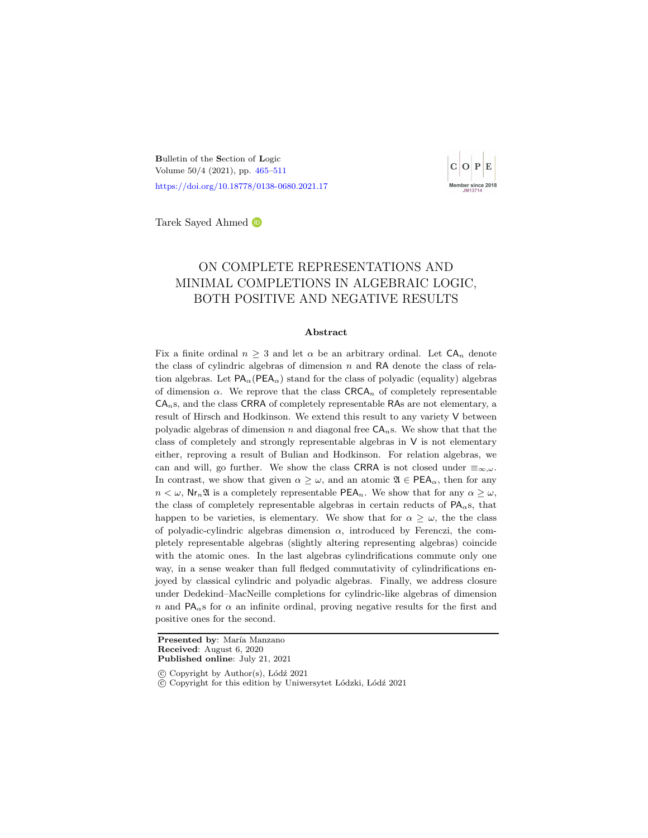<span id="page-0-1"></span><span id="page-0-0"></span>Bulletin of the Section of Logic Volume 50/4 (2021), pp. [465](#page-0-0)[–511](#page-46-0) <https://doi.org/10.18778/0138-0680.2021.17>



Tarek Sayed Ahmed

# ON COMPLETE REPRESENTATIONS AND MINIMAL COMPLETIONS IN ALGEBRAIC LOGIC, BOTH POSITIVE AND NEGATIVE RESULTS

#### Abstract

Fix a finite ordinal  $n \geq 3$  and let  $\alpha$  be an arbitrary ordinal. Let  $CA_n$  denote the class of cylindric algebras of dimension  $n$  and RA denote the class of relation algebras. Let  $PA_{\alpha}$  (PEA<sub> $_{\alpha}$ </sub>) stand for the class of polyadic (equality) algebras of dimension  $\alpha$ . We reprove that the class  $\text{C RCA}_n$  of completely representable  $CA<sub>n</sub>$ s, and the class CRRA of completely representable RAs are not elementary, a result of Hirsch and Hodkinson. We extend this result to any variety V between polyadic algebras of dimension n and diagonal free  $CA<sub>n</sub>$ s. We show that that the class of completely and strongly representable algebras in V is not elementary either, reproving a result of Bulian and Hodkinson. For relation algebras, we can and will, go further. We show the class CRRA is not closed under  $\equiv_{\infty,\omega}$ . In contrast, we show that given  $\alpha \geq \omega$ , and an atomic  $\mathfrak{A} \in \text{PEA}_{\alpha}$ , then for any  $n < \omega$ , Nr<sub>n</sub> I is a completely representable PEA<sub>n</sub>. We show that for any  $\alpha \geq \omega$ , the class of completely representable algebras in certain reducts of  $PA_{\alpha}s$ , that happen to be varieties, is elementary. We show that for  $\alpha \geq \omega$ , the the class of polyadic-cylindric algebras dimension  $\alpha$ , introduced by Ferenczi, the completely representable algebras (slightly altering representing algebras) coincide with the atomic ones. In the last algebras cylindrifications commute only one way, in a sense weaker than full fledged commutativity of cylindrifications enjoyed by classical cylindric and polyadic algebras. Finally, we address closure under Dedekind–MacNeille completions for cylindric-like algebras of dimension n and  $PA_{\alpha}$ s for  $\alpha$  an infinite ordinal, proving negative results for the first and positive ones for the second.

Presented by: María Manzano Received: August 6, 2020 Published online: July 21, 2021

 $\odot$  Copyright by Author(s), Lódź 2021

c Copyright for this edition by Uniwersytet L´odzki, L´od´z 2021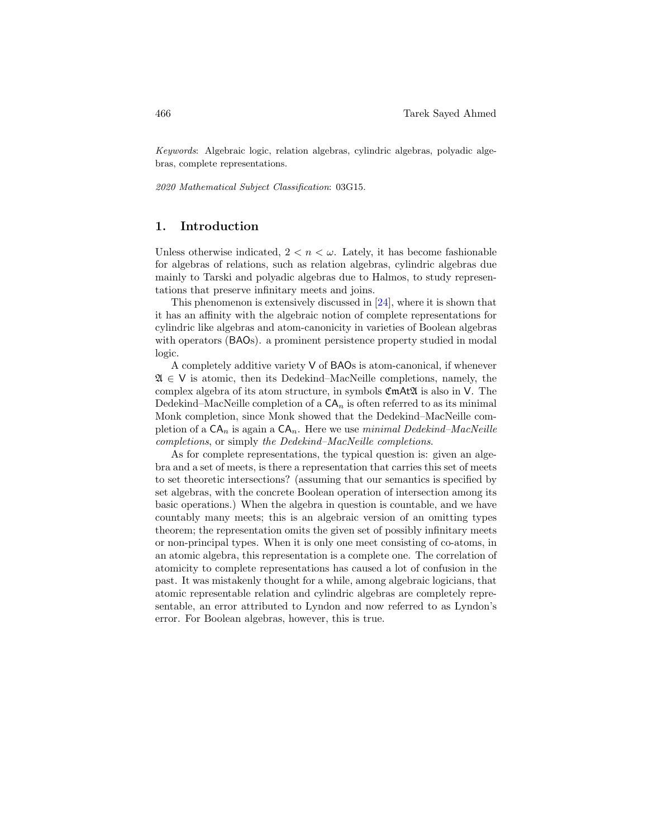Keywords: Algebraic logic, relation algebras, cylindric algebras, polyadic algebras, complete representations.

2020 Mathematical Subject Classification: 03G15.

# 1. Introduction

Unless otherwise indicated,  $2 < n < \omega$ . Lately, it has become fashionable for algebras of relations, such as relation algebras, cylindric algebras due mainly to Tarski and polyadic algebras due to Halmos, to study representations that preserve infinitary meets and joins.

This phenomenon is extensively discussed in [\[24\]](#page-45-0), where it is shown that it has an affinity with the algebraic notion of complete representations for cylindric like algebras and atom-canonicity in varieties of Boolean algebras with operators (BAOs). a prominent persistence property studied in modal logic.

A completely additive variety V of BAOs is atom-canonical, if whenever  $\mathfrak{A} \in V$  is atomic, then its Dedekind–MacNeille completions, namely, the complex algebra of its atom structure, in symbols CmAtA is also in V. The Dedekind–MacNeille completion of a  $CA_n$  is often referred to as its minimal Monk completion, since Monk showed that the Dedekind–MacNeille completion of a  $CA_n$  is again a  $CA_n$ . Here we use minimal Dedekind–MacNeille completions, or simply the Dedekind–MacNeille completions.

As for complete representations, the typical question is: given an algebra and a set of meets, is there a representation that carries this set of meets to set theoretic intersections? (assuming that our semantics is specified by set algebras, with the concrete Boolean operation of intersection among its basic operations.) When the algebra in question is countable, and we have countably many meets; this is an algebraic version of an omitting types theorem; the representation omits the given set of possibly infinitary meets or non-principal types. When it is only one meet consisting of co-atoms, in an atomic algebra, this representation is a complete one. The correlation of atomicity to complete representations has caused a lot of confusion in the past. It was mistakenly thought for a while, among algebraic logicians, that atomic representable relation and cylindric algebras are completely representable, an error attributed to Lyndon and now referred to as Lyndon's error. For Boolean algebras, however, this is true.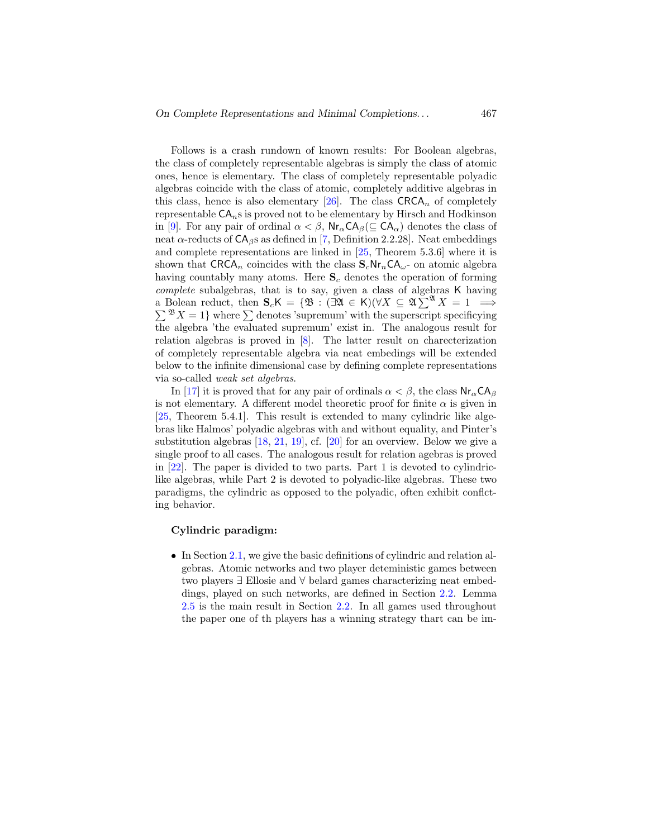Follows is a crash rundown of known results: For Boolean algebras, the class of completely representable algebras is simply the class of atomic ones, hence is elementary. The class of completely representable polyadic algebras coincide with the class of atomic, completely additive algebras in this class, hence is also elementary [\[26\]](#page-45-1). The class  $\text{CRCA}_n$  of completely representable  $CA<sub>n</sub>$ s is proved not to be elementary by Hirsch and Hodkinson in [\[9\]](#page-44-0). For any pair of ordinal  $\alpha < \beta$ ,  $\text{Nr}_{\alpha} \text{CA}_{\beta}(\subseteq \text{CA}_{\alpha})$  denotes the class of neat  $\alpha$ -reducts of  $CA_{\beta}$ s as defined in [\[7,](#page-44-1) Definition 2.2.28]. Neat embeddings and complete representations are linked in [\[25,](#page-45-2) Theorem 5.3.6] where it is shown that CRCA<sub>n</sub> coincides with the class  $S_cNr_nCA_\omega$ - on atomic algebra having countably many atoms. Here  $S_c$  denotes the operation of forming complete subalgebras, that is to say, given a class of algebras K having a Bolean reduct, then  $S_c K = \{ \mathfrak{B} : (\exists \mathfrak{A} \in K)(\forall X \subseteq \mathfrak{A} \Sigma^{\mathfrak{A}} X = 1 \implies$  $\sum^{\mathfrak{B}} X = 1$  where  $\sum$  denotes 'supremum' with the superscript specificying the algebra 'the evaluated supremum' exist in. The analogous result for relation algebras is proved in [\[8\]](#page-44-2). The latter result on charecterization of completely representable algebra via neat embedings will be extended below to the infinite dimensional case by defining complete representations via so-called weak set algebras.

In [\[17\]](#page-44-3) it is proved that for any pair of ordinals  $\alpha < \beta$ , the class  $Nr_{\alpha}CA_{\beta}$ is not elementary. A different model theoretic proof for finite  $\alpha$  is given in [\[25,](#page-45-2) Theorem 5.4.1]. This result is extended to many cylindric like algebras like Halmos' polyadic algebras with and without equality, and Pinter's substitution algebras [\[18,](#page-45-3) [21,](#page-45-4) [19\]](#page-45-5), cf. [\[20\]](#page-45-6) for an overview. Below we give a single proof to all cases. The analogous result for relation agebras is proved in [\[22\]](#page-45-7). The paper is divided to two parts. Part 1 is devoted to cylindriclike algebras, while Part 2 is devoted to polyadic-like algebras. These two paradigms, the cylindric as opposed to the polyadic, often exhibit conflcting behavior.

#### Cylindric paradigm:

• In Section [2.1,](#page-4-0) we give the basic definitions of cylindric and relation algebras. Atomic networks and two player deteministic games between two players ∃ Ellosie and ∀ belard games characterizing neat embeddings, played on such networks, are defined in Section [2.2.](#page-6-0) Lemma [2.5](#page-7-0) is the main result in Section [2.2.](#page-6-0) In all games used throughout the paper one of th players has a winning strategy thart can be im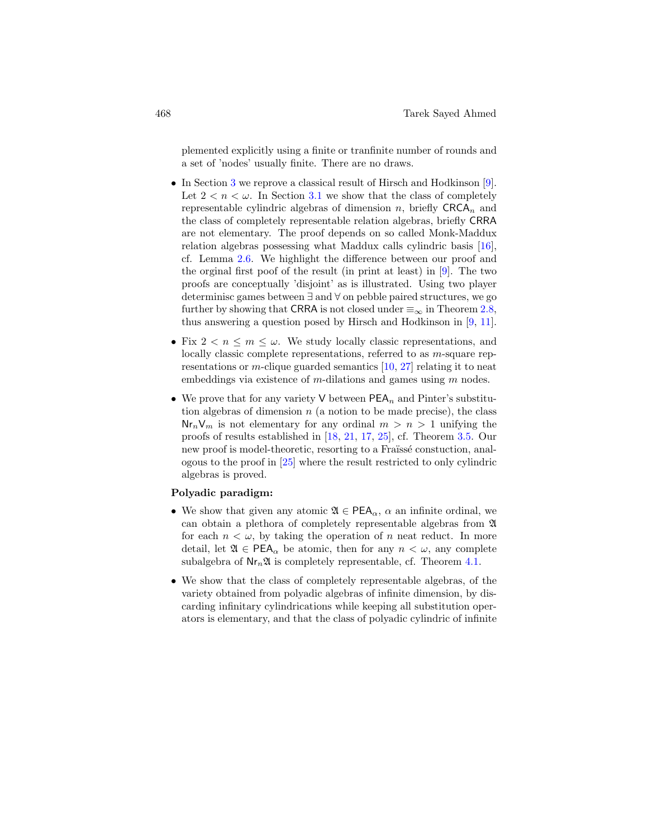plemented explicitly using a finite or tranfinite number of rounds and a set of 'nodes' usually finite. There are no draws.

- In Section [3](#page-17-0) we reprove a classical result of Hirsch and Hodkinson [\[9\]](#page-44-0). Let  $2 < n < \omega$ . In Section [3.1](#page-22-0) we show that the class of completely representable cylindric algebras of dimension n, briefly  $C RCA_n$  and the class of completely representable relation algebras, briefly CRRA are not elementary. The proof depends on so called Monk-Maddux relation algebras possessing what Maddux calls cylindric basis [\[16\]](#page-44-4), cf. Lemma [2.6.](#page-9-0) We highlight the difference between our proof and the orginal first poof of the result (in print at least) in [\[9\]](#page-44-0). The two proofs are conceptually 'disjoint' as is illustrated. Using two player determinisc games between ∃ and ∀ on pebble paired structures, we go further by showing that CRRA is not closed under  $\equiv_{\infty}$  in Theorem [2.8,](#page-13-0) thus answering a question posed by Hirsch and Hodkinson in [\[9,](#page-44-0) [11\]](#page-44-5).
- Fix  $2 < n \leq m \leq \omega$ . We study locally classic representations, and locally classic complete representations, referred to as m-square representations or m-clique guarded semantics  $[10, 27]$  $[10, 27]$  relating it to neat embeddings via existence of m-dilations and games using  $m$  nodes.
- We prove that for any variety V between  $PEA_n$  and Pinter's substitution algebras of dimension  $n$  (a notion to be made precise), the class  $\mathsf{Nr}_n\mathsf{V}_m$  is not elementary for any ordinal  $m > n > 1$  unifying the proofs of results established in [\[18,](#page-45-3) [21,](#page-45-4) [17,](#page-44-3) [25\]](#page-45-2), cf. Theorem [3.5.](#page-22-1) Our new proof is model-theoretic, resorting to a Fraüsse constuction, analogous to the proof in [\[25\]](#page-45-2) where the result restricted to only cylindric algebras is proved.

# Polyadic paradigm:

- We show that given any atomic  $\mathfrak{A} \in \mathsf{PEA}_{\alpha}$ ,  $\alpha$  an infinite ordinal, we can obtain a plethora of completely representable algebras from A for each  $n < \omega$ , by taking the operation of n neat reduct. In more detail, let  $\mathfrak{A} \in \mathsf{PEA}_{\alpha}$  be atomic, then for any  $n < \omega$ , any complete subalgebra of  $\text{Nr}_n\mathfrak{A}$  is completely representable, cf. Theorem [4.1.](#page-25-0)
- We show that the class of completely representable algebras, of the variety obtained from polyadic algebras of infinite dimension, by discarding infinitary cylindrications while keeping all substitution operators is elementary, and that the class of polyadic cylindric of infinite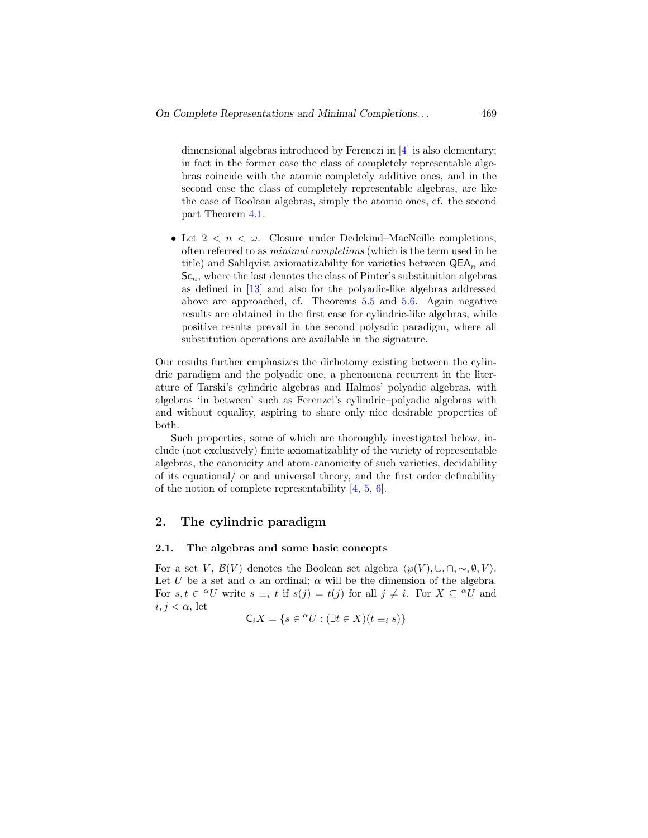dimensional algebras introduced by Ferenczi in [\[4\]](#page-43-0) is also elementary; in fact in the former case the class of completely representable algebras coincide with the atomic completely additive ones, and in the second case the class of completely representable algebras, are like the case of Boolean algebras, simply the atomic ones, cf. the second part Theorem [4.1.](#page-25-0)

• Let  $2 < n < \omega$ . Closure under Dedekind–MacNeille completions, often referred to as minimal completions (which is the term used in he title) and Sahlqvist axiomatizability for varieties between  $\mathsf{QEA}_n$  and  $Sc_n$ , where the last denotes the class of Pinter's substituition algebras as defined in [\[13\]](#page-44-7) and also for the polyadic-like algebras addressed above are approached, cf. Theorems [5.5](#page-37-0) and [5.6.](#page-42-0) Again negative results are obtained in the first case for cylindric-like algebras, while positive results prevail in the second polyadic paradigm, where all substitution operations are available in the signature.

Our results further emphasizes the dichotomy existing between the cylindric paradigm and the polyadic one, a phenomena recurrent in the literature of Tarski's cylindric algebras and Halmos' polyadic algebras, with algebras 'in between' such as Ferenzci's cylindric–polyadic algebras with and without equality, aspiring to share only nice desirable properties of both.

Such properties, some of which are thoroughly investigated below, include (not exclusively) finite axiomatizablity of the variety of representable algebras, the canonicity and atom-canonicity of such varieties, decidability of its equational/ or and universal theory, and the first order definability of the notion of complete representability [\[4,](#page-43-0) [5,](#page-43-1) [6\]](#page-43-2).

# 2. The cylindric paradigm

#### <span id="page-4-0"></span>2.1. The algebras and some basic concepts

For a set V,  $\mathcal{B}(V)$  denotes the Boolean set algebra  $\langle \wp(V), \cup, \cap, \sim, \emptyset, V \rangle$ . Let U be a set and  $\alpha$  an ordinal;  $\alpha$  will be the dimension of the algebra. For  $s, t \in {}^{\alpha}U$  write  $s \equiv_i t$  if  $s(j) = t(j)$  for all  $j \neq i$ . For  $X \subseteq {}^{\alpha}U$  and  $i, i < \alpha$ , let

$$
\mathsf{C}_i X = \{ s \in {}^{\alpha}U : (\exists t \in X)(t \equiv_i s) \}
$$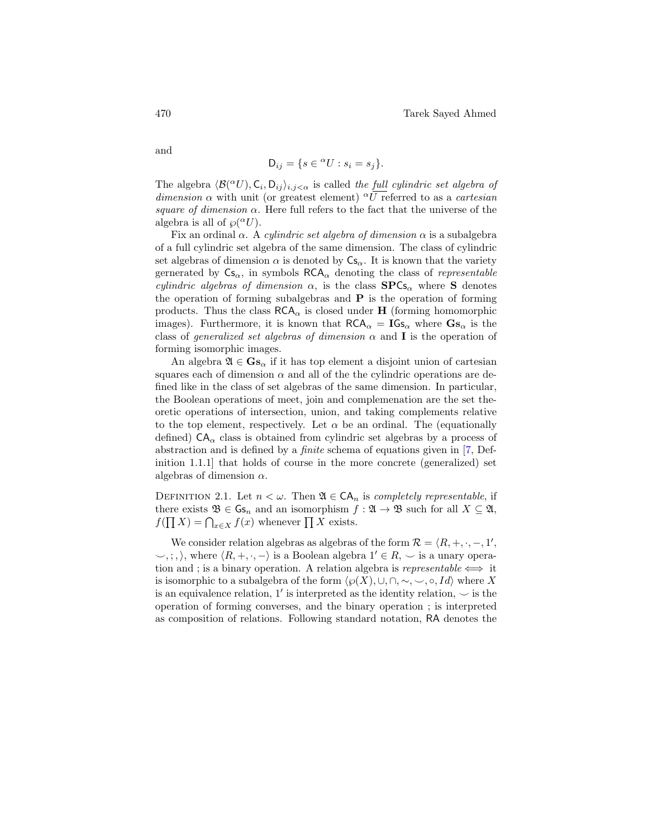and

$$
\mathsf{D}_{ij} = \{ s \in {}^{\alpha}U : s_i = s_j \}.
$$

The algebra  $\langle \mathcal{B}({}^{\alpha}U), \mathsf{C}_i, \mathsf{D}_{ij} \rangle_{i,j < \alpha}$  is called the full cylindric set algebra of dimension  $\alpha$  with unit (or greatest element) <sup> $\alpha$ </sup>U referred to as a *cartesian* square of dimension  $\alpha$ . Here full refers to the fact that the universe of the algebra is all of  $\wp({}^{\alpha}U)$ .

Fix an ordinal  $\alpha$ . A *cylindric set algebra of dimension*  $\alpha$  is a subalgebra of a full cylindric set algebra of the same dimension. The class of cylindric set algebras of dimension  $\alpha$  is denoted by  $\mathsf{Cs}_{\alpha}$ . It is known that the variety gernerated by  $\mathsf{Cs}_{\alpha}$ , in symbols  $\mathsf{RCA}_{\alpha}$  denoting the class of *representable cylindric algebras of dimension*  $\alpha$ , is the class  $SPCs_{\alpha}$  where S denotes the operation of forming subalgebras and  $P$  is the operation of forming products. Thus the class  $\mathsf{RCA}_\alpha$  is closed under  $\mathbf H$  (forming homomorphic images). Furthermore, it is known that  $RCA_{\alpha} = \text{IGs}_{\alpha}$  where  $\text{Gs}_{\alpha}$  is the class of *generalized set algebras of dimension*  $\alpha$  and **I** is the operation of forming isomorphic images.

An algebra  $\mathfrak{A} \in \mathbf{G}$ s<sub>α</sub> if it has top element a disjoint union of cartesian squares each of dimension  $\alpha$  and all of the the cylindric operations are defined like in the class of set algebras of the same dimension. In particular, the Boolean operations of meet, join and complemenation are the set theoretic operations of intersection, union, and taking complements relative to the top element, respectively. Let  $\alpha$  be an ordinal. The (equationally defined)  $CA_{\alpha}$  class is obtained from cylindric set algebras by a process of abstraction and is defined by a finite schema of equations given in [\[7,](#page-44-1) Definition 1.1.1] that holds of course in the more concrete (generalized) set algebras of dimension  $\alpha$ .

DEFINITION 2.1. Let  $n < \omega$ . Then  $\mathfrak{A} \in \mathsf{CA}_n$  is completely representable, if there exists  $\mathfrak{B} \in \mathsf{Gs}_n$  and an isomorphism  $f : \mathfrak{A} \to \mathfrak{B}$  such for all  $X \subseteq \mathfrak{A}$ ,  $f(\prod X) = \bigcap_{x \in X} f(x)$  whenever  $\prod X$  exists.

We consider relation algebras as algebras of the form  $\mathcal{R} = \langle R, +, \cdot, -, 1', \cdot \rangle$  $\langle \psi, \xi, \xi \rangle$ , where  $\langle R, +, \cdot, - \rangle$  is a Boolean algebra  $1' \in R$ ,  $\checkmark$  is a unary operation and ; is a binary operation. A relation algebra is representable  $\iff$  it is isomorphic to a subalgebra of the form  $\langle \wp(X), \cup, \cap, \sim, \sim, \circ, Id \rangle$  where X is an equivalence relation, 1' is interpreted as the identity relation,  $\sim$  is the operation of forming converses, and the binary operation ; is interpreted as composition of relations. Following standard notation, RA denotes the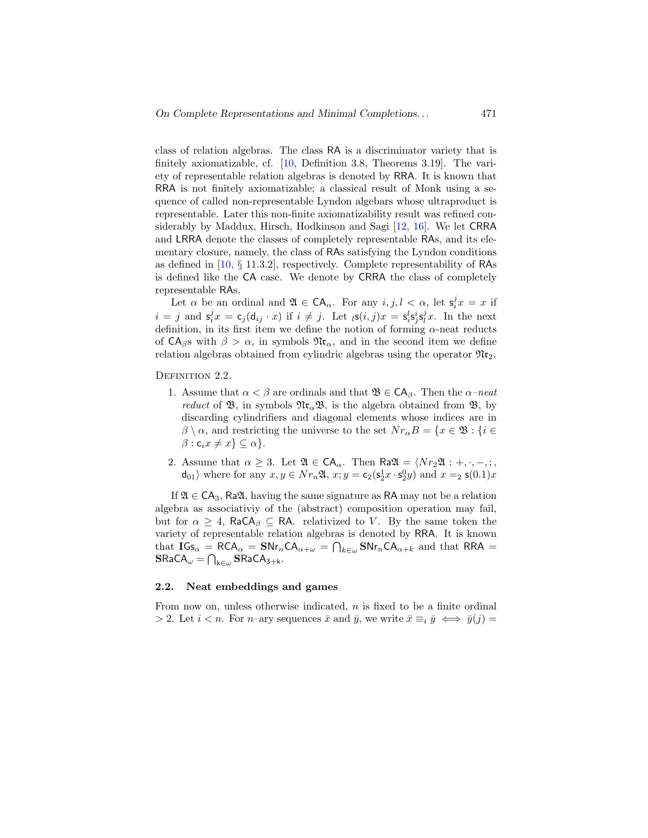class of relation algebras. The class RA is a discriminator variety that is finitely axiomatizable, cf. [\[10,](#page-44-6) Definition 3.8, Theorems 3.19]. The variety of representable relation algebras is denoted by RRA. It is known that RRA is not finitely axiomatizable; a classical result of Monk using a sequence of called non-representable Lyndon algebars whose ultraproduct is representable. Later this non-finite axiomatizability result was refined considerably by Maddux, Hirsch, Hodkinson and Sagi [\[12,](#page-44-8) [16\]](#page-44-4). We let CRRA and LRRA denote the classes of completely representable RAs, and its elementary closure, namely, the class of RAs satisfying the Lyndon conditions as defined in [\[10,](#page-44-6) § 11.3.2], respectively. Complete representability of RAs is defined like the CA case. We denote by CRRA the class of completely representable RAs.

Let  $\alpha$  be an ordinal and  $\mathfrak{A} \in \mathsf{CA}_{\alpha}$ . For any  $i, j, l < \alpha$ , let  $\mathsf{s}_i^j x = x$  if  $i = j$  and  $\mathsf{s}_i^j x = \mathsf{c}_j(\mathsf{d}_{ij} \cdot x)$  if  $i \neq j$ . Let  $\iota \mathsf{s}(i, j)x = \mathsf{s}_i^l \mathsf{s}_j^i \mathsf{s}_l^j x$ . In the next definition, in its first item we define the notion of forming  $\alpha$ -neat reducts of  $CA_{\beta}$ s with  $\beta > \alpha$ , in symbols  $\mathfrak{N}r_{\alpha}$ , and in the second item we define relation algebras obtained from cylindric algebras using the operator  $\mathfrak{M}_{2}$ .

DEFINITION 2.2.

- 1. Assume that  $\alpha < \beta$  are ordinals and that  $\mathfrak{B} \in CA_{\beta}$ . Then the  $\alpha$ -neat *reduct* of  $\mathfrak{B}$ , in symbols  $\mathfrak{N}(\mathfrak{c}_\alpha\mathfrak{B})$ , is the algebra obtained from  $\mathfrak{B}$ , by discarding cylindrifiers and diagonal elements whose indices are in  $\beta \setminus \alpha$ , and restricting the universe to the set  $Nr_{\alpha}B = \{x \in \mathfrak{B} : \{i \in$  $\beta$  :  $c_i x \neq x$ }  $\subseteq \alpha$ }.
- 2. Assume that  $\alpha \geq 3$ . Let  $\mathfrak{A} \in \mathsf{CA}_{\alpha}$ . Then  $\mathsf{Ra}\mathfrak{A} = \langle Nr_2\mathfrak{A} : +, \cdot, -, \cdot, ,\cdot \rangle$  $d_{01}$  where for any  $x, y \in Nr_n\mathfrak{A}, x; y = c_2(s_2^1 x \cdot s_2^0 y)$  and  $x =_2 s(0.1)x$

If  $\mathfrak{A} \in \mathsf{CA}_3$ , Ra $\mathfrak{A}$ , having the same signature as RA may not be a relation algebra as associativiy of the (abstract) composition operation may fail, but for  $\alpha \geq 4$ , RaCA<sub>β</sub>  $\subseteq$  RA. relativized to V. By the same token the variety of representable relation algebras is denoted by RRA. It is known that  $IGs_{\alpha} = RCA_{\alpha} = SNr_nCA_{\alpha+\omega} = \bigcap_{k \in \omega} SNr_nCA_{\alpha+k}$  and that RRA =  $\mathbf{S}\mathsf{Ra}\mathsf{CA}_{\omega}=\bigcap_{\mathsf{k}\in\omega}\mathbf{S}\mathsf{Ra}\mathsf{CA}_{3+\mathsf{k}}.$ 

#### <span id="page-6-0"></span>2.2. Neat embeddings and games

From now on, unless otherwise indicated,  $n$  is fixed to be a finite ordinal > 2. Let  $i < n$ . For n–ary sequences  $\bar{x}$  and  $\bar{y}$ , we write  $\bar{x} \equiv_i \bar{y} \iff \bar{y}(i) =$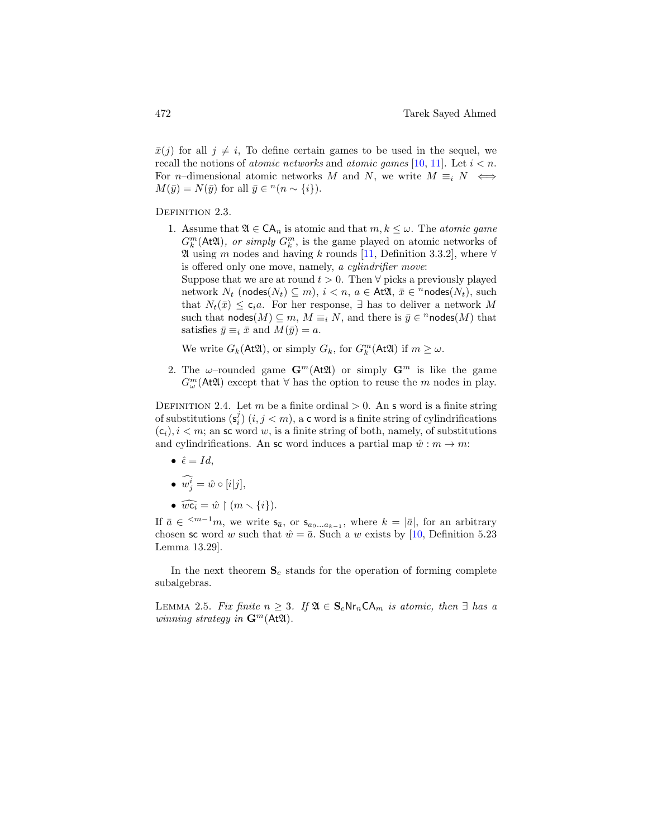$\bar{x}(j)$  for all  $j \neq i$ , To define certain games to be used in the sequel, we recall the notions of *atomic networks* and *atomic games* [\[10,](#page-44-6) [11\]](#page-44-5). Let  $i < n$ . For n–dimensional atomic networks M and N, we write  $M \equiv i N \iff$  $M(\bar{y}) = N(\bar{y})$  for all  $\bar{y} \in {}^{n}(n \sim \{i\}).$ 

DEFINITION 2.3.

1. Assume that  $\mathfrak{A} \in \mathsf{CA}_n$  is atomic and that  $m, k \leq \omega$ . The atomic game  $G_k^m(\text{At2l})$ , or simply  $G_k^m$ , is the game played on atomic networks of  $\mathfrak A$  using m nodes and having k rounds [\[11,](#page-44-5) Definition 3.3.2], where  $\forall$ is offered only one move, namely, a cylindrifier move:

Suppose that we are at round  $t > 0$ . Then  $\forall$  picks a previously played network  $N_t$  (nodes $(N_t) \subseteq m$ ),  $i < n$ ,  $a \in At\mathfrak{A}, \bar{x} \in \mathbb{n}$ nodes $(N_t)$ , such that  $N_t(\bar{x}) \leq \mathsf{c}_i a$ . For her response,  $\exists$  has to deliver a network M such that  $\mathsf{nodes}(M) \subseteq m$ ,  $M \equiv_i N$ , and there is  $\bar{y} \in \textsuperscript{n} \mathsf{nodes}(M)$  that satisfies  $\bar{y} \equiv_i \bar{x}$  and  $M(\bar{y}) = a$ .

We write  $G_k(\mathsf{At}\mathfrak{A})$ , or simply  $G_k$ , for  $G_k^m(\mathsf{At}\mathfrak{A})$  if  $m \geq \omega$ .

2. The  $\omega$ -rounded game  $\mathbf{G}^m(\mathbf{A} \mathfrak{A})$  or simply  $\mathbf{G}^m$  is like the game  $G_{\omega}^{m}(\mathsf{At}\mathfrak{A})$  except that  $\forall$  has the option to reuse the m nodes in play.

<span id="page-7-1"></span>DEFINITION 2.4. Let m be a finite ordinal  $> 0$ . An s word is a finite string of substitutions  $(\mathsf{s}_i^j)$   $(i, j < m)$ , a c word is a finite string of cylindrifications  $(c_i), i < m$ ; an sc word w, is a finite string of both, namely, of substitutions and cylindrifications. An sc word induces a partial map  $\hat{w}: m \to m$ :

 $\hat{\epsilon} = Id,$ 

$$
\bullet \ \widehat{w_j^i} = \hat{w} \circ [i|j],
$$

• 
$$
\widehat{wc_i} = \hat{w} \restriction (m \setminus \{i\}).
$$

If  $\bar{a} \in \{m-1m\}$ , we write  $s_{\bar{a}}$ , or  $s_{a_0...a_{k-1}}$ , where  $k = |\bar{a}|$ , for an arbitrary chosen sc word w such that  $\hat{w} = \bar{a}$ . Such a w exists by [\[10,](#page-44-6) Definition 5.23] Lemma 13.29].

In the next theorem  $S_c$  stands for the operation of forming complete subalgebras.

<span id="page-7-0"></span>LEMMA 2.5. Fix finite  $n \geq 3$ . If  $\mathfrak{A} \in \mathbf{S}_c \mathsf{Nr}_n \mathsf{CA}_m$  is atomic, then  $\exists$  has a winning strategy in  $\mathbf{G}^m(\mathbf{A} \mathfrak{A})$ .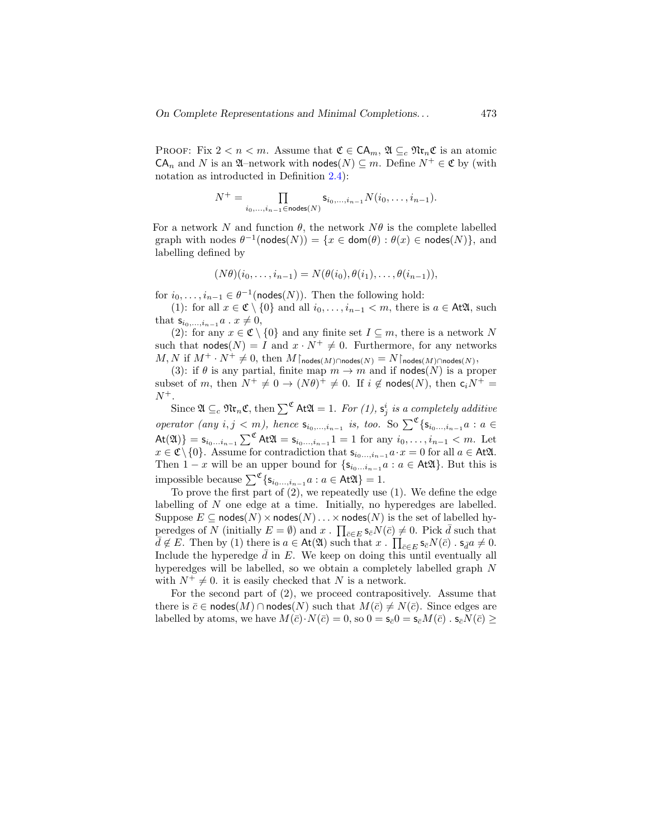PROOF: Fix  $2 < n < m$ . Assume that  $\mathfrak{C} \in \mathsf{CA}_m$ ,  $\mathfrak{A} \subseteq_c \mathfrak{N}$ **r**<sub>n</sub> $\mathfrak{C}$  is an atomic  $CA_n$  and N is an  $\mathfrak{A}$ –network with nodes $(N) \subseteq m$ . Define  $N^+ \in \mathfrak{C}$  by (with notation as introducted in Definition [2.4\)](#page-7-1):

$$
N^+=\prod_{i_0,\ldots,i_{n-1}\in\operatorname{\mathsf{nodes}}(N)}\mathsf{s}_{i_0,\ldots,i_{n-1}}N(i_0,\ldots,i_{n-1}).
$$

For a network N and function  $\theta$ , the network  $N\theta$  is the complete labelled graph with nodes  $\theta^{-1}(\text{nodes}(N)) = \{x \in \text{dom}(\theta) : \theta(x) \in \text{nodes}(N)\},\$ and labelling defined by

$$
(N\theta)(i_0,\ldots,i_{n-1})=N(\theta(i_0),\theta(i_1),\ldots,\theta(i_{n-1})),
$$

for  $i_0, \ldots, i_{n-1} \in \theta^{-1}(\text{nodes}(N))$ . Then the following hold:

(1): for all  $x \in \mathfrak{C} \setminus \{0\}$  and all  $i_0, \ldots, i_{n-1} < m$ , there is  $a \in \mathcal{A} \mathfrak{A}$ , such that  $s_{i_0,...,i_{n-1}} a \cdot x \neq 0$ ,

(2): for any  $x \in \mathfrak{C} \setminus \{0\}$  and any finite set  $I \subseteq m$ , there is a network N such that  $\text{nodes}(N) = I$  and  $x \cdot N^+ \neq 0$ . Furthermore, for any networks  $M, N$  if  $M^+ \cdot N^+ \neq 0$ , then  $M\upharpoonright_{\mathsf{nodes}(M) \cap \mathsf{nodes}(N)} = N\upharpoonright_{\mathsf{nodes}(M) \cap \mathsf{nodes}(N)},$ 

(3): if  $\theta$  is any partial, finite map  $m \to m$  and if nodes(N) is a proper subset of m, then  $N^+ \neq 0 \rightarrow (N\theta)^+ \neq 0$ . If  $i \notin \text{nodes}(N)$ , then  $c_i N^+ =$  $N^+$ .

Since  $\mathfrak{A}\subseteq_c\mathfrak{N}\mathfrak{r}_n\mathfrak{C}$ , then  $\sum^{\mathfrak{C}}$  At $\mathfrak{A}=1$ . For  $(1)$ ,  $\mathsf{s}^i_j$  is a completely additive operator (any  $i, j < m$ ), hence  $s_{i_0,...,i_{n-1}}$  is, too. So  $\sum^{\mathfrak{C}} \{s_{i_0...,i_{n-1}} a : a \in$  $\mathsf{At}(\mathfrak{A})\} = \mathsf{s}_{i_0...i_{n-1}} \sum^{\mathfrak{C}} \mathsf{At}\mathfrak{A} = \mathsf{s}_{i_0...i_{n-1}} 1 = 1$  for any  $i_0, \ldots, i_{n-1} < m$ . Let  $x \in \mathfrak{C} \setminus \{0\}$ . Assume for contradiction that  $\mathsf{s}_{i_0...i_{n-1}} a \cdot x = 0$  for all  $a \in \mathsf{At}\mathfrak{A}$ . Then  $1 - x$  will be an upper bound for  $\{s_{i_0...i_{n-1}} a : a \in \text{At2l}\}\)$ . But this is impossible because  $\sum^{\mathfrak{C}} \{ \mathsf{s}_{i_0...,i_{n-1}} a : a \in \text{At} \mathfrak{A} \} = 1.$ 

To prove the first part of (2), we repeatedly use (1). We define the edge labelling of N one edge at a time. Initially, no hyperedges are labelled. Suppose  $E \subseteq \text{nodes}(N) \times \text{nodes}(N) \dots \times \text{nodes}(N)$  is the set of labelled hyperedges of N (initially  $E = \emptyset$ ) and  $x$ .  $\prod_{\bar{c} \in E} s_{\bar{c}} N(\bar{c}) \neq 0$ . Pick  $\bar{d}$  such that  $\overline{d} \notin E$ . Then by (1) there is  $a \in \mathsf{At}(\mathfrak{A})$  such that  $x \cdot \prod_{\overline{c} \in E} s_{\overline{c}}N(\overline{c})$  .  $s_{\overline{d}}a \neq 0$ . Include the hyperedge  $d$  in  $E$ . We keep on doing this until eventually all hyperedges will be labelled, so we obtain a completely labelled graph N with  $N^+ \neq 0$ . it is easily checked that N is a network.

For the second part of (2), we proceed contrapositively. Assume that there is  $\bar{c} \in \text{nodes}(M) \cap \text{nodes}(N)$  such that  $M(\bar{c}) \neq N(\bar{c})$ . Since edges are labelled by atoms, we have  $M(\bar{c})\cdot N(\bar{c})=0$ , so  $0=s_{\bar{c}}0=s_{\bar{c}}M(\bar{c})$ .  $s_{\bar{c}}N(\bar{c})>$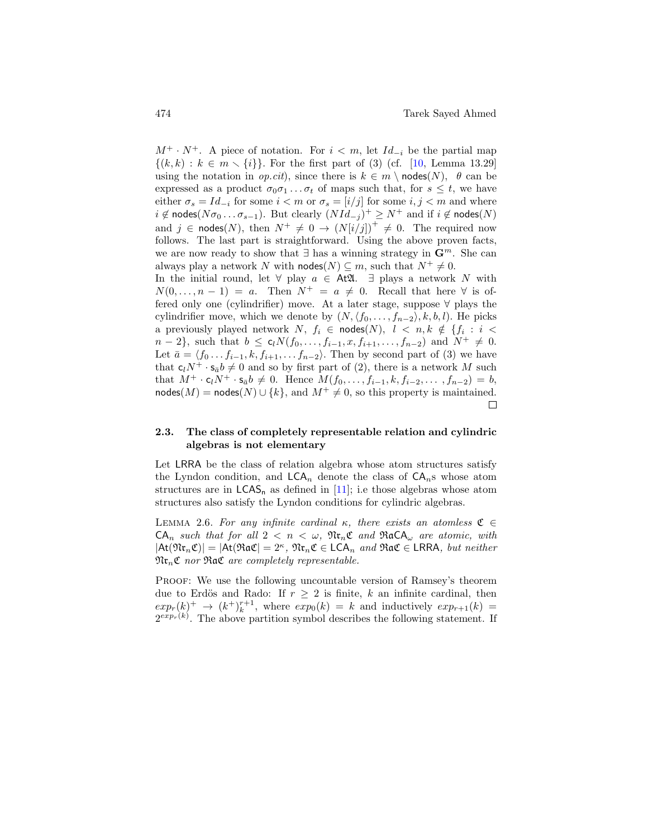$M^+ \cdot N^+$ . A piece of notation. For  $i < m$ , let  $Id_{-i}$  be the partial map  $\{(k, k) : k \in m \setminus \{i\}\}.$  For the first part of (3) (cf. [\[10,](#page-44-6) Lemma 13.29] using the notation in *op.cit*), since there is  $k \in m \setminus \text{nodes}(N)$ ,  $\theta$  can be expressed as a product  $\sigma_0 \sigma_1 \dots \sigma_t$  of maps such that, for  $s \leq t$ , we have either  $\sigma_s = Id_{-i}$  for some  $i < m$  or  $\sigma_s = [i/j]$  for some  $i, j < m$  and where  $i \notin \textsf{nodes}(N\sigma_0 \ldots \sigma_{s-1})$ . But clearly  $(NId_{-j})^+ \geq N^+$  and if  $i \notin \textsf{nodes}(N)$ and  $j \in \text{nodes}(N)$ , then  $N^+ \neq 0 \rightarrow (N[i/j])^+ \neq 0$ . The required now follows. The last part is straightforward. Using the above proven facts, we are now ready to show that  $\exists$  has a winning strategy in  $\mathbb{G}^m$ . She can always play a network N with  $\text{nodes}(N) \subseteq m$ , such that  $N^+ \neq 0$ . In the initial round, let  $\forall$  play  $a \in At\mathfrak{A}$ . ∃ plays a network N with  $N(0, \ldots, n-1) = a$ . Then  $N^+ = a \neq 0$ . Recall that here  $\forall$  is offered only one (cylindrifier) move. At a later stage, suppose ∀ plays the cylindrifier move, which we denote by  $(N, \langle f_0, \ldots, f_{n-2} \rangle, k, b, l)$ . He picks a previously played network  $N, f_i \in \mathsf{nodes}(N), \; l \; < \; n, k \; \notin \; \{f_i \; : \; i \; <$  $n-2$ , such that  $b \leq c_l N(f_0, \ldots, f_{i-1}, x, f_{i+1}, \ldots, f_{n-2})$  and  $N^+ \neq 0$ . Let  $\bar{a} = \langle f_0 \dots f_{i-1}, k, f_{i+1}, \dots f_{n-2} \rangle$ . Then by second part of (3) we have that  $c_l N^+ \cdot s_{\bar{a}} b \neq 0$  and so by first part of (2), there is a network M such that  $M^+ \cdot c_l N^+ \cdot s_{\bar{a}} b \neq 0$ . Hence  $M(f_0, \ldots, f_{i-1}, k, f_{i-2}, \ldots, f_{n-2}) = b$ ,  $\text{nodes}(M) = \text{nodes}(N) \cup \{k\}, \text{ and } M^+ \neq 0, \text{ so this property is maintained.}$ □

### 2.3. The class of completely representable relation and cylindric algebras is not elementary

Let LRRA be the class of relation algebra whose atom structures satisfy the Lyndon condition, and  $LCA_n$  denote the class of  $CA_n$ s whose atom structures are in  $LCAS_n$  as defined in [\[11\]](#page-44-5); i.e those algebras whose atom structures also satisfy the Lyndon conditions for cylindric algebras.

<span id="page-9-0"></span>LEMMA 2.6. For any infinite cardinal  $\kappa$ , there exists an atomless  $\mathfrak{C} \in$  $CA_n$  such that for all  $2 < n < \omega$ ,  $\mathfrak{M} \mathfrak{r}_n \mathfrak{C}$  and  $\mathfrak{R} \mathfrak{a} \mathsf{C} \mathsf{A}_{\omega}$  are atomic, with  $|\text{At}(\mathfrak{Nr}_n\mathfrak{C})| = |\text{At}(\mathfrak{R}a\mathfrak{C}| = 2^{\kappa}, \mathfrak{Nr}_n\mathfrak{C} \in \textsf{LCA}_n \textit{ and } \mathfrak{R}a\mathfrak{C} \in \textsf{LRRA}, \textit{but neither}$  $\mathfrak{Nr}_n\mathfrak{C}$  nor  $\mathfrak{R}$ a $\mathfrak{C}$  are completely representable.

Proof: We use the following uncountable version of Ramsey's theorem due to Erdös and Rado: If  $r \geq 2$  is finite, k an infinite cardinal, then  $exp_r(k)$ <sup>+</sup>  $\rightarrow (k^+)^{r+1}_{k}$ , where  $exp_0(k) = k$  and inductively  $exp_{r+1}(k) =$  $2^{exp_r(k)}$ . The above partition symbol describes the following statement. If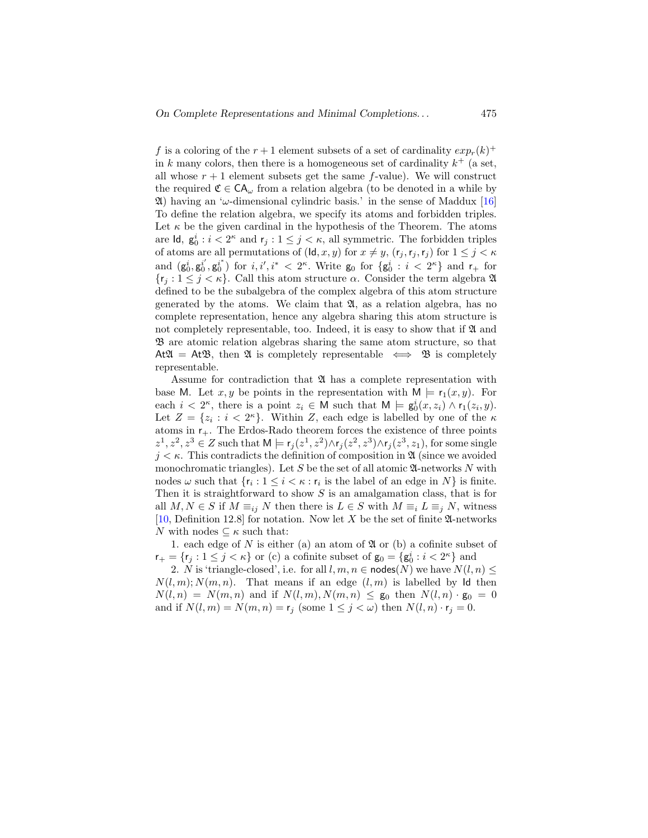f is a coloring of the  $r+1$  element subsets of a set of cardinality  $exp_r(k)^+$ in k many colors, then there is a homogeneous set of cardinality  $k^+$  (a set, all whose  $r + 1$  element subsets get the same f-value). We will construct the required  $\mathfrak{C} \in \mathsf{CA}_{\omega}$  from a relation algebra (to be denoted in a while by  $\mathfrak{A}$ ) having an ' $\omega$ -dimensional cylindric basis.' in the sense of Maddux [\[16\]](#page-44-4) To define the relation algebra, we specify its atoms and forbidden triples. Let  $\kappa$  be the given cardinal in the hypothesis of the Theorem. The atoms are  $\mathsf{Id}, \mathsf{g}_0^i : i < 2^{\kappa}$  and  $\mathsf{r}_j : 1 \leq j < \kappa$ , all symmetric. The forbidden triples of atoms are all permutations of  $(\mathsf{Id}, x, y)$  for  $x \neq y$ ,  $(r_j, r_j, r_j)$  for  $1 \leq j \leq \kappa$ and  $(g_0^i, g_0^{i'}, g_0^{i'} )$  for  $i, i', i^* < 2^{\kappa}$ . Write  $g_0$  for  $\{g_0^i : i < 2^{\kappa}\}\$  and  $r_+$  for  ${r_i : 1 \leq j < \kappa}$ . Call this atom structure  $\alpha$ . Consider the term algebra  $\mathfrak A$ defined to be the subalgebra of the complex algebra of this atom structure generated by the atoms. We claim that  $\mathfrak{A}$ , as a relation algebra, has no complete representation, hence any algebra sharing this atom structure is not completely representable, too. Indeed, it is easy to show that if  $\mathfrak A$  and B are atomic relation algebras sharing the same atom structure, so that At  $\mathfrak{A} = \mathfrak{A} \mathfrak{B}$ , then  $\mathfrak{A}$  is completely representable  $\iff \mathfrak{B}$  is completely representable.

Assume for contradiction that  $\mathfrak A$  has a complete representation with base M. Let x, y be points in the representation with  $M \models r_1(x, y)$ . For each  $i < 2^{\kappa}$ , there is a point  $z_i \in M$  such that  $M \models g_0^i(x, z_i) \wedge r_1(z_i, y)$ . Let  $Z = \{z_i : i < 2^{\kappa}\}\$ . Within Z, each edge is labelled by one of the  $\kappa$ atoms in  $r_{+}$ . The Erdos-Rado theorem forces the existence of three points  $z^1, z^2, z^3 \in Z$  such that  $M \models r_j(z^1, z^2) \wedge r_j(z^2, z^3) \wedge r_j(z^3, z_1)$ , for some single  $j < \kappa$ . This contradicts the definition of composition in  $\mathfrak{A}$  (since we avoided monochromatic triangles). Let S be the set of all atomic  $\mathfrak{A}$ -networks N with nodes  $\omega$  such that  $\{r_i : 1 \leq i \leq \kappa : r_i \text{ is the label of an edge in } N\}$  is finite. Then it is straightforward to show  $S$  is an amalgamation class, that is for all  $M, N \in S$  if  $M \equiv_{ij} N$  then there is  $L \in S$  with  $M \equiv_i L \equiv_j N$ , witness [\[10,](#page-44-6) Definition 12.8] for notation. Now let X be the set of finite  $\mathfrak A$ -networks N with nodes  $\subseteq \kappa$  such that:

1. each edge of  $N$  is either (a) an atom of  $\mathfrak A$  or (b) a cofinite subset of  $\mathsf{r}_+ = \{ \mathsf{r}_j : 1 \leq j < \kappa \}$  or (c) a cofinite subset of  $\mathsf{g}_0 = \{ \mathsf{g}_0^i : i < 2^{\kappa} \}$  and

2. N is 'triangle-closed', i.e. for all  $l, m, n \in \text{nodes}(N)$  we have  $N(l, n) \leq$  $N(l, m); N(m, n)$ . That means if an edge  $(l, m)$  is labelled by Id then  $N(l,n) = N(m,n)$  and if  $N(l,m), N(m,n) \leq g_0$  then  $N(l,n) \cdot g_0 = 0$ and if  $N(l, m) = N(m, n) = \mathbf{r}_j$  (some  $1 \leq j < \omega$ ) then  $N(l, n) \cdot \mathbf{r}_j = 0$ .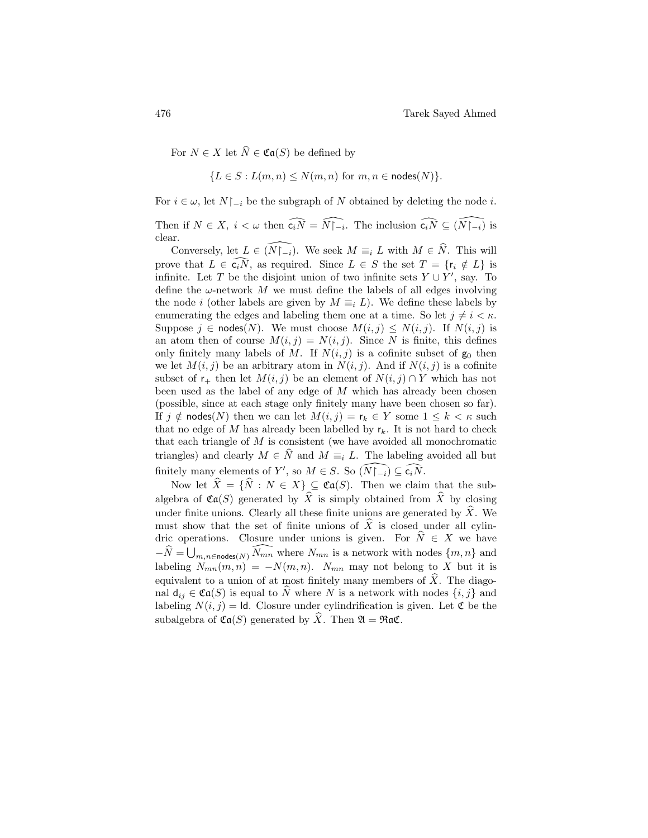For  $N \in X$  let  $\widehat{N} \in \mathfrak{Ca}(S)$  be defined by

$$
\{L \in S : L(m, n) \le N(m, n) \text{ for } m, n \in \text{nodes}(N)\}.
$$

For  $i \in \omega$ , let  $N\upharpoonright_{-i}$  be the subgraph of N obtained by deleting the node i.

Then if  $N \in X$ ,  $i < \omega$  then  $\widehat{c_i N} = \widehat{N \upharpoonright_{-i}}$ . The inclusion  $\widehat{c_i N} \subseteq (\widehat{N \upharpoonright_{-i}})$  is clear.

Conversely, let  $L \in (\widehat{N\vert_{-i}})$ . We seek  $M \equiv_i L$  with  $M \in \widehat{N}$ . This will prove that  $L \in \widehat{c_iN}$ , as required. Since  $L \in S$  the set  $T = \{r_i \notin L\}$  is infinite. Let T be the disjoint union of two infinite sets  $Y \cup Y'$ , say. To define the  $\omega$ -network M we must define the labels of all edges involving the node *i* (other labels are given by  $M \equiv_i L$ ). We define these labels by enumerating the edges and labeling them one at a time. So let  $j \neq i < \kappa$ . Suppose  $j \in \text{nodes}(N)$ . We must choose  $M(i, j) \leq N(i, j)$ . If  $N(i, j)$  is an atom then of course  $M(i, j) = N(i, j)$ . Since N is finite, this defines only finitely many labels of M. If  $N(i, j)$  is a cofinite subset of  $g_0$  then we let  $M(i, j)$  be an arbitrary atom in  $N(i, j)$ . And if  $N(i, j)$  is a cofinite subset of  $r_+$  then let  $M(i, j)$  be an element of  $N(i, j) \cap Y$  which has not been used as the label of any edge of  $M$  which has already been chosen (possible, since at each stage only finitely many have been chosen so far). If  $j \notin \text{nodes}(N)$  then we can let  $M(i, j) = r_k \in Y$  some  $1 \le k \le \kappa$  such that no edge of  $M$  has already been labelled by  $r_k$ . It is not hard to check that each triangle of  $M$  is consistent (we have avoided all monochromatic triangles) and clearly  $M \in \widehat{N}$  and  $M \equiv_i L$ . The labeling avoided all but finitely many elements of Y', so  $M \in S$ . So  $\widehat{(N\cap i)} \subseteq \widehat{c_iN}$ .

Now let  $\hat{X} = {\hat{N} : N \in X} \subset \mathfrak{Ca}(S)$ . Then we claim that the subalgebra of  $\mathfrak{Ca}(S)$  generated by  $\widehat{X}$  is simply obtained from  $\widehat{X}$  by closing under finite unions. Clearly all these finite unions are generated by  $\widehat{X}$ . We must show that the set of finite unions of  $\hat{X}$  is closed under all cylindric operations. Closure under unions is given. For  $\widehat{N} \in X$  we have  $-\widehat{N} = \bigcup_{m,n \in \text{nodes}(N)} \widehat{N_{mn}}$  where  $N_{mn}$  is a network with nodes  $\{m, n\}$  and labeling  $N_{mn}(m, n) = -N(m, n)$ .  $N_{mn}$  may not belong to X but it is equivalent to a union of at most finitely many members of  $\hat{X}$ . The diagonal  $d_{ij} \in \mathfrak{Ca}(S)$  is equal to  $\widehat{N}$  where N is a network with nodes  $\{i, j\}$  and labeling  $N(i, j) = \text{Id}$ . Closure under cylindrification is given. Let  $\mathfrak{C}$  be the subalgebra of  $\mathfrak{Ca}(S)$  generated by  $\widehat{X}$ . Then  $\mathfrak{A} = \mathfrak{R} \mathfrak{a} \mathfrak{C}$ .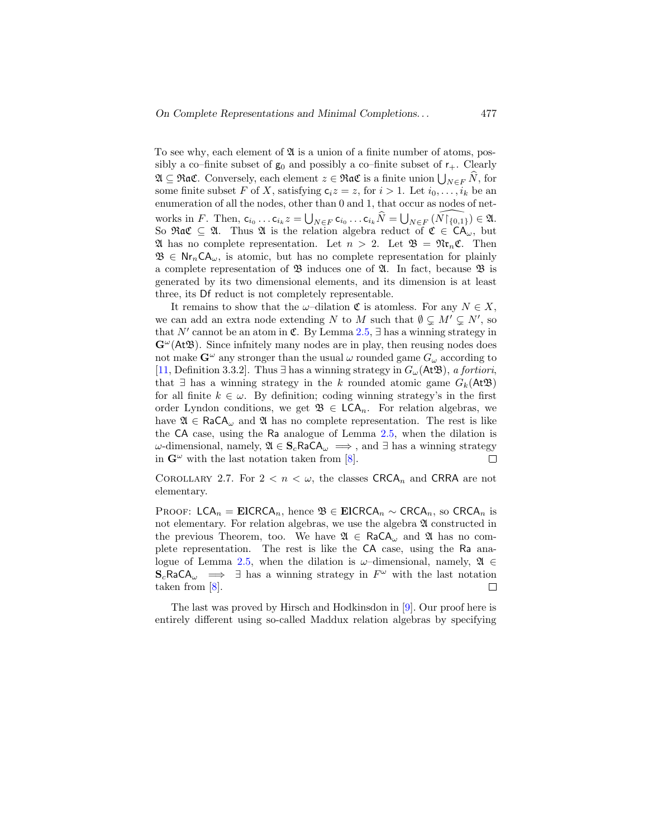sibly a co–finite subset of  $g_0$  and possibly a co–finite subset of  $r_{+}$ . Clearly  $\mathfrak{A} \subseteq \mathfrak{R}$  a. Conversely, each element  $z \in \mathfrak{R}$  a.  $\mathfrak{C}$  is a finite union  $\bigcup_{N \in F} N$ , for some finite subset F of X, satisfying  $c_i z = z$ , for  $i > 1$ . Let  $i_0, \ldots, i_k$  be an enumeration of all the nodes, other than 0 and 1, that occur as nodes of networks in F. Then,  $c_{i_0} \dots c_{i_k} z = \bigcup_{N \in F} c_{i_0} \dots c_{i_k} \widehat{N} = \bigcup_{N \in F} (\widehat{N \restriction \{0,1\}}) \in \mathfrak{A}.$ So Rac  $\subseteq$  21. Thus 24 is the relation algebra reduct of  $\mathfrak{C} \in CA_{\omega}$ , but  $\mathfrak A$  has no complete representation. Let  $n > 2$ . Let  $\mathfrak B = \mathfrak{N} \mathfrak r_n \mathfrak C$ . Then  $\mathfrak{B} \in \mathsf{Nr}_n\mathsf{CA}_{\omega}$ , is atomic, but has no complete representation for plainly a complete representation of  $\mathfrak{B}$  induces one of  $\mathfrak{A}$ . In fact, because  $\mathfrak{B}$  is generated by its two dimensional elements, and its dimension is at least three, its Df reduct is not completely representable. To see why, each element of  $\mathfrak A$  is a union of a finite number of atoms, pos-

It remains to show that the  $\omega$ -dilation  $\mathfrak C$  is atomless. For any  $N \in X$ , we can add an extra node extending N to [M](#page-7-0) such that  $\emptyset \subsetneq M' \subsetneq N'$ , so that N' cannot be an atom in  $\mathfrak{C}$ . By Lemma 2.5,  $\exists$  has a winning strategy in  $\mathbf{G}^{\omega}(\mathbf{AtB})$ . Since infinitely many nodes are in play, then reusing nodes does [not](#page-44-5) make  $\mathbf{G}^{\omega}$  any stronger than the usual  $\omega$  rounded game  $G_{\omega}$  according to [11, Definition 3.3.2]. Thus ∃ has a winning strategy in  $G_{\omega}(\mathsf{At}\mathfrak{B})$ , a fortiori, that  $\exists$  has a winning strategy in the k rounded atomic game  $G_k(\mathsf{At}\mathfrak{B})$ for all finite  $k \in \omega$ . By definition; coding winning strategy's in the first order Lyndon conditions, we get  $\mathfrak{B} \in \mathsf{LCA}_n$ . For relation algebras, we have  $\mathfrak{A} \in \text{RaCA}_{\omega}$  and  $\mathfrak{A}$  has no complete repres[enta](#page-7-0)tion. The rest is like the CA case, using the Ra analogue of Lemma 2.5, when the dilation is  $ω$ -dimensional, namely,  $\mathfrak{A} \in \mathbf{S}_c$ RaCA<sub>ω</sub>  $\implies$ , and ∃ has a winning strategy in  $\mathbf{G}^{\omega}$  with the last notation taken from [8]. П

COROLLARY 2.7. For  $2 < n < \omega$ , the classes CRCA<sub>n</sub> and CRRA are not elementary.

PROOF: LCA<sub>n</sub> = EICRCA<sub>n</sub>, hence  $\mathfrak{B} \in$  EICRCA<sub>n</sub>  $\sim$  CRCA<sub>n</sub>, so CRCA<sub>n</sub> is not elementary. For relation algebras, we use the algebra  $\mathfrak A$  constructed in the previous Theorem, too. We have  $\mathfrak{A} \in \text{RaCA}_{\omega}$  and  $\mathfrak{A}$  has no complete representat[ion.](#page-7-0) The rest is like the CA case, using the Ra analogue of Lemma 2.5, when the dilation is  $\omega$ -dimensional, namely,  $\mathfrak{A} \in$  $S_c$ RaCA<sub>ω</sub>  $\implies$   $\exists$  has a winning strategy in  $F^{\omega}$  with the last notation taken from [8].  $\Box$ 

The last was proved by Hirsch and Hodkinsdon in [9]. Our proof here is entirely different using so-called Maddux relation algebras by specifying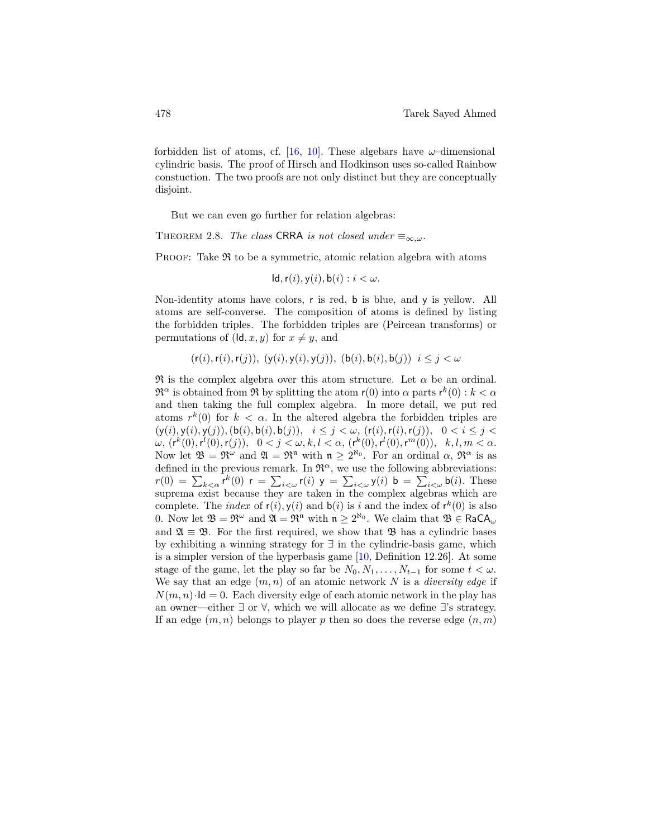cylindric basis. The proof of Hirsch and Hodkinson uses so-called Rainbow constuction. The two proofs are not only distinct but they are conceptually disjoint. forbidden list of atoms, cf. [16, 10]. These algebars have  $\omega$ -dimensional

<span id="page-13-0"></span>But we can even go further for relation algebras:

THEOREM 2.8. The class CRRA is not closed under  $\equiv_{\infty,\omega}$ .

**PROOF:** Take  $\mathfrak{R}$  to be a symmetric, atomic relation algebra with atoms

$$
Id, r(i), y(i), b(i) : i < \omega.
$$

Non-identity atoms have colors, r is red, b is blue, and y is yellow. All atoms are self-converse. The composition of atoms is defined by listing the forbidden triples. The forbidden triples are (Peircean transforms) or permutations of  $(\mathsf{Id}, x, y)$  for  $x \neq y$ , and

 $(r(i), r(i), r(j)), (y(i), y(i), y(j)), (b(i), b(i), b(j)) i \leq j < \omega$ 

 $\Re$  is the complex algebra over this atom structure. Let  $\alpha$  be an ordinal.  $\mathfrak{R}^{\alpha}$  is obtained from  $\mathfrak{R}$  by splitting the atom  $r(0)$  into  $\alpha$  parts  $r^{k}(0)$  :  $k < \alpha$ and then taking the full complex algebra. In more detail, we put red atoms  $r^k(0)$  for  $k < \alpha$ . In the altered algebra the forbidden triples are  $(y(i), y(i), y(j)), (b(i), b(i), b(j)), i \leq j < \omega$ ,  $(r(i), r(i), r(j)), 0 < i \leq j <$  $\omega, (r^k(0), r^l(0), r(j)), \ \ 0 < j < \omega, k, l < \alpha, (r^k(0), r^l(0), r^m(0)), \ \ k, l, m < \alpha.$ Now let  $\mathfrak{B} = \mathfrak{R}^{\omega}$  and  $\mathfrak{A} = \mathfrak{R}^{\mathfrak{n}}$  with  $\mathfrak{n} \geq 2^{\aleph_0}$ . For an ordinal  $\alpha$ ,  $\mathfrak{R}^{\alpha}$  is as defined in the previous remark. In  $\mathfrak{R}^{\alpha}$ , we use the following abbreviations:  $r(0) = \sum_{k < \alpha} r^k(0)$   $r = \sum_{i < \omega} r(i)$   $y = \sum_{i < \omega} y(i)$   $b = \sum_{i < \omega} b(i)$ . These suprema exist because they are taken in the complex algebras which are complete. The *index* of  $r(i)$ ,  $y(i)$  and  $b(i)$  is i and the index of  $r^k(0)$  is also 0. Now let  $\mathfrak{B} = \mathfrak{R}^{\omega}$  and  $\mathfrak{A} = \mathfrak{R}^{\mathfrak{n}}$  with  $\mathfrak{n} \geq 2^{\aleph_0}$ . We claim that  $\mathfrak{B} \in \text{RaCA}_{\omega}$ and  $\mathfrak{A} \equiv \mathfrak{B}$ . For the first required, we show that  $\mathfrak{B}$  has a cylindric bases by exhibiting a winning strategy for ∃ in t[he](#page-44-6) cylindric-basis game, which is a simpler version of the hyperbasis game [10, Definition 12.26]. At some stage of the game, let the play so far be  $N_0, N_1, \ldots, N_{t-1}$  for some  $t < \omega$ . We say that an edge  $(m, n)$  of an atomic network N is a *diversity edge* if  $N(m, n) \cdot \mathsf{Id} = 0$ . Each diversity edge of each atomic network in the play has an owner—either  $\exists$  or  $\forall$ , which we will allocate as we define  $\exists$ 's strategy. If an edge  $(m, n)$  belongs to player p then so does the reverse edge  $(n, m)$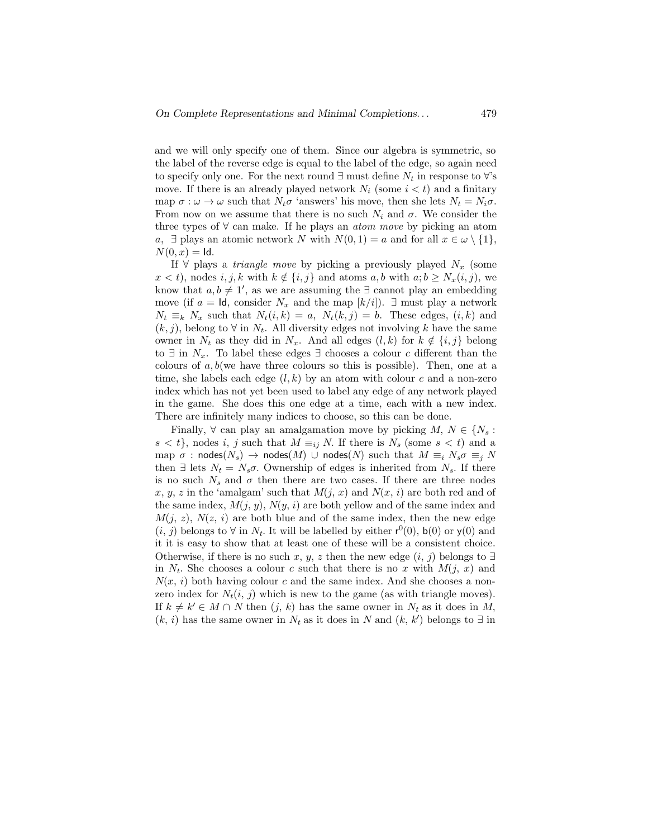the label of the reverse edge is equal to the label of the edge, so again need to specify only one. For the next round  $\exists$  must define  $N_t$  in response to  $\forall$ 's move. If there is an already played network  $N_i$  (some  $i < t$ ) and a finitary map  $\sigma : \omega \to \omega$  such that  $N_t \sigma$  'answers' his move, then she lets  $N_t = N_i \sigma$ . From now on we assume that there is no such  $N_i$  and  $\sigma$ . We consider the three types of  $\forall$  can make. If he plays an *atom move* by picking an atom a,  $\exists$  plays an atomic network N with  $N(0, 1) = a$  and for all  $x \in \omega \setminus \{1\},\$  $N(0, x) =$  Id. and we will only specify one of them. Since our algebra is symmetric, so

If  $\forall$  plays a *triangle move* by picking a previously played  $N_x$  (some  $x < t$ , nodes i, j, k with  $k \notin \{i, j\}$  and atoms a, b with  $a; b \ge N_x(i, j)$ , we know that  $a, b \neq 1'$ , as we are assuming the  $\exists$  cannot play an embedding move (if  $a = \text{Id}$ , consider  $N_x$  and the map  $\lfloor k/i \rfloor$ ).  $\exists$  must play a network  $N_t \equiv_k N_x$  such that  $N_t(i, k) = a$ ,  $N_t(k, j) = b$ . These edges,  $(i, k)$  and  $(k, j)$ , belong to  $\forall$  in  $N_t$ . All diversity edges not involving k have the same owner in  $N_t$  as they did in  $N_x$ . And all edges  $(l, k)$  for  $k \notin \{i, j\}$  belong to  $\exists$  in  $N_x$ . To label these edges  $\exists$  chooses a colour c different than the colours of  $a, b$  (we have three colours so this is possible). Then, one at a time, she labels each edge  $(l, k)$  by an atom with colour c and a non-zero index which has not yet been used to label any edge of any network played in the game. She does this one edge at a time, each with a new index. There are infinitely many indices to choose, so this can be done.

Finally,  $\forall$  can play an amalgamation move by picking M,  $N \in \{N_s :$  $s < t$ , nodes i, j such that  $M \equiv_{ij} N$ . If there is  $N_s$  (some  $s < t$ ) and a map  $\sigma$  : nodes( $N_s$ )  $\rightarrow$  nodes( $M$ ) ∪ nodes( $N$ ) such that  $M \equiv_i N_s \sigma \equiv_i N$ then  $\exists$  lets  $N_t = N_s \sigma$ . Ownership of edges is inherited from  $N_s$ . If there is no such  $N_s$  and  $\sigma$  then there are two cases. If there are three nodes x, y, z in the 'amalgam' such that  $M(j, x)$  and  $N(x, i)$  are both red and of the same index,  $M(j, y)$ ,  $N(y, i)$  are both yellow and of the same index and  $M(j, z)$ ,  $N(z, i)$  are both blue and of the same index, then the new edge  $(i, j)$  belongs to  $\forall$  in  $N_t$ . It will be labelled by either  $r^0(0)$ ,  $b(0)$  or  $y(0)$  and it it is easy to show that at least one of these will be a consistent choice. Otherwise, if there is no such x, y, z then the new edge  $(i, j)$  belongs to  $\exists$ in  $N_t$ . She chooses a colour c such that there is no x with  $M(j, x)$  and  $N(x, i)$  both having colour c and the same index. And she chooses a nonzero index for  $N_t(i, j)$  which is new to the game (as with triangle moves). If  $k \neq k' \in M \cap N$  then  $(j, k)$  has the same owner in  $N_t$  as it does in M,  $(k, i)$  has the same owner in  $N_t$  as it does in N and  $(k, k')$  belongs to  $\exists$  in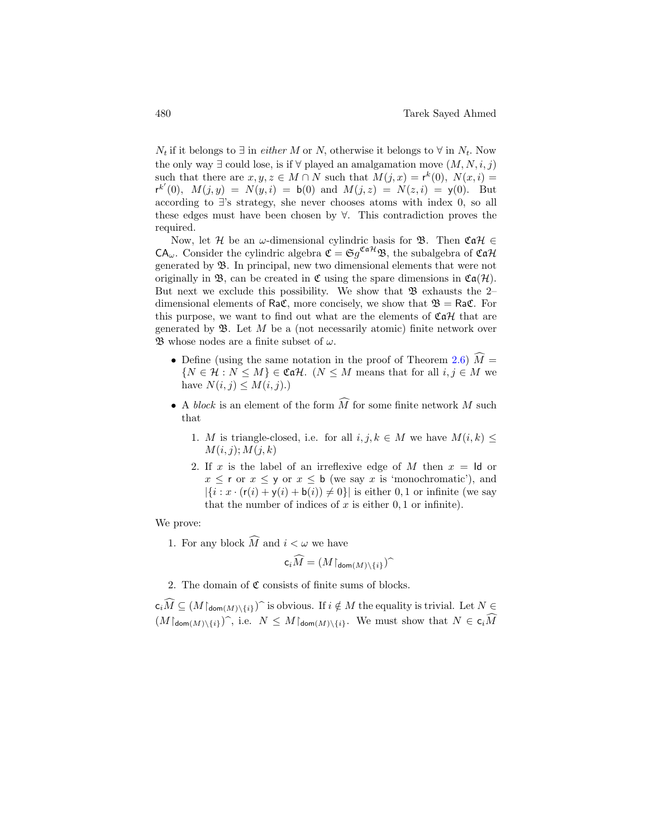the only way  $\exists$  could lose, is if  $\forall$  played an amalgamation move  $(M, N, i, j)$ such that there are  $x, y, z \in M \cap N$  such that  $M(j, x) = r^k(0), N(x, i) =$  $r^{k'}(0)$ ,  $M(j, y) = N(y, i) = b(0)$  and  $M(j, z) = N(z, i) = y(0)$ . But according to ∃'s strategy, she never chooses atoms with index 0, so all these edges must have been chosen by ∀. This contradiction proves the required.  $N_t$  if it belongs to  $\exists$  in *either* M or N, otherwise it belongs to  $\forall$  in  $N_t$ . Now

Now, let H be an  $\omega$ -dimensional cylindric basis for B. Then  $\mathfrak{Cat} \in$  $CA_{\omega}$ . Consider the cylindric algebra  $\mathfrak{C} = \mathfrak{S} g^{\mathfrak{Cat}\mathcal{H}} \mathfrak{B}$ , the subalgebra of  $\mathfrak{Cat}\mathcal{H}$ generated by B. In principal, new two dimensional elements that were not originally in  $\mathfrak{B}$ , can be created in  $\mathfrak{C}$  using the spare dimensions in  $\mathfrak{Ca}(\mathcal{H})$ . But next we exclude this possibility. We show that  $\mathfrak{B}$  exhausts the 2– dimensional elements of RaC, more concisely, we show that  $\mathfrak{B} = \mathsf{Ra} \mathfrak{C}$ . For this purpose, we want to find out what are the elements of  $\mathfrak{Cat}$  that are generated by  $\mathfrak{B}$ . Let M be a (not necessarily atomic) finite network over B whose nodes are a finite subset of  $\omega$ .

- Define (using the same notation in the proof of Theorem [2.6\)](#page-9-0)  $\widehat{M}$  =  $\{N \in \mathcal{H} : N \leq M\} \in \mathfrak{Cat}\mathcal{H}.$  ( $N \leq M$  means that for all  $i, j \in M$  we have  $N(i, j) \leq M(i, j)$ .
- A block is an element of the form  $\widehat{M}$  for some finite network M such that
	- 1. M is triangle-closed, i.e. for all  $i, j, k \in M$  we have  $M(i, k) \leq$  $M(i, j); M(j, k)$
	- 2. If x is the label of an irreflexive edge of M then  $x = \mathsf{Id}$  or  $x \leq r$  or  $x \leq y$  or  $x \leq b$  (we say x is 'monochromatic'), and  $|\{i : x \cdot (\mathsf{r}(i) + \mathsf{y}(i) + \mathsf{b}(i)) \neq 0\}|$  is either 0, 1 or infinite (we say that the number of indices of  $x$  is either  $0, 1$  or infinite).

We prove:

1. For any block  $\widehat{M}$  and  $i < \omega$  we have

$$
\mathsf{c}_i\widehat{M}=(M\!\upharpoonright_{\mathsf{dom}(M)\setminus\{i\}})^{\widehat{\mathsf{d}}}
$$

2. The domain of  $\mathfrak C$  consists of finite sums of blocks.

 $c_i\tilde{M} \subseteq (M\upharpoonright_{\text{dom}(M)\setminus\{i\}})$  is obvious. If  $i \notin M$  the equality is trivial. Let  $N \in$  $(M\vert_{\text{dom}(M)\setminus\{i\}})$ , i.e.  $N \leq M\vert_{\text{dom}(M)\setminus\{i\}}$ . We must show that  $N \in c_i\widehat{M}$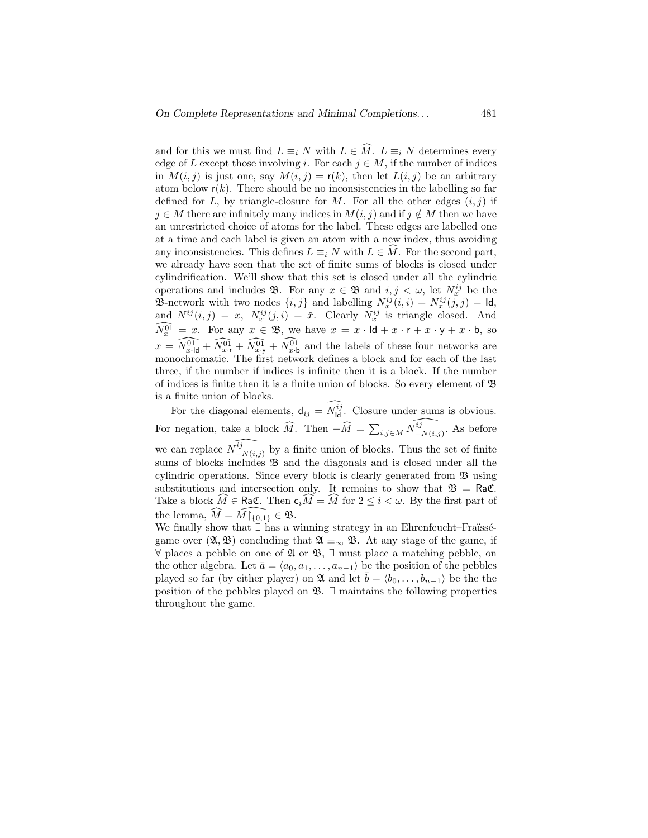and for this we must find  $L \equiv_i N$  with  $L \in \widehat{M}$ .  $L \equiv_i N$  determines every edge of L except those involving i. For each  $j \in M$ , if the number of indices in  $M(i, j)$  is just one, say  $M(i, j) = r(k)$ , then let  $L(i, j)$  be an arbitrary atom below  $r(k)$ . There should be no inconsistencies in the labelling so far defined for L, by triangle-closure for M. For all the other edges  $(i, j)$  if  $j \in M$  there are infinitely many indices in  $M(i, j)$  and if  $j \notin M$  then we have an unrestricted choice of atoms for the label. These edges are labelled one at a time and each label is given an atom with a new index, thus avoiding any inconsistencies. This defines  $L \equiv_i N$  with  $L \in M$ . For the second part, we already have seen that the set of finite sums of blocks is closed under cylindrification. We'll show that this set is closed under all the cylindric operations and includes  $\mathfrak{B}$ . For any  $x \in \mathfrak{B}$  and  $i, j < \omega$ , let  $N_x^{ij}$  be the **3**-network with two nodes  $\{i, j\}$  and labelling  $N_x^{ij}(i, i) = N_x^{ij}(j, j) = \mathsf{Id}$ , and  $N^{ij}(i,j) = x$ ,  $N_x^{ij}(j,i) = \tilde{x}$ . Clearly  $N_x^{ij}$  is triangle closed. And  $N_x^{01} = x$ . For any  $x \in \mathfrak{B}$ , we have  $x = x \cdot \mathsf{Id} + x \cdot \mathsf{r} + x \cdot \mathsf{y} + x \cdot \mathsf{b}$ , so  $x = \widehat{N_{x\cdot d}^{01}} + \widehat{N_{x\cdot r}^{01}} + \widehat{N_{x\cdot b}^{01}}$  and the labels of these four networks are monochromatic. The first network defines a block and for each of the last three, if the number if indices is infinite then it is a block. If the number of indices is finite then it is a finite union of blocks. So every element of  $\mathfrak{B}$ is a finite union of blocks.

For the diagonal elements,  $d_{ij} = N_{\text{ld}}^{ij}$ . Closure under sums is obvious. For negation, take a block  $\widehat{M}$ . Then  $-\widehat{M} = \sum_{i,j\in M} \widehat{N_{-N(i,j)}^{ij}}$ . As before we can replace  $\widehat{N_{-N(i,j)}^{ij}}$  by a finite union of blocks. Thus the set of finite sums of blocks includes  $\mathfrak{B}$  and the diagonals and is closed under all the cylindric operations. Since every block is clearly generated from  $\mathfrak{B}$  using substitutions and intersection only. It remains to show that  $\mathfrak{B} = \mathsf{Ra}\mathfrak{C}$ . Take a block  $\hat{M} \in \text{Ra}\mathfrak{C}$ . Then  $c_i\hat{M} = \hat{M}$  for  $2 \leq i \leq \omega$ . By the first part of the lemma,  $\widehat{M} = \widehat{M} \upharpoonright_{\{0,1\}} \in \mathfrak{B}.$ 

We finally show that  $\exists$  has a winning strategy in an Ehrenfeucht–Fraüsségame over  $(\mathfrak{A}, \mathfrak{B})$  concluding that  $\mathfrak{A} \equiv_{\infty} \mathfrak{B}$ . At any stage of the game, if  $∀$  places a pebble on one of  $\mathfrak{A}$  or  $\mathfrak{B}, \exists$  must place a matching pebble, on the other algebra. Let  $\bar{a} = \langle a_0, a_1, \ldots, a_{n-1} \rangle$  be the position of the pebbles played so far (by either player) on  $\mathfrak{A}$  and let  $\bar{b} = \langle b_0, \ldots, b_{n-1} \rangle$  be the the position of the pebbles played on  $\mathfrak{B}$ .  $\exists$  maintains the following properties throughout the game.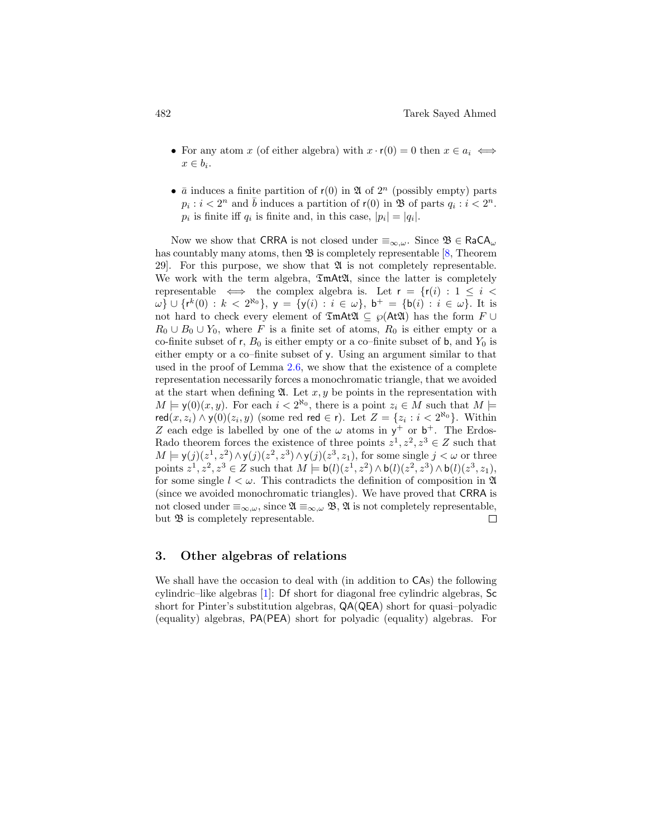- For any atom x (of either algebra) with  $x \cdot r(0) = 0$  then  $x \in a_i \iff$  $x \in b_i$ .
- $\bar{a}$  induces a finite partition of  $r(0)$  in  $\mathfrak A$  of  $2^n$  (possibly empty) parts  $p_i : i < 2^n$  and  $\overline{b}$  induces a partition of  $r(0)$  in  $\mathfrak{B}$  of parts  $q_i : i < 2^n$ .  $p_i$  is finite iff  $q_i$  is finite and, in this case,  $|p_i| = |q_i|$ .

Now we show that CRRA is not closed under  $\equiv_{\infty,\omega}$ . Since  $\mathfrak{B} \in \text{RaCA}_{\omega}$ has countably many atoms, then  $\mathfrak{B}$  is completely representable [\[8,](#page-44-2) Theorem 29. For this purpose, we show that  $\mathfrak A$  is not completely representable. We work with the term algebra,  $\mathfrak{Im}A\mathfrak{L}A$ , since the latter is completely representable  $\iff$  the complex algebra is. Let  $r = \{r(i) : 1 \leq i \leq n\}$  $ω$ } ∪ { $r^k(0) : k < 2^{\aleph_0}$ }, y = {y(i) : i ∈ ω}, b<sup>+</sup> = {b(i) : i ∈ ω}. It is not hard to check every element of  $\mathfrak{Im}A\mathfrak{A} \subseteq \wp(A\mathfrak{A})$  has the form  $F \cup$  $R_0 \cup B_0 \cup Y_0$ , where F is a finite set of atoms,  $R_0$  is either empty or a co-finite subset of r,  $B_0$  is either empty or a co-finite subset of b, and  $Y_0$  is either empty or a co–finite subset of y. Using an argument similar to that used in the proof of Lemma [2.6,](#page-9-0) we show that the existence of a complete representation necessarily forces a monochromatic triangle, that we avoided at the start when defining  $\mathfrak{A}$ . Let x, y be points in the representation with  $M \models \mathsf{y}(0)(x, y)$ . For each  $i < 2^{\aleph_0}$ , there is a point  $z_i \in M$  such that  $M \models$ red $(x, z_i) \wedge y(0)(z_i, y)$  (some red red  $\in$  r). Let  $Z = \{z_i : i < 2^{\aleph_0}\}\.$  Within Z each edge is labelled by one of the  $\omega$  atoms in  $y^+$  or  $b^+$ . The Erdos-Rado theorem forces the existence of three points  $z^1, z^2, z^3 \in Z$  such that  $M \models \mathsf{y}(j)(z^1, z^2) \land \mathsf{y}(j)(z^2, z^3) \land \mathsf{y}(j)(z^3, z_1)$ , for some single  $j < \omega$  or three points  $z^1, z^2, z^3 \in Z$  such that  $M \models b(l)(z^1, z^2) \wedge b(l)(z^2, z^3) \wedge b(l)(z^3, z_1)$ , for some single  $l < \omega$ . This contradicts the definition of composition in  $\mathfrak{A}$ (since we avoided monochromatic triangles). We have proved that CRRA is not closed under  $\equiv_{\infty,\omega}$ , since  $\mathfrak{A} \equiv_{\infty,\omega} \mathfrak{B}, \mathfrak{A}$  is not completely representable, but  $\mathfrak B$  is completely representable.  $\Box$ 

# <span id="page-17-0"></span>3. Other algebras of relations

We shall have the occasion to deal with (in addition to CAs) the following cylindric–like algebras [\[1\]](#page-43-3): Df short for diagonal free cylindric algebras, Sc short for Pinter's substitution algebras, QA(QEA) short for quasi–polyadic (equality) algebras, PA(PEA) short for polyadic (equality) algebras. For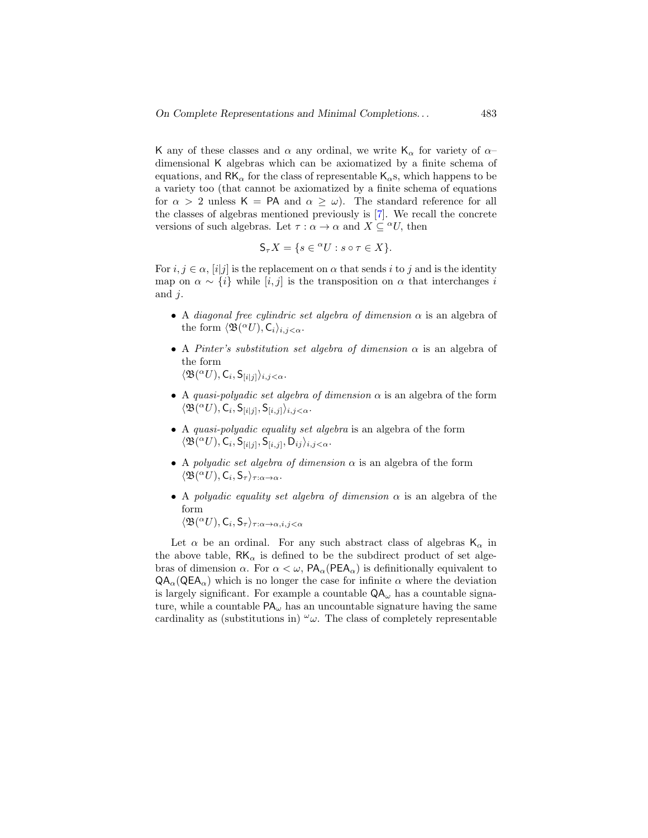K any of these classes and  $\alpha$  any ordinal, we write  $\mathsf{K}_{\alpha}$  for variety of  $\alpha$ dimensional K algebras which can be axiomatized by a finite schema of equations, and RK $_{\alpha}$  for the class of representable K<sub> $_{\alpha}$ </sub>s, which happens to be a variety too (that cannot be axiomatized by a finite schema of equations for  $\alpha > 2$  unless  $\mathsf{K} = \mathsf{PA}$  and  $\alpha > \omega$ ). The standard reference for all the classes of algebras mentioned previously is [\[7\]](#page-44-1). We recall the concrete versions of such algebras. Let  $\tau : \alpha \to \alpha$  and  $X \subseteq {}^{\alpha}U$ , then

$$
S_{\tau}X = \{ s \in {}^{\alpha}U : s \circ \tau \in X \}.
$$

For  $i, j \in \alpha$ ,  $[i]$  is the replacement on  $\alpha$  that sends i to j and is the identity map on  $\alpha \sim \{i\}$  while  $[i, j]$  is the transposition on  $\alpha$  that interchanges i and  $i$ .

- A diagonal free cylindric set algebra of dimension  $\alpha$  is an algebra of the form  $\langle \mathfrak{B}({}^{\alpha}U), \mathsf{C}_i \rangle_{i,j < \alpha}$ .
- A Pinter's substitution set algebra of dimension  $\alpha$  is an algebra of the form  $\langle \mathfrak{B}({}^{\alpha}U), \mathsf{C}_i, \mathsf{S}_{[i|j]}\rangle_{i,j<\alpha}.$
- A quasi-polyadic set algebra of dimension  $\alpha$  is an algebra of the form  $\langle \mathfrak{B}({}^{\alpha}U), \mathsf{C}_i, \mathsf{S}_{[i|j]}, \mathsf{S}_{[i,j]}\rangle_{i,j < \alpha}.$
- A quasi-polyadic equality set algebra is an algebra of the form  $\langle \mathfrak{B}({}^{\alpha}U), \mathsf{C}_i, \mathsf{S}_{[i|j]}, \mathsf{S}_{[i,j]}, \mathsf{D}_{ij} \rangle_{i,j < \alpha}.$
- A polyadic set algebra of dimension  $\alpha$  is an algebra of the form  $\langle \mathfrak{B}({}^{\alpha}U), \mathsf{C}_i, \mathsf{S}_{\tau} \rangle_{\tau : \alpha \to \alpha}.$
- A polyadic equality set algebra of dimension  $\alpha$  is an algebra of the form  $\langle \mathfrak{B}({}^{\alpha}U), \mathsf{C}_i, \mathsf{S}_{\tau} \rangle_{\tau:\alpha \to \alpha, i, j < \alpha}$

Let  $\alpha$  be an ordinal. For any such abstract class of algebras  $\mathsf{K}_{\alpha}$  in the above table,  $RK_{\alpha}$  is defined to be the subdirect product of set algebras of dimension  $\alpha$ . For  $\alpha < \omega$ ,  $PA_{\alpha}$ (PEA<sub> $\alpha$ </sub>) is definitionally equivalent to  $QA_{\alpha}$ ( $QEA_{\alpha}$ ) which is no longer the case for infinite  $\alpha$  where the deviation is largely significant. For example a countable  $QA_{\omega}$  has a countable signature, while a countable  $PA_{\omega}$  has an uncountable signature having the same cardinality as (substitutions in)  $\omega$ . The class of completely representable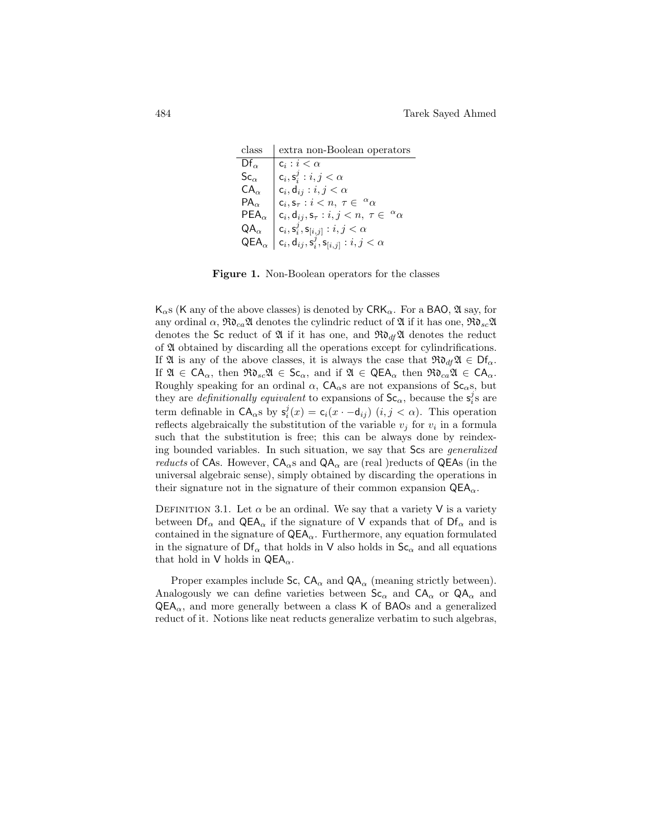class extra non-Boolean operators  $Df_\alpha$  $\boxed{c_i : i < \alpha}$  $\mathsf{Sc}_\alpha \quad \Big|\ \mathsf{c}_i, \mathsf{s}_i^j : i,j < \alpha$  $\mathsf{CA}_{\alpha} \quad | \mathsf{c}_i, \mathsf{d}_{ij} : i,j < \alpha$  $PA_{\alpha}$  $, \mathsf{s}_\tau : i < n, \ \tau \in \ ^{\alpha}\alpha$  $\mathsf{PEA}_{\alpha} \mid \mathsf{c}_i, \mathsf{d}_{ij}, \mathsf{s}_{\tau} : i, j < n, \ \tau \in \ {}^{\alpha}\alpha$  $\mathsf{QA}_{\alpha} \quad \Big| \begin{array}{l} \mathsf{c}_i, \mathsf{s}_i^j, \mathsf{s}_{[i,j]}: i, j < \alpha \end{array}$  $\mathsf{QEA}_{\alpha}\ \left|\ \mathsf{c}_i,\mathsf{d}_{ij},\mathsf{s}_i^j,\mathsf{s}_{[i,j]}:i,j<\alpha\right.$ 

Figure 1. Non-Boolean operators for the classes

 $K_{\alpha}$ s (K any of the above classes) is denoted by CR $K_{\alpha}$ . For a BAO,  $\mathfrak{A}$  say, for any ordinal  $\alpha$ ,  $\Re\delta_{ca}\mathfrak{A}$  denotes the cylindric reduct of  $\mathfrak{A}$  if it has one,  $\Re\delta_{sc}\mathfrak{A}$ denotes the Sc reduct of  $\mathfrak{A}$  if it has one, and  $\mathfrak{R}ol_{d} \mathfrak{A}$  denotes the reduct of A obtained by discarding all the operations except for cylindrifications. If  $\mathfrak{A}$  is any of the above classes, it is always the case that  $\mathfrak{R} \mathfrak{d}_{d} \mathfrak{A} \in \mathsf{D} \mathfrak{f}_{\alpha}$ . If  $\mathfrak{A} \in CA_{\alpha}$ , then  $\mathfrak{R}_{\alpha} \mathfrak{A} \in \mathsf{Sc}_{\alpha}$ , and if  $\mathfrak{A} \in \mathsf{QEA}_{\alpha}$  then  $\mathfrak{R}_{\alpha} \mathfrak{A} \in CA_{\alpha}$ . Roughly speaking for an ordinal  $\alpha$ ,  $CA_{\alpha}$ s are not expansions of  $Sc_{\alpha}$ s, but they are *definitionally equivalent* to expansions of  $Sc_{\alpha}$ , because the  $s_i^j s$  are term definable in  $CA_{\alpha}$ s by  $s_i^j(x) = c_i(x - d_{ij})$   $(i, j < \alpha)$ . This operation reflects algebraically the substitution of the variable  $v_j$  for  $v_i$  in a formula such that the substitution is free; this can be always done by reindexing bounded variables. In such situation, we say that Scs are generalized *reducts* of CAs. However,  $CA_{\alpha}$ s and  $QA_{\alpha}$  are (real )reducts of QEAs (in the universal algebraic sense), simply obtained by discarding the operations in their signature not in the signature of their common expansion  $QEA_{\alpha}$ .

DEFINITION 3.1. Let  $\alpha$  be an ordinal. We say that a variety V is a variety between  $\mathsf{Df}_{\alpha}$  and  $\mathsf{QEA}_{\alpha}$  if the signature of V expands that of  $\mathsf{Df}_{\alpha}$  and is contained in the signature of  $QEA_{\alpha}$ . Furthermore, any equation formulated in the signature of  $\mathrm{Df}_{\alpha}$  that holds in  $\mathrm{V}$  also holds in  $\mathrm{Sc}_{\alpha}$  and all equations that hold in V holds in  $QEA_{\alpha}$ .

Proper examples include Sc,  $CA_{\alpha}$  and  $QA_{\alpha}$  (meaning strictly between). Analogously we can define varieties between  $Sc_{\alpha}$  and  $CA_{\alpha}$  or  $QA_{\alpha}$  and  $QEA_{\alpha}$ , and more generally between a class K of BAOs and a generalized reduct of it. Notions like neat reducts generalize verbatim to such algebras,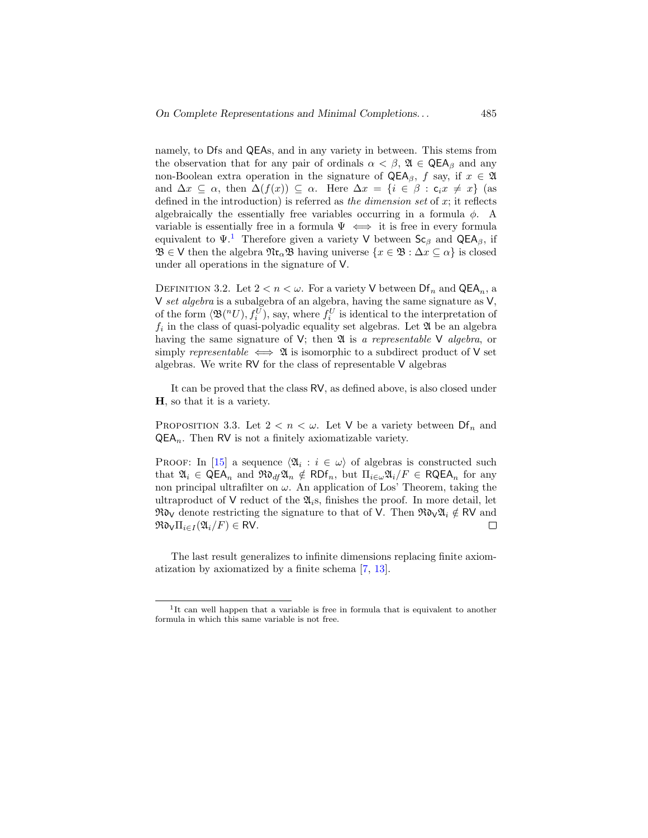namely, to Dfs and QEAs, and in any variety in between. This stems from the observation that for any pair of ordinals  $\alpha < \beta$ ,  $\mathfrak{A} \in \mathsf{QEA}_{\beta}$  and any non-Boolean extra operation in the signature of  $QEA_\beta$ , f say, if  $x \in \mathfrak{A}$ and  $\Delta x \subseteq \alpha$ , then  $\Delta(f(x)) \subseteq \alpha$ . Here  $\Delta x = \{i \in \beta : c_i x \neq x\}$  (as defined in the introduction) is referred as the dimension set of  $x$ ; it reflects algebraically the essentially free variables occurring in a formula  $\phi$ . A variable is essentially free in a formula  $\Psi \iff$  it is free in every formula equivalent to  $\Psi^1$  $\Psi^1$ . Therefore given a variety V between  $\mathsf{Sc}_\beta$  and QEA<sub>β</sub>, if  $\mathfrak{B} \in \mathsf{V}$  then the algebra  $\mathfrak{N} \mathfrak{r}_{\alpha} \mathfrak{B}$  having universe  $\{x \in \mathfrak{B} : \Delta x \subseteq \alpha\}$  is closed under all operations in the signature of V.

DEFINITION 3.2. Let  $2 < n < \omega$ . For a variety V between  $\mathsf{Df}_n$  and  $\mathsf{QEA}_n$ , a V set algebra is a subalgebra of an algebra, having the same signature as  $V$ . of the form  $\langle \mathfrak{B}(^nU), f_i^U \rangle$ , say, where  $f_i^U$  is identical to the interpretation of  $f_i$  in the class of quasi-polyadic equality set algebras. Let  $\mathfrak A$  be an algebra having the same signature of V; then  $\mathfrak A$  is a representable V algebra, or simply representable  $\iff$  2 is isomorphic to a subdirect product of V set algebras. We write RV for the class of representable V algebras

It can be proved that the class RV, as defined above, is also closed under H, so that it is a variety.

PROPOSITION 3.3. Let  $2 < n < \omega$ . Let V be a variety between  $\text{Df}_n$  and  $QEA_n$ . Then RV is not a finitely axiomatizable variety.

PROOF: In [\[15\]](#page-44-9) a sequence  $\langle \mathfrak{A}_i : i \in \omega \rangle$  of algebras is constructed such that  $\mathfrak{A}_i \in \mathsf{QEA}_n$  and  $\mathfrak{Rd}_d\mathfrak{A}_n \notin \mathsf{RDF}_n$ , but  $\Pi_{i\in\omega}\mathfrak{A}_i/F \in \mathsf{RQEA}_n$  for any non principal ultrafilter on  $\omega$ . An application of Los' Theorem, taking the ultraproduct of V reduct of the  $\mathfrak{A}_i$ s, finishes the proof. In more detail, let  $\Re\mathfrak{d}_V$  denote restricting the signature to that of V. Then  $\Re\mathfrak{d}_V\mathfrak{A}_i \notin \mathsf{RV}$  and  $\Re\mathfrak{d}_V\Pi_{i\in I}(\mathfrak{A}_i/F)\in \mathsf{RV}.$  $\Box$ 

The last result generalizes to infinite dimensions replacing finite axiomatization by axiomatized by a finite schema [\[7,](#page-44-1) [13\]](#page-44-7).

<sup>&</sup>lt;sup>1</sup>It can well happen that a variable is free in formula that is equivalent to another formula in which this same variable is not free.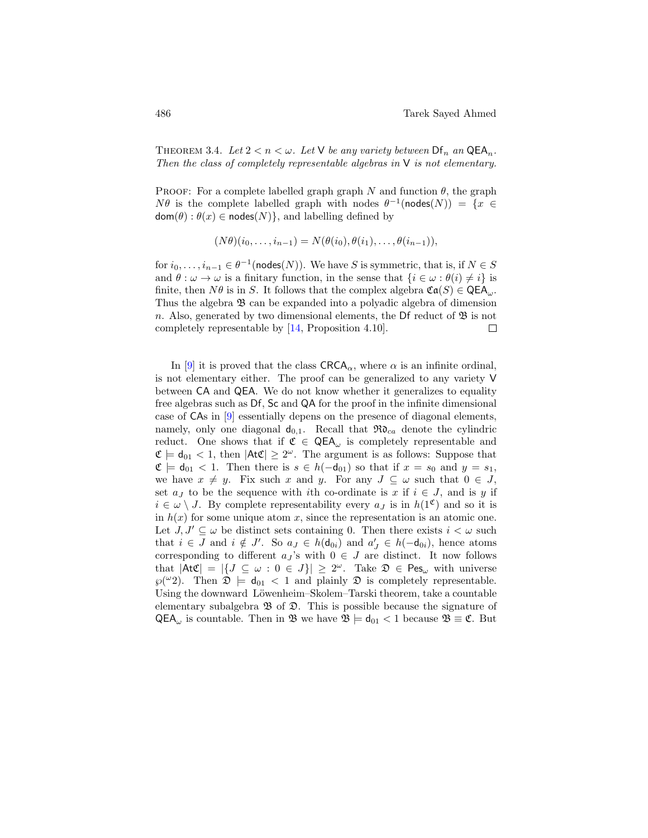THEOREM 3.4. Let  $2 < n < \omega$ . Let V be any variety between  $\mathsf{Df}_n$  an  $\mathsf{QEA}_n$ . Then the class of completely representable algebras in  $V$  is not elementary.

PROOF: For a complete labelled graph graph N and function  $\theta$ , the graph  $N\theta$  is the complete labelled graph with nodes  $\theta^{-1}(\text{nodes}(N)) = \{x \in$  $dom(\theta) : \theta(x) \in nodes(N)$ , and labelling defined by

$$
(N\theta)(i_0,\ldots,i_{n-1})=N(\theta(i_0),\theta(i_1),\ldots,\theta(i_{n-1})),
$$

for  $i_0, \ldots, i_{n-1} \in \theta^{-1}(\textsf{nodes}(N)).$  We have S is symmetric, that is, if  $N \in S$ and  $\theta : \omega \to \omega$  is a finitary function, in the sense that  $\{i \in \omega : \theta(i) \neq i\}$  is finite, then  $N\theta$  is in S. It follows that the complex algebra  $\mathfrak{Ca}(S) \in \mathsf{QEA}_{\omega}$ . Thus the algebra  $\mathfrak{B}$  can be expanded into a polyadic algebra of dimension n. Also, generated by two di[men](#page-44-10)sional elements, the Df reduct of  $\mathfrak{B}$  is not completely representable by [14, Proposition 4.10].  $\Box$ 

In [\[9\]](#page-44-0) it is proved that the class  $\text{C RCA}_{\alpha}$ , where  $\alpha$  is an infinite ordinal, is not elementary either. The proof can be generalized to any variety V between CA and QEA. We do not know whether it generalizes to equality free algebras such as Df, Sc and QA for the proof in the infinite dimensional case of CAs in [\[9\]](#page-44-0) essentially depens on the presence of diagonal elements, namely, only one diagonal  $d_{0,1}$ . Recall that  $\Re\mathfrak{d}_{ca}$  denote the cylindric reduct. One shows that if  $\mathfrak{C} \in \mathsf{QEA}_{\omega}$  is completely representable and  $\mathfrak{C} \models \mathsf{d}_{01} < 1$ , then  $|\mathsf{At}\mathfrak{C}| \geq 2^\omega$ . The argument is as follows: Suppose that  $\mathfrak{C} \models \mathsf{d}_{01} < 1$ . Then there is  $s \in h(-\mathsf{d}_{01})$  so that if  $x = s_0$  and  $y = s_1$ , we have  $x \neq y$ . Fix such x and y. For any  $J \subseteq \omega$  such that  $0 \in J$ , set  $a_j$  to be the sequence with ith co-ordinate is x if  $i \in J$ , and is y if  $i \in \omega \setminus J$ . By complete representability every  $a_j$  is in  $h(1^{\mathfrak{C}})$  and so it is in  $h(x)$  for some unique atom x, since the representation is an atomic one. Let  $J, J' \subseteq \omega$  be distinct sets containing 0. Then there exists  $i < \omega$  such that  $i \in J$  and  $i \notin J'$ . So  $a_J \in h(\mathsf{d}_{0i})$  and  $a'_J \in h(\mathsf{d}_{0i})$ , hence atoms corresponding to different  $a_j$ 's with  $0 \in J$  are distinct. It now follows that  $|\text{At}\mathfrak{C}| = |\{J \subseteq \omega : 0 \in J\}| \geq 2^{\omega}$ . Take  $\mathfrak{D} \in \text{Pes}_{\omega}$  with universe  $\wp({}^{\omega_2})$ . Then  $\mathfrak{D} \models \mathsf{d}_{01} < 1$  and plainly  $\mathfrak{D}$  is completely representable. Using the downward Löwenheim–Skolem–Tarski theorem, take a countable elementary subalgebra  $\mathfrak B$  of  $\mathfrak D$ . This is possible because the signature of  $QEA_{\omega}$  is countable. Then in  $\mathfrak{B}$  we have  $\mathfrak{B} \models d_{01} < 1$  because  $\mathfrak{B} \equiv \mathfrak{C}$ . But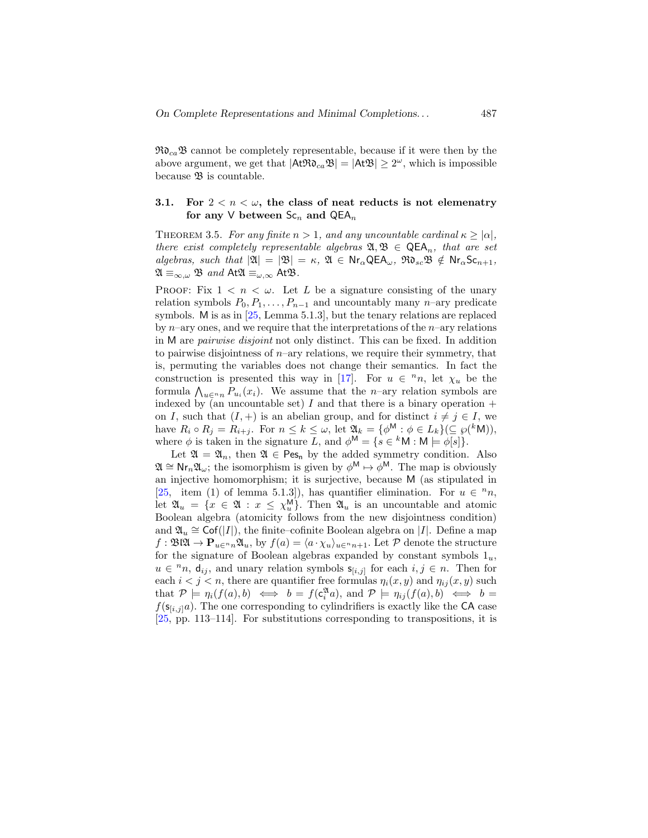$\Re\mathfrak{d}_{ca}\mathfrak{B}$  cannot be completely representable, because if it were then by the above argument, we get that  $|\mathsf{At}\mathfrak{R}_{c_a}\mathfrak{B}| = |\mathsf{At}\mathfrak{B}| \geq 2^\omega$ , which is impossible because  $\mathfrak B$  is countable.

### <span id="page-22-0"></span>3.1. For  $2 < n < \omega$ , the class of neat reducts is not elemenatry for any V between  $Sc_n$  and  $QEA_n$

<span id="page-22-1"></span>THEOREM 3.5. For any finite  $n > 1$ , and any uncountable cardinal  $\kappa > |\alpha|$ , there exist completely representable algebras  $\mathfrak{A}, \mathfrak{B} \in \mathsf{QEA}_n$ , that are set algebras, such that  $|\mathfrak{A}| = |\mathfrak{B}| = \kappa$ ,  $\mathfrak{A} \in \mathsf{Nr}_\alpha \mathsf{QEA}_\omega$ ,  $\mathfrak{R} \mathfrak{d}_{sc} \mathfrak{B} \notin \mathsf{Nr}_\alpha \mathsf{Sc}_{n+1}$ ,  $\mathfrak{A} \equiv_{\infty,\omega} \mathfrak{B}$  and  $At\mathfrak{A} \equiv_{\omega,\infty} At\mathfrak{B}$ .

PROOF: Fix  $1 < n < \omega$ . Let L be a signature consisting of the unary relation symbols  $P_0, P_1, \ldots, P_{n-1}$  and uncountably many n–ary predicate symbols. M is as in [\[25,](#page-45-2) Lemma 5.1.3], but the tenary relations are replaced by  $n$ –ary ones, and we require that the interpretations of the  $n$ –ary relations in M are pairwise disjoint not only distinct. This can be fixed. In addition to pairwise disjointness of  $n$ –ary relations, we require their symmetry, that is, permuting the variables does not change their semantics. In fact the construction is presented this way in [\[17\]](#page-44-3). For  $u \in {}^{n}n$ , let  $\chi_{u}$  be the formula  $\bigwedge_{u \in {}^{n}n} P_{u_i}(x_i)$ . We assume that the *n*-ary relation symbols are indexed by (an uncountable set) I and that there is a binary operation  $+$ on I, such that  $(I, +)$  is an abelian group, and for distinct  $i \neq j \in I$ , we have  $R_i \circ R_j = R_{i+j}$ . For  $n \leq k \leq \omega$ , let  $\mathfrak{A}_k = {\phi^{\mathsf{M}}} : \phi \in L_k({\zeta}(\mathfrak{g}(k_{\mathsf{M}}))),$ where  $\phi$  is taken in the signature L, and  $\phi^{\mathsf{M}} = \{s \in {}^{k} \mathsf{M} : \mathsf{M} \models \phi[s]\}.$ 

Let  $\mathfrak{A} = \mathfrak{A}_n$ , then  $\mathfrak{A} \in \text{Pes}_n$  by the added symmetry condition. Also  $\mathfrak{A} \cong \mathsf{Nr}_n \mathfrak{A}_{\omega}$ ; the isomorphism is given by  $\phi^{\mathsf{M}} \mapsto \phi^{\mathsf{M}}$ . The map is obviously an injective homomorphism; it is surjective, because M (as stipulated in [\[25,](#page-45-2) item (1) of lemma 5.1.3]), has quantifier elimination. For  $u \in {}^{n}n$ , let  $\mathfrak{A}_u = \{x \in \mathfrak{A} : x \leq \chi_u^{\mathsf{M}}\}$ . Then  $\mathfrak{A}_u$  is an uncountable and atomic Boolean algebra (atomicity follows from the new disjointness condition) and  $\mathfrak{A}_u \cong \mathrm{Cof}(|I|)$ , the finite–cofinite Boolean algebra on |I|. Define a map  $f : \mathfrak{B} \mathfrak{A} \to \mathbf{P}_{u \in n} \mathfrak{A}_u$ , by  $f(a) = \langle a \cdot \chi_u \rangle_{u \in n+1}$ . Let P denote the structure for the signature of Boolean algebras expanded by constant symbols  $1_u$ ,  $u \in {}^{n}n, d_{ij}$ , and unary relation symbols  $s_{[i,j]}$  for each  $i, j \in n$ . Then for each  $i < j < n$ , there are quantifier free formulas  $\eta_i(x, y)$  and  $\eta_{ij}(x, y)$  such that  $P \models \eta_i(f(a), b) \iff b = f(c_i^{\mathfrak{A}}a)$ , and  $P \models \eta_{ij}(f(a), b) \iff b =$  $f(\mathsf{s}_{[i,j]}a)$ . The one corresponding to cylindrifiers is exactly like the CA case [\[25,](#page-45-2) pp. 113–114]. For substitutions corresponding to transpositions, it is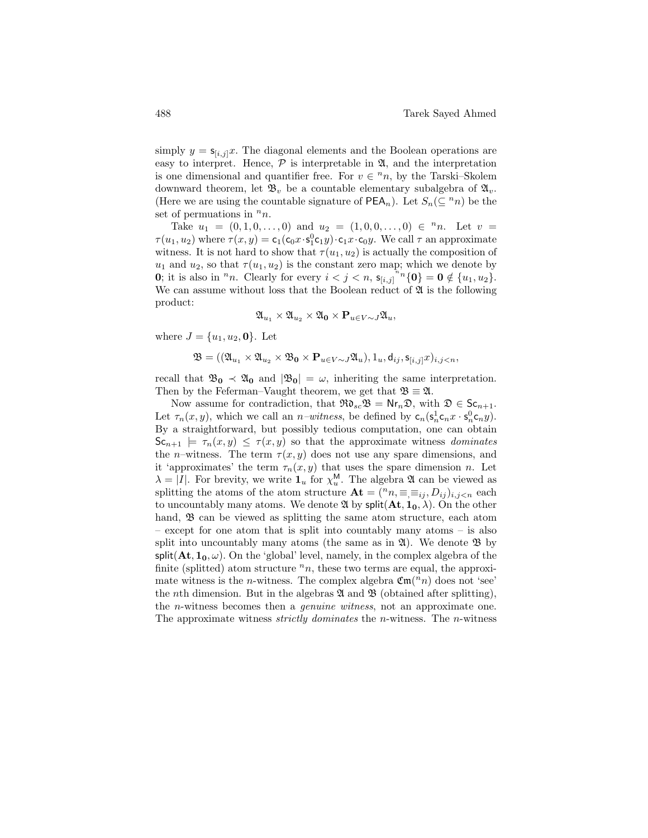simply  $y = s_{[i,j]}x$ . The diagonal elements and the Boolean operations are easy to interpret. Hence,  $\mathcal P$  is interpretable in  $\mathfrak A$ , and the interpretation is one dimensional and quantifier free. For  $v \in {}^{n}n$ , by the Tarski–Skolem downward theorem, let  $\mathfrak{B}_v$  be a countable elementary subalgebra of  $\mathfrak{A}_v$ . (Here we are using the countable signature of  $PEA_n$ ). Let  $S_n(\subset^n n)$  be the set of permuations in  $n_n$ .

Take  $u_1 = (0, 1, 0, \ldots, 0)$  and  $u_2 = (1, 0, 0, \ldots, 0) \in {}^{\mathfrak{n}}n$ . Let  $v =$  $\tau(u_1, u_2)$  where  $\tau(x, y) = c_1(c_0x \cdot s_1^0c_1y) \cdot c_1x \cdot c_0y$ . We call  $\tau$  an approximate witness. It is not hard to show that  $\tau(u_1, u_2)$  is actually the composition of  $u_1$  and  $u_2$ , so that  $\tau(u_1, u_2)$  is the constant zero map; which we denote by **0**; it is also in <sup>n</sup>n. Clearly for every  $i < j < n$ ,  $s_{[i,j]}^{n}$   $\{0\} = 0 \notin \{u_1, u_2\}.$ We can assume without loss that the Boolean reduct of  $\mathfrak A$  is the following product:

$$
\mathfrak{A}_{u_1} \times \mathfrak{A}_{u_2} \times \mathfrak{A}_0 \times \mathbf{P}_{u \in V \sim J} \mathfrak{A}_u,
$$

where  $J = \{u_1, u_2, 0\}$ . Let

 $\mathfrak{B} = ((\mathfrak{A}_{u_1} \times \mathfrak{A}_{u_2} \times \mathfrak{B}_0 \times \mathbf{P}_{u \in V \sim J} \mathfrak{A}_u), 1_u, d_{ij}, \mathbf{s}_{[i,j]} x)_{i,j \leq n},$ 

recall that  $\mathfrak{B}_0 \prec \mathfrak{A}_0$  and  $|\mathfrak{B}_0| = \omega$ , inheriting the same interpretation. Then by the Feferman–Vaught theorem, we get that  $\mathfrak{B} \equiv \mathfrak{A}$ .

Now assume for contradiction, that  $\Re\mathfrak{d}_{sc}\mathfrak{B} = \mathsf{Nr}_n\mathfrak{D}$ , with  $\mathfrak{D} \in \mathsf{Sc}_{n+1}$ . Let  $\tau_n(x, y)$ , which we call an *n-witness*, be defined by  $c_n(s_n^1 c_n x \cdot s_n^0 c_n y)$ . By a straightforward, but possibly tedious computation, one can obtain  $\mathsf{Sc}_{n+1} \models \tau_n(x, y) \leq \tau(x, y)$  so that the approximate witness *dominates* the *n*–witness. The term  $\tau(x, y)$  does not use any spare dimensions, and it 'approximates' the term  $\tau_n(x, y)$  that uses the spare dimension n. Let  $\lambda = |I|$ . For brevity, we write  $\mathbf{1}_u$  for  $\chi_u^{\mathsf{M}}$ . The algebra  $\mathfrak{A}$  can be viewed as splitting the atoms of the atom structure  $\mathbf{At} = ({}^n n, \equiv \equiv i_j, D_{ij} )_{i,j \leq n}$  each to uncountably many atoms. We denote  $\mathfrak{A}$  by split $(\mathbf{At}, \mathbf{1_0}, \lambda)$ . On the other hand,  $\mathfrak{B}$  can be viewed as splitting the same atom structure, each atom – except for one atom that is split into countably many atoms – is also split into uncountably many atoms (the same as in  $\mathfrak{A}$ ). We denote  $\mathfrak{B}$  by split( $\mathbf{At}, \mathbf{1_0}, \omega$ ). On the 'global' level, namely, in the complex algebra of the finite (splitted) atom structure  $n_n$ , these two terms are equal, the approximate witness is the *n*-witness. The complex algebra  $\mathfrak{Cm}(n)$  does not 'see' the *n*th dimension. But in the algebras  $\mathfrak A$  and  $\mathfrak B$  (obtained after splitting), the n-witness becomes then a genuine witness, not an approximate one. The approximate witness *strictly dominates* the *n*-witness. The *n*-witness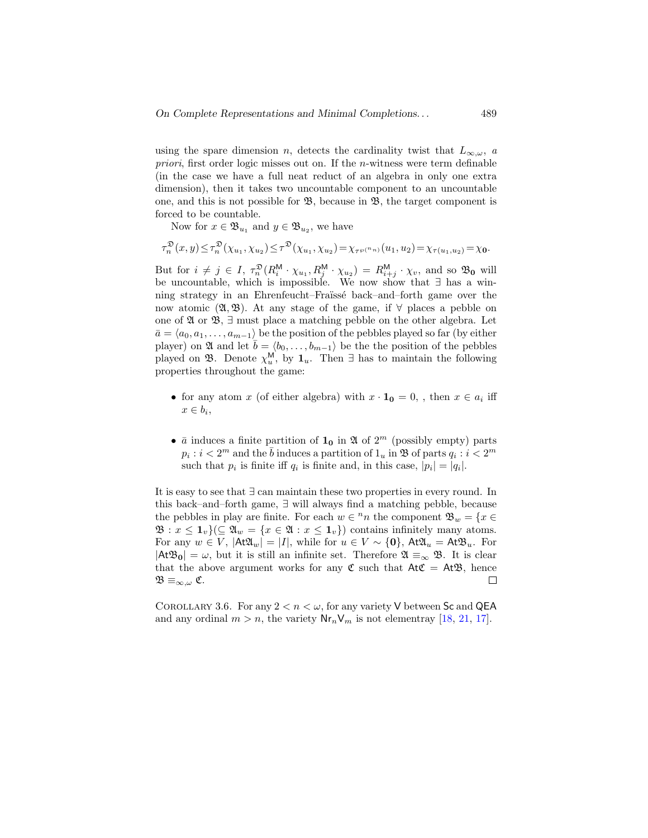using the spare dimension n, detects the cardinality twist that  $L_{\infty,\omega}$ , a *priori*, first order logic misses out on. If the *n*-witness were term definable (in the case we have a full neat reduct of an algebra in only one extra dimension), then it takes two uncountable component to an uncountable one, and this is not possible for  $\mathfrak{B}$ , because in  $\mathfrak{B}$ , the target component is forced to be countable.

Now for  $x \in \mathfrak{B}_{u_1}$  and  $y \in \mathfrak{B}_{u_2}$ , we have

$$
\tau_n^{\mathfrak{D}}(x,y) \leq \tau_n^{\mathfrak{D}}(\chi_{u_1}, \chi_{u_2}) \leq \tau^{\mathfrak{D}}(\chi_{u_1}, \chi_{u_2}) = \chi_{\tau^{\wp(n_n)}}(u_1, u_2) = \chi_{\tau(u_1, u_2)} = \chi_0.
$$

But for  $i \neq j \in I$ ,  $\tau_n^{\mathfrak{D}}(R_i^{\mathsf{M}} \cdot \chi_{u_1}, R_j^{\mathsf{M}} \cdot \chi_{u_2}) = R_{i+j}^{\mathsf{M}} \cdot \chi_v$ , and so  $\mathfrak{B}_0$  will be uncountable, which is impossible. We now show that ∃ has a winning strategy in an Ehrenfeucht–Fraïssé back–and–forth game over the now atomic  $(2, 3)$ . At any stage of the game, if  $\forall$  places a pebble on one of  $\mathfrak A$  or  $\mathfrak B$ ,  $\exists$  must place a matching pebble on the other algebra. Let  $\bar{a} = \langle a_0, a_1, \ldots, a_{m-1} \rangle$  be the position of the pebbles played so far (by either player) on  $\mathfrak A$  and let  $\bar b = \langle b_0, \ldots, b_{m-1} \rangle$  be the the position of the pebbles played on  $\mathfrak{B}$ . Denote  $\chi_u^{\mathsf{M}}$ , by  $\mathbf{1}_u$ . Then  $\exists$  has to maintain the following properties throughout the game:

- for any atom x (of either algebra) with  $x \cdot \mathbf{1}_0 = 0$ , then  $x \in a_i$  iff  $x \in b_i$ ,
- $\bar{a}$  induces a finite partition of  $\mathbf{1}_0$  in  $\mathfrak{A}$  of  $2^m$  (possibly empty) parts  $p_i : i < 2^m$  and the  $\bar{b}$  induces a partition of  $1_u$  in  $\mathfrak B$  of parts  $q_i : i < 2^m$ such that  $p_i$  is finite iff  $q_i$  is finite and, in this case,  $|p_i| = |q_i|$ .

It is easy to see that ∃ can maintain these two properties in every round. In this back–and–forth game, ∃ will always find a matching pebble, because the pebbles in play are finite. For each  $w \in {}^nn$  the component  $\mathfrak{B}_w = \{x \in$  $\mathfrak{B}: x \leq 1_v$   $(\subseteq \mathfrak{A}_w = \{x \in \mathfrak{A} : x \leq 1_v\})$  contains infinitely many atoms. For any  $w \in V$ ,  $|At\mathfrak{A}_w| = |I|$ , while for  $u \in V \sim \{0\}$ ,  $At\mathfrak{A}_u = At\mathfrak{B}_u$ . For  $|A\mathfrak{B}_0| = \omega$ , but it is still an infinite set. Therefore  $\mathfrak{A} \equiv_{\infty} \mathfrak{B}$ . It is clear that the above argument works for any  $\mathfrak C$  such that  $\mathsf{At}\mathfrak C = \mathsf{At}\mathfrak B$ , hence  $\mathfrak{B\equiv}_{\infty,\omega}\mathfrak{C}.$  $\Box$ 

COROLLARY 3.6. For any  $2 < n < \omega$ , for any variety V between Sc and QEA and any ordinal  $m > n$ , the variety  $\mathsf{Nr}_n\mathsf{V}_m$  is not elementray [\[18,](#page-45-3) [21,](#page-45-4) [17\]](#page-44-3).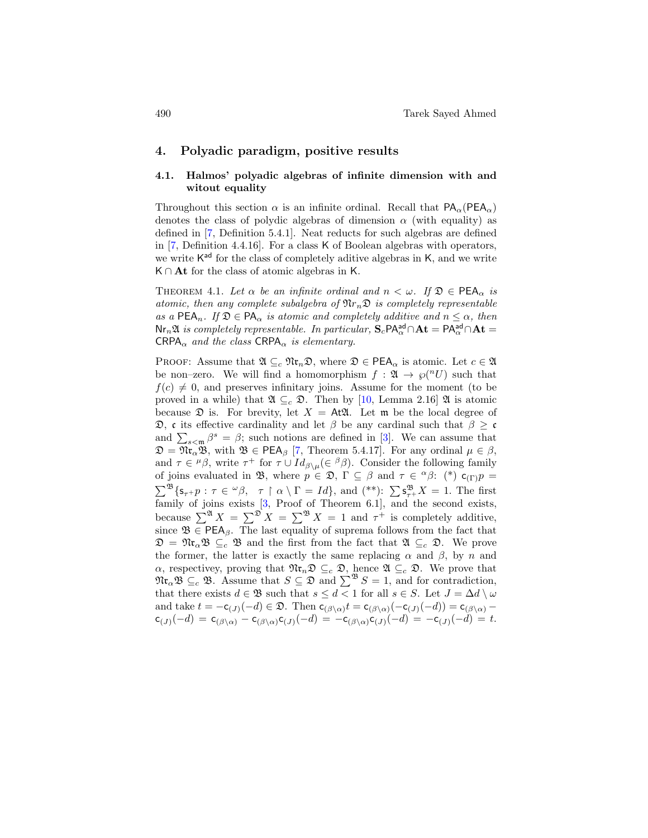## 4. Polyadic paradigm, positive results

### 4.1. Halmos' polyadic algebras of infinite dimension with and witout equality

Throughout this section  $\alpha$  is an infinite ordinal. Recall that  $PA_{\alpha}(PEA_{\alpha})$ denotes the class of polydic algebras of dimension  $\alpha$  (with equality) as defined in [\[7,](#page-44-1) Definition 5.4.1]. Neat reducts for such algebras are defined in [\[7,](#page-44-1) Definition 4.4.16]. For a class K of Boolean algebras with operators, we write  $K^{ad}$  for the class of completely aditive algebras in K, and we write  $K \cap At$  for the class of atomic algebras in K.

<span id="page-25-0"></span>THEOREM 4.1. Let  $\alpha$  be an infinite ordinal and  $n < \omega$ . If  $\mathfrak{D} \in \mathsf{PEA}_{\alpha}$  is atomic, then any complete subalgebra of  $\mathfrak{N}r_n\mathfrak{D}$  is completely representable as a PEA<sub>n</sub>. If  $\mathfrak{D} \in PA_{\alpha}$  is atomic and completely additive and  $n \leq \alpha$ , then  $\text{Nr}_n\mathfrak{A}$  is completely representable. In particular,  $\mathbf{S}_c \mathsf{PA}^{\text{ad}}_{\alpha} \cap \mathbf{At} = \mathsf{PA}^{\text{ad}}_{\alpha} \cap \mathbf{At}$  $CRPA_{\alpha}$  and the class  $CRPA_{\alpha}$  is elementary.

PROOF: Assume that  $\mathfrak{A} \subseteq_c \mathfrak{N} \mathfrak{r}_n \mathfrak{D}$ , where  $\mathfrak{D} \in \text{PEA}_{\alpha}$  is atomic. Let  $c \in \mathfrak{A}$ be non-zero. We will find a homomorphism  $f: \mathfrak{A} \to \varphi(^nU)$  such that  $f(c) \neq 0$ , and preserves infinitary joins. Assume for the moment (to be proved in a while) that  $\mathfrak{A} \subseteq_c \mathfrak{D}$ . Then by [\[10,](#page-44-6) Lemma 2.16]  $\mathfrak{A}$  is atomic because  $\mathfrak D$  is. For brevity, let  $X = At\mathfrak A$ . Let m be the local degree of  $\mathfrak{D}$ **, c its effective cardinality and let β be any cardinal such that**  $β ≥ c$ and  $\sum_{s \leq \mathfrak{m}} \beta^s = \beta$ ; such notions are defined in [\[3\]](#page-43-4). We can assume that  $\mathfrak{D} = \mathfrak{N} \mathfrak{r}_{\alpha} \mathfrak{B}$ , with  $\mathfrak{B} \in \mathsf{PEA}_{\beta}$  [\[7,](#page-44-1) Theorem 5.4.17]. For any ordinal  $\mu \in \beta$ , and  $\tau \in {}^{\mu}\beta$ , write  $\tau^+$  for  $\tau \cup Id_{\beta\setminus\mu}(\in {}^{\beta}\beta)$ . Consider the following family of joins evaluated in **B**, where  $p \in \mathcal{D}$ ,  $\Gamma \subseteq \beta$  and  $\tau \in {}^{\alpha}\beta$ : (\*)  $c_{(\Gamma)}p =$  $\sum^{\mathfrak{B}} \{ \mathsf{s}_{\tau+} p : \tau \in {}^{\omega}\beta, \tau \restriction \alpha \setminus \Gamma = Id \}$ , and  $({}^{**})$ :  $\sum \mathsf{s}_{\tau+}^{\mathfrak{B}} X = 1$ . The first family of joins exists  $[3, \text{Proof of Theorem } 6.1]$ , and the second exists, because  $\sum^{\mathfrak{A}} X = \sum^{\mathfrak{D}} X = \sum^{\mathfrak{B}} X = 1$  and  $\tau^+$  is completely additive, since  $\mathfrak{B} \in \text{PEA}_{\beta}$ . The last equality of suprema follows from the fact that  $\mathfrak{D} = \mathfrak{N} \mathfrak{r}_{\alpha} \mathfrak{B} \subseteq_c \mathfrak{B}$  and the first from the fact that  $\mathfrak{A} \subseteq_c \mathfrak{D}$ . We prove the former, the latter is exactly the same replacing  $\alpha$  and  $\beta$ , by n and  $\alpha$ , respectivey, proving that  $\mathfrak{N}\mathfrak{r}_n\mathfrak{D} \subseteq_c \mathfrak{D}$ , hence  $\mathfrak{A} \subseteq_c \mathfrak{D}$ . We prove that  $\mathfrak{Re}_{\alpha}\mathfrak{B} \subseteq_{c} \mathfrak{B}$ . Assume that  $S \subseteq \mathfrak{D}$  and  $\sum^{\mathfrak{B}} S = 1$ , and for contradiction, that there exists  $d \in \mathfrak{B}$  such that  $s \leq d < 1$  for all  $s \in S$ . Let  $J = \Delta d \setminus \omega$ and take  $t = -c_{(J)}(-d) \in \mathfrak{D}$ . Then  $c_{(\beta \setminus \alpha)}t = c_{(\beta \setminus \alpha)}(-c_{(J)}(-d)) = c_{(\beta \setminus \alpha)} - c_{(J)}(d)$  $c_{(J)}(-d) = c_{(\beta \setminus \alpha)} - c_{(\beta \setminus \alpha)}c_{(J)}(-d) = -c_{(\beta \setminus \alpha)}c_{(J)}(-d) = -c_{(J)}(-d) = t.$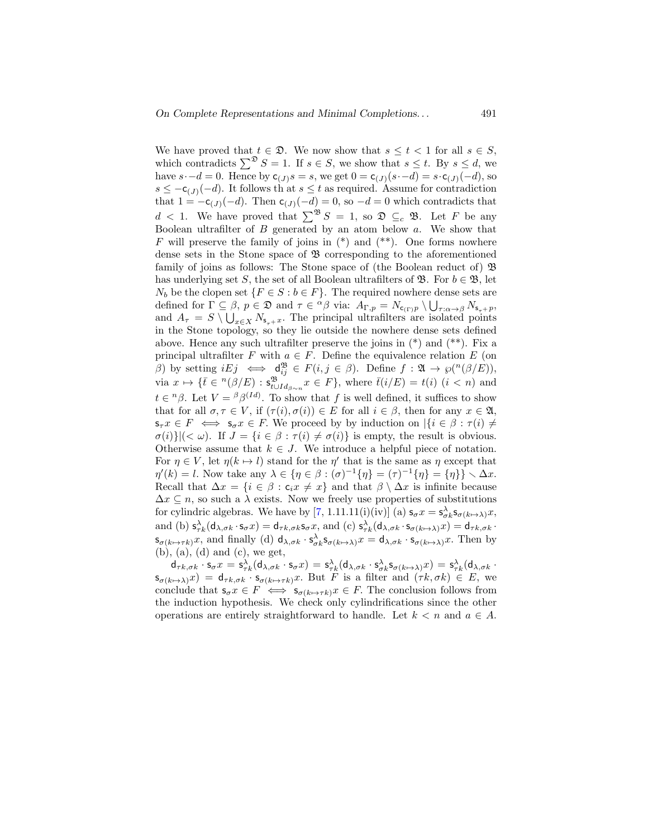We have proved that  $t \in \mathfrak{D}$ . We now show that  $s \leq t < 1$  for all  $s \in S$ , which contradicts  $\sum^{\mathfrak{D}} S = 1$ . If  $s \in S$ , we show that  $s \leq t$ . By  $s \leq d$ , we have  $s-d=0$ . Hence by  $c_{(J)}s=s$ , we get  $0 = c_{(J)}(s-d) = s \cdot c_{(J)}(-d)$ , so  $s \leq -c_{(J)}(-d)$ . It follows that  $s \leq t$  as required. Assume for contradiction that  $1 = -c_{(J)}(-d)$ . Then  $c_{(J)}(-d) = 0$ , so  $-d = 0$  which contradicts that  $d < 1$ . We have proved that  $\sum^{\mathfrak{B}} S = 1$ , so  $\mathfrak{D} \subseteq_c \mathfrak{B}$ . Let F be any Boolean ultrafilter of  $B$  generated by an atom below  $a$ . We show that F will preserve the family of joins in  $(*)$  and  $(**)$ . One forms nowhere dense sets in the Stone space of  $\mathfrak{B}$  corresponding to the aforementioned family of joins as follows: The Stone space of (the Boolean reduct of)  $\mathfrak{B}$ has underlying set S, the set of all Boolean ultrafilters of  $\mathfrak{B}$ . For  $b \in \mathfrak{B}$ , let  $N_b$  be the clopen set  $\{F \in S : b \in F\}$ . The required nowhere dense sets are defined for  $\Gamma \subseteq \beta$ ,  $p \in \mathfrak{D}$  and  $\tau \in {}^{\alpha}\beta$  via:  $A_{\Gamma,p} = N_{\mathsf{c}_{(\Gamma)}p} \setminus \bigcup_{\tau:\alpha \to \beta} N_{\mathsf{s}_{\tau}+p}$ , and  $A_{\tau} = S \setminus \bigcup_{x \in X} N_{s_{\tau}+x}$ . The principal ultrafilters are isolated points in the Stone topology, so they lie outside the nowhere dense sets defined above. Hence any such ultrafilter preserve the joins in  $(*)$  and  $(*^*)$ . Fix a principal ultrafilter F with  $a \in F$ . Define the equivalence relation E (on  $\beta$ ) by setting  $i E j \iff d_{ij}^{\mathfrak{B}} \in F(i, j \in \beta)$ . Define  $f : \mathfrak{A} \to \wp({}^n(\beta/E)),$ via  $x \mapsto {\{\overline{t} \in {}^{n}(\beta/E) : s^{\mathfrak{B}}_{t \cup Id_{\beta \sim n}} x \in F\}}$ , where  $\overline{t}(i/E) = t(i)$   $(i < n)$  and  $t \in {}^{n}\beta$ . Let  $V = {}^{\beta}\beta^{(Id)}$ . To show that f is well defined, it suffices to show that for all  $\sigma, \tau \in V$ , if  $(\tau(i), \sigma(i)) \in E$  for all  $i \in \beta$ , then for any  $x \in \mathfrak{A}$ ,  $s_{\tau} x \in F \iff s_{\sigma} x \in F$ . We proceed by by induction on  $\left|\left\{i \in \beta : \tau(i) \neq \zeta\right\}\right|$  $\sigma(i)$ } $|(\langle \omega \rangle)$ . If  $J = \{i \in \beta : \tau(i) \neq \sigma(i)\}\$ is empty, the result is obvious. Otherwise assume that  $k \in J$ . We introduce a helpful piece of notation. For  $\eta \in V$ , let  $\eta(k \mapsto l)$  stand for the  $\eta'$  that is the same as  $\eta$  except that  $\eta'(k) = l$ . Now take any  $\lambda \in {\{\eta \in \beta : (\sigma)^{-1}\{\eta\} = (\tau)^{-1}\{\eta\} = {\{\eta\}\}\setminus \Delta x}.$ Recall that  $\Delta x = \{i \in \beta : c_i x \neq x\}$  and that  $\beta \setminus \Delta x$  is infinite because  $\Delta x \subseteq n$ , so such a  $\lambda$  exists. Now we freely use properties of substitutions for cylindric algebras. We have by [\[7,](#page-44-1) 1.11.11(i)(iv)] (a)  $\mathbf{s}_{\sigma}x = \mathbf{s}_{\sigma k}^{\lambda}\mathbf{s}_{\sigma(k\mapsto\lambda)}x$ , and (b)  $s^{\lambda}_{\tau k}(\mathsf{d}_{\lambda,\sigma k} \cdot \mathsf{s}_{\sigma} x) = \mathsf{d}_{\tau k,\sigma k} \mathsf{s}_{\sigma} x$ , and (c)  $\mathsf{s}^{\lambda}_{\tau k}(\mathsf{d}_{\lambda,\sigma k} \cdot \mathsf{s}_{\sigma(k \mapsto \lambda)} x) = \mathsf{d}_{\tau k,\sigma k}$ .  $\mathsf{s}_{\sigma(k\mapsto\tau k)}x$ , and finally (d)  $\mathsf{d}_{\lambda,\sigma k}\cdot\mathsf{s}_{\sigma k}^{\lambda}\mathsf{s}_{\sigma(k\mapsto\lambda)}x = \mathsf{d}_{\lambda,\sigma k}\cdot\mathsf{s}_{\sigma(k\mapsto\lambda)}x$ . Then by  $(b)$ ,  $(a)$ ,  $(d)$  and  $(c)$ , we get,

 $\mathsf{d}_{\tau k,\sigma k}\cdot\mathsf{s}_{\sigma}x = \mathsf{s}_{\tau k}^\lambda(\mathsf{d}_{\lambda,\sigma k}\cdot\mathsf{s}_{\sigma}x) = \mathsf{s}_{\tau k}^\lambda(\mathsf{d}_{\lambda,\sigma k}\cdot\mathsf{s}_{\sigma k}^\lambda\mathsf{s}_{\sigma(k\mapsto\lambda)}x) = \mathsf{s}_{\tau k}^\lambda(\mathsf{d}_{\lambda,\sigma k}\cdot\mathsf{s}_{\sigma k}^\lambda\cdot\mathsf{s}_{\sigma k}^\lambda\cdot\mathsf{s}_{\sigma k}^\lambda)$  $s_{\sigma(k\mapsto\lambda)}(x) = d_{\tau k,\sigma k} \cdot s_{\sigma(k\mapsto\tau k)}(x)$ . But F is a filter and  $(\tau k, \sigma k) \in E$ , we conclude that  $\mathsf{s}_{\sigma}x \in F \iff \mathsf{s}_{\sigma(k\mapsto \tau k)}x \in F$ . The conclusion follows from the induction hypothesis. We check only cylindrifications since the other operations are entirely straightforward to handle. Let  $k < n$  and  $a \in A$ .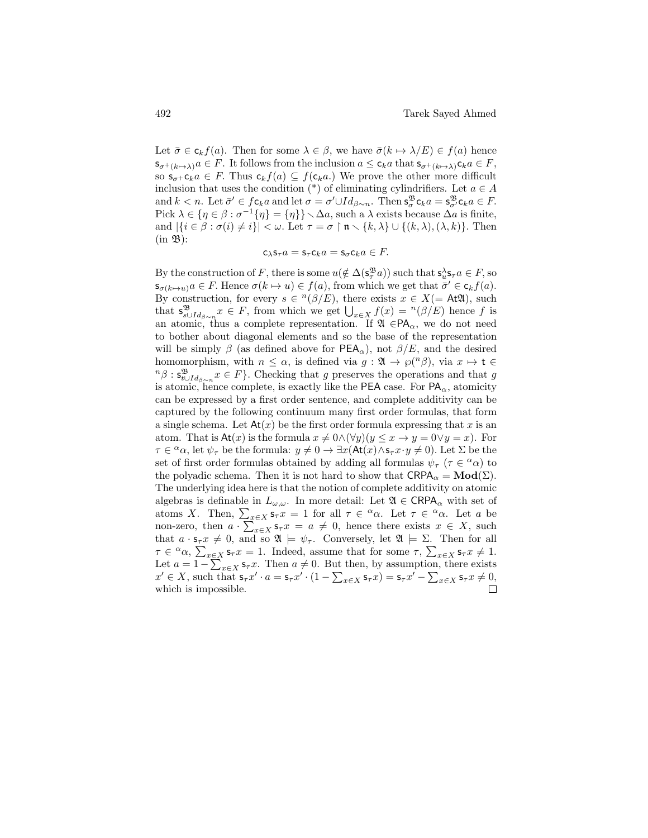Let  $\bar{\sigma} \in c_k f(a)$ . Then for some  $\lambda \in \beta$ , we have  $\bar{\sigma}(k \mapsto \lambda/E) \in f(a)$  hence  $\mathsf{s}_{\sigma^+(k\mapsto\lambda)}a \in F$ . It follows from the inclusion  $a \leq \mathsf{c}_k a$  that  $\mathsf{s}_{\sigma^+(k\mapsto\lambda)}\mathsf{c}_k a \in F$ , so  $s_{\sigma^+} c_k a \in F$ . Thus  $c_k f(a) \subseteq f(c_k a)$ . We prove the other more difficult inclusion that uses the condition (\*) of eliminating cylindrifiers. Let  $a \in A$ and  $k < n$ . Let  $\bar{\sigma}' \in \mathcal{f}$ **c**<sub>k</sub>a and let  $\sigma = \sigma' \cup Id_{\beta \sim n}$ . Then  $s_{\sigma}^{\mathfrak{B}}$ **c**<sub>k</sub>a =  $s_{\sigma'}^{\mathfrak{B}}$ **c**<sub>k</sub>a  $\in F$ . Pick  $\lambda \in {\eta \in \beta : \sigma^{-1}{\eta} = {\eta}}\}\setminus \Delta a$ , such a  $\lambda$  exists because  $\Delta a$  is finite, and  $|\{i \in \beta : \sigma(i) \neq i\}| < \omega$ . Let  $\tau = \sigma \upharpoonright \mathfrak{n} \setminus \{k, \lambda\} \cup \{(k, \lambda), (\lambda, k)\}\.$  Then  $(in \mathfrak{B})$ :

$$
c_{\lambda} s_{\tau} a = s_{\tau} c_k a = s_{\sigma} c_k a \in F.
$$

By the construction of F, there is some  $u(\notin \Delta(\mathbf{s}_{\tau}^{\mathfrak{B}} a))$  such that  $\mathbf{s}_u^{\lambda} \mathbf{s}_{\tau} a \in F$ , so  $\mathsf{s}_{\sigma(k\mapsto u)}a \in F$ . Hence  $\sigma(k\mapsto u) \in f(a)$ , from which we get that  $\bar{\sigma}' \in \mathsf{c}_k f(a)$ . By construction, for every  $s \in {}^{n}(\beta/E)$ , there exists  $x \in X(=A\mathfrak{U})$ , such that  $\mathsf{s}_{s\cup Id_{\beta\sim n}}^{\mathfrak{B}} x \in F$ , from which we get  $\bigcup_{x\in X} f(x) = \mathsf{P}(\beta/E)$  hence f is an atomic, thus a complete representation. If  $\mathfrak{A} \in PA_{\alpha}$ , we do not need to bother about diagonal elements and so the base of the representation will be simply  $\beta$  (as defined above for PEA<sub>α</sub>), not  $\beta/E$ , and the desired homomorphism, with  $n \leq \alpha$ , is defined via  $g: \mathfrak{A} \to \varphi(n),$  via  $x \mapsto t \in$  ${}^{n}\beta$  :  $\mathsf{s}_{t\cup Id_{\beta\sim n}}^{\mathfrak{B}} x \in F$ . Checking that g preserves the operations and that g is atomic, hence complete, is exactly like the PEA case. For  $PA_{\alpha}$ , atomicity can be expressed by a first order sentence, and complete additivity can be captured by the following continuum many first order formulas, that form a single schema. Let  $\mathsf{At}(x)$  be the first order formula expressing that x is an atom. That is  $At(x)$  is the formula  $x \neq 0 \wedge (\forall y)(y \leq x \rightarrow y = 0 \vee y = x)$ . For  $\tau \in \alpha$ , let  $\psi_{\tau}$  be the formula:  $y \neq 0 \to \exists x (\text{At}(x) \wedge \text{s}_{\tau} x \cdot y \neq 0)$ . Let  $\Sigma$  be the set of first order formulas obtained by adding all formulas  $\psi_{\tau}$  ( $\tau \in \alpha_{\alpha}$ ) to the polyadic schema. Then it is not hard to show that  $\mathsf{CRPA}_{\alpha} = \mathbf{Mod}(\Sigma)$ . The underlying idea here is that the notion of complete additivity on atomic algebras is definable in  $L_{\omega,\omega}$ . In more detail: Let  $\mathfrak{A} \in \mathsf{CRPA}_{\alpha}$  with set of atoms X. Then,  $\sum_{x \in X} s_{\tau} x = 1$  for all  $\tau \in \alpha$ . Let  $\tau \in \alpha$ . Let a be non-zero, then  $a \cdot \sum_{x \in X} s_{\tau} x = a \neq 0$ , hence there exists  $x \in X$ , such that  $a \cdot s_\tau x \neq 0$ , and so  $\mathfrak{A} \models \psi_\tau$ . Conversely, let  $\mathfrak{A} \models \Sigma$ . Then for all  $\tau \in \alpha$ ,  $\sum_{x \in X} s_{\tau} x = 1$ . Indeed, assume that for some  $\tau$ ,  $\sum_{x \in X} s_{\tau} x \neq 1$ . Let  $a = 1 - \sum_{x \in X} s_{\tau} x$ . Then  $a \neq 0$ . But then, by assumption, there exists  $x' \in X$ , such that  $\mathsf{s}_{\tau}x' \cdot a = \mathsf{s}_{\tau}x' \cdot (1 - \sum_{x \in X} \mathsf{s}_{\tau}x) = \mathsf{s}_{\tau}x' - \sum_{x \in X} \mathsf{s}_{\tau}x \neq 0$ , which is impossible.П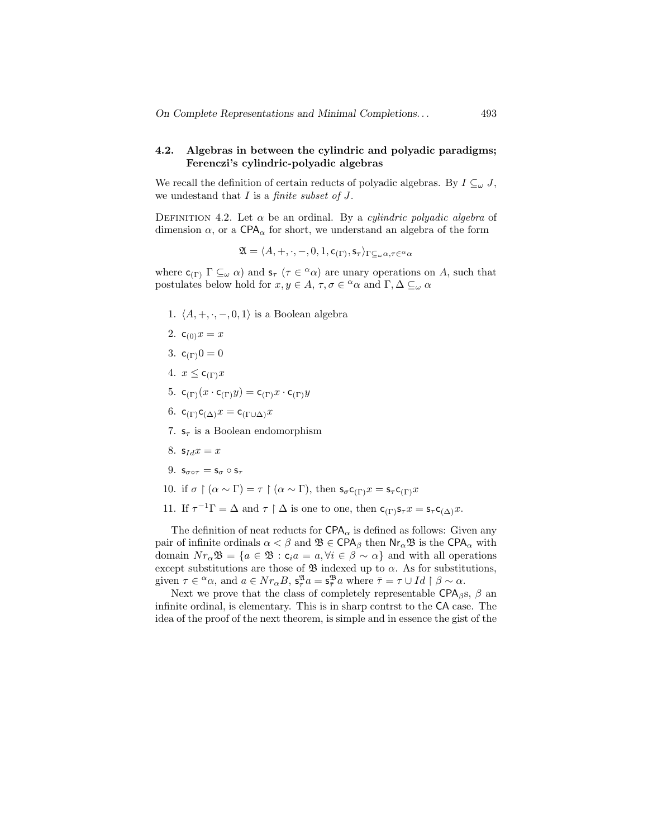### 4.2. Algebras in between the cylindric and polyadic paradigms; Ferenczi's cylindric-polyadic algebras

We recall the definition of certain reducts of polyadic algebras. By  $I \subseteq_{\omega} J$ , we undestand that  $I$  is a *finite subset of J*.

DEFINITION 4.2. Let  $\alpha$  be an ordinal. By a *culindric polyadic algebra* of dimension  $\alpha$ , or a CPA<sub> $\alpha$ </sub> for short, we understand an algebra of the form

$$
\mathfrak{A}=\langle A,+,\cdot,-,0,1,\mathsf{c}_{(\Gamma)},\mathsf{s}_{\tau}\rangle_{\Gamma\subseteq_\omega\alpha,\tau\in^\alpha\alpha}
$$

where  $\mathsf{c}_{(\Gamma)} \Gamma \subseteq_{\omega} \alpha$  and  $\mathsf{s}_{\tau}$  ( $\tau \in^{\alpha} \alpha$ ) are unary operations on A, such that postulates below hold for  $x, y \in A$ ,  $\tau, \sigma \in \alpha$  and  $\Gamma, \Delta \subseteq_{\omega} \alpha$ 

- 1.  $\langle A, +, \cdot, -, 0, 1 \rangle$  is a Boolean algebra
- 2.  $c_{(0)}x = x$
- 3.  $c_{(\Gamma)}0 = 0$
- 4.  $x \leq c_{(\Gamma)}x$
- 5.  $\mathsf{c}_{(\Gamma)}(x \cdot \mathsf{c}_{(\Gamma)} y) = \mathsf{c}_{(\Gamma)} x \cdot \mathsf{c}_{(\Gamma)} y$
- 6.  $c_{(\Gamma)}c_{(\Delta)}x = c_{(\Gamma \cup \Delta)}x$
- 7.  $s_{\tau}$  is a Boolean endomorphism
- 8.  $s_{Id}x = x$
- 9.  $s_{\sigma \circ \tau} = s_{\sigma} \circ s_{\tau}$
- 10. if  $\sigma \restriction (\alpha \sim \Gamma) = \tau \restriction (\alpha \sim \Gamma)$ , then  $s_{\sigma} c_{(\Gamma)} x = s_{\tau} c_{(\Gamma)} x$
- 11. If  $\tau^{-1}\Gamma = \Delta$  and  $\tau \upharpoonright \Delta$  is one to one, then  $\mathsf{c}_{(\Gamma)}\mathsf{s}_{\tau}x = \mathsf{s}_{\tau}\mathsf{c}_{(\Delta)}x$ .

The definition of neat reducts for  $\text{CPA}_{\alpha}$  is defined as follows: Given any pair of infinite ordinals  $\alpha < \beta$  and  $\mathfrak{B} \in \mathsf{CPA}_{\beta}$  then  $\mathsf{Nr}_{\alpha}\mathfrak{B}$  is the  $\mathsf{CPA}_{\alpha}$  with domain  $Nr_\alpha\mathfrak{B} = \{a \in \mathfrak{B} : c_i a = a, \forall i \in \beta \sim \alpha\}$  and with all operations except substitutions are those of  $\mathfrak B$  indexed up to  $\alpha$ . As for substitutions, given  $\tau \in {}^{\alpha}\alpha$ , and  $a \in Nr_{\alpha}B$ ,  $s_{\tau}^{\mathfrak{A}}a = s_{\overline{\tau}}^{\mathfrak{B}}a$  where  $\overline{\tau} = \tau \cup Id \restriction \beta \sim \alpha$ .

Next we prove that the class of completely representable CPA<sub>β</sub>s,  $\beta$  and infinite ordinal, is elementary. This is in sharp contrst to the CA case. The idea of the proof of the next theorem, is simple and in essence the gist of the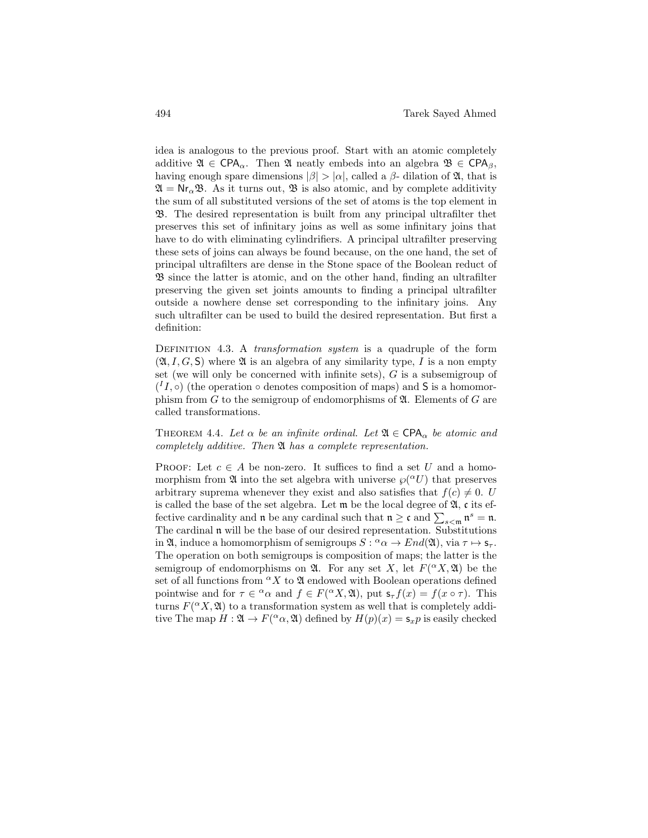idea is analogous to the previous proof. Start with an atomic completely additive  $\mathfrak{A} \in \text{CPA}_{\alpha}$ . Then  $\mathfrak{A}$  neatly embeds into an algebra  $\mathfrak{B} \in \text{CPA}_{\beta}$ , having enough spare dimensions  $|\beta| > |\alpha|$ , called a  $\beta$ - dilation of  $\mathfrak{A}$ , that is  $\mathfrak{A} = \mathsf{Nr}_{\alpha} \mathfrak{B}$ . As it turns out,  $\mathfrak{B}$  is also atomic, and by complete additivity the sum of all substituted versions of the set of atoms is the top element in B. The desired representation is built from any principal ultrafilter thet preserves this set of infinitary joins as well as some infinitary joins that have to do with eliminating cylindrifiers. A principal ultrafilter preserving these sets of joins can always be found because, on the one hand, the set of principal ultrafilters are dense in the Stone space of the Boolean reduct of B since the latter is atomic, and on the other hand, finding an ultrafilter preserving the given set joints amounts to finding a principal ultrafilter outside a nowhere dense set corresponding to the infinitary joins. Any such ultrafilter can be used to build the desired representation. But first a definition:

DEFINITION 4.3. A *transformation system* is a quadruple of the form  $(\mathfrak{A}, I, G, S)$  where  $\mathfrak A$  is an algebra of any similarity type, I is a non empty set (we will only be concerned with infinite sets),  $G$  is a subsemigroup of  $(^{I}I,\circ)$  (the operation  $\circ$  denotes composition of maps) and S is a homomorphism from  $G$  to the semigroup of endomorphisms of  $\mathfrak{A}$ . Elements of  $G$  are called transformations.

THEOREM 4.4. Let  $\alpha$  be an infinite ordinal. Let  $\mathfrak{A} \in \text{CPA}_{\alpha}$  be atomic and completely additive. Then A has a complete representation.

PROOF: Let  $c \in A$  be non-zero. It suffices to find a set U and a homomorphism from  $\mathfrak A$  into the set algebra with universe  $\varphi({}^{\alpha}U)$  that preserves arbitrary suprema whenever they exist and also satisfies that  $f(c) \neq 0$ . U is called the base of the set algebra. Let  $\mathfrak m$  be the local degree of  $\mathfrak A$ , c its effective cardinality and  $\mathfrak n$  be any cardinal such that  $\mathfrak n \geq \mathfrak c$  and  $\sum_{s < \mathfrak m} \mathfrak n^s = \mathfrak n$ . The cardinal n will be the base of our desired representation. Substitutions in  $\mathfrak{A}$ , induce a homomorphism of semigroups  $S: \alpha \to \mathcal{E}nd(\mathfrak{A})$ , via  $\tau \mapsto s_{\tau}$ . The operation on both semigroups is composition of maps; the latter is the semigroup of endomorphisms on  $\mathfrak{A}$ . For any set X, let  $F({}^{\alpha}X,\mathfrak{A})$  be the set of all functions from  ${}^{\alpha}X$  to  $\mathfrak A$  endowed with Boolean operations defined pointwise and for  $\tau \in \alpha$  and  $f \in F(\alpha X, \mathfrak{A})$ , put  $\mathsf{s}_{\tau} f(x) = f(x \circ \tau)$ . This turns  $F({}^{\alpha}X,\mathfrak{A})$  to a transformation system as well that is completely additive The map  $H: \mathfrak{A} \to F({}^{\alpha}\alpha, \mathfrak{A})$  defined by  $H(p)(x) = \mathsf{s}_x p$  is easily checked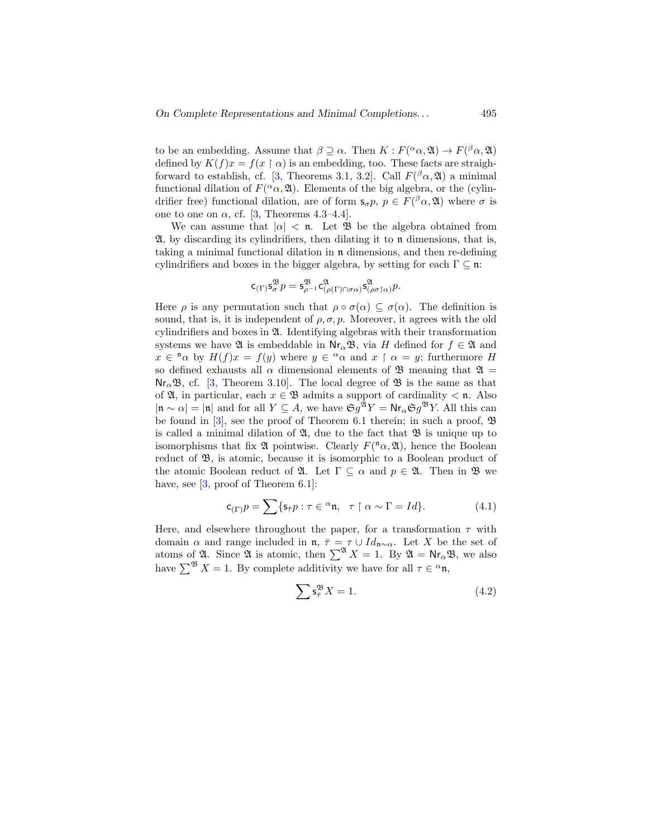to be an embedding. Assume that  $\beta \supseteq \alpha$ . Then  $K : F({}^{\alpha}\alpha, \mathfrak{A}) \rightarrow F({}^{\beta}\alpha, \mathfrak{A})$ defined by  $K(f)x = f(x \restriction \alpha)$  is an embedding, too. These facts are straigh-forward to establish, cf. [\[3,](#page-43-4) Theorems 3.1, 3.2]. Call  $F(^{\beta}\alpha,\mathfrak{A})$  a minimal functional dilation of  $F({}^{\alpha}\alpha, \mathfrak{A})$ . Elements of the big algebra, or the (cylindrifier free) functional dilation, are of form  $\mathbf{s}_{\sigma} p, p \in F({}^{\beta}\alpha, \mathfrak{A})$  where  $\sigma$  is one to one on  $\alpha$ , cf. [\[3,](#page-43-4) Theorems 4.3–4.4].

We can assume that  $|\alpha| < \mathfrak{n}$ . Let  $\mathfrak{B}$  be the algebra obtained from  $\mathfrak{A},$  by discarding its cylindrifiers, then dilating it to  $\mathfrak{n}$  dimensions, that is, taking a minimal functional dilation in n dimensions, and then re-defining cylindrifiers and boxes in the bigger algebra, by setting for each  $\Gamma \subseteq \mathfrak{n}$ :

$$
\mathsf{c}_{(\Gamma)}\mathsf{s}^\mathfrak{B}_\sigma p=\mathsf{s}^\mathfrak{B}_{\rho^{-1}}\mathsf{c}^\mathfrak{A}_{(\rho(\Gamma)\cap\sigma\alpha)}\mathsf{s}^\mathfrak{A}_{(\rho\sigma\restriction \alpha)} p.
$$

Here  $\rho$  is any permutation such that  $\rho \circ \sigma(\alpha) \subseteq \sigma(\alpha)$ . The definition is sound, that is, it is independent of  $\rho$ ,  $\sigma$ ,  $p$ . Moreover, it agrees with the old cylindrifiers and boxes in A. Identifying algebras with their transformation systems we have  $\mathfrak A$  is embeddable in  $\mathsf{Nr}_\alpha\mathfrak B$ , via H defined for  $f \in \mathfrak A$  and  $x \in \alpha$  by  $H(f)x = f(y)$  where  $y \in \alpha$  and  $x \restriction \alpha = y$ ; furthermore H so defined exhausts all  $\alpha$  dimensional elements of  $\mathfrak{B}$  meaning that  $\mathfrak{A} =$  $\text{Nr}_{\alpha} \mathfrak{B}, \text{ cf. } [3, \text{ Theorem } 3.10].$  $\text{Nr}_{\alpha} \mathfrak{B}, \text{ cf. } [3, \text{ Theorem } 3.10].$  $\text{Nr}_{\alpha} \mathfrak{B}, \text{ cf. } [3, \text{ Theorem } 3.10].$  The local degree of  $\mathfrak{B}$  is the same as that of  $\mathfrak{A}$ , in particular, each  $x \in \mathfrak{B}$  admits a support of cardinality  $\lt \mathfrak{n}$ . Also  $|\mathfrak{n} \sim \alpha| = |\mathfrak{n}|$  and for all  $Y \subseteq A$ , we have  $\mathfrak{S}g^{\mathfrak{A}}Y = \mathsf{Nr}_{\alpha} \mathfrak{S}g^{\mathfrak{B}}Y$ . All this can be found in [\[3\]](#page-43-4), see the proof of Theorem 6.1 therein; in such a proof, B is called a minimal dilation of  $\mathfrak{A}$ , due to the fact that  $\mathfrak{B}$  is unique up to isomorphisms that fix  $\mathfrak A$  pointwise. Clearly  $F({}^n\alpha,\mathfrak A)$ , hence the Boolean reduct of  $\mathfrak{B}$ , is atomic, because it is isomorphic to a Boolean product of the atomic Boolean reduct of  $\mathfrak{A}$ . Let  $\Gamma \subseteq \alpha$  and  $p \in \mathfrak{A}$ . Then in  $\mathfrak{B}$  we have, see [\[3,](#page-43-4) proof of Theorem 6.1]:

$$
\mathsf{c}_{(\Gamma)}p = \sum \{ \mathsf{s}_{\bar{\tau}}p : \tau \in {}^{\alpha}\mathfrak{n}, \quad \tau \upharpoonright \alpha \sim \Gamma = Id \}. \tag{4.1}
$$

Here, and elsewhere throughout the paper, for a transformation  $\tau$  with domain  $\alpha$  and range included in  $\mathfrak{n}, \bar{\tau} = \tau \cup Id_{\mathfrak{n} \sim \alpha}$ . Let X be the set of atoms of  $\mathfrak A$ . Since  $\mathfrak A$  is atomic, then  $\sum^{\mathfrak A} X = 1$ . By  $\mathfrak A = \mathsf{Nr}_\alpha \mathfrak B$ , we also have  $\sum^{\mathfrak{B}} X = 1$ . By complete additivity we have for all  $\tau \in {\alpha} \mathfrak{n}$ ,

$$
\sum \mathsf{s}_{\bar{\tau}}^{\mathfrak{B}} X = 1. \tag{4.2}
$$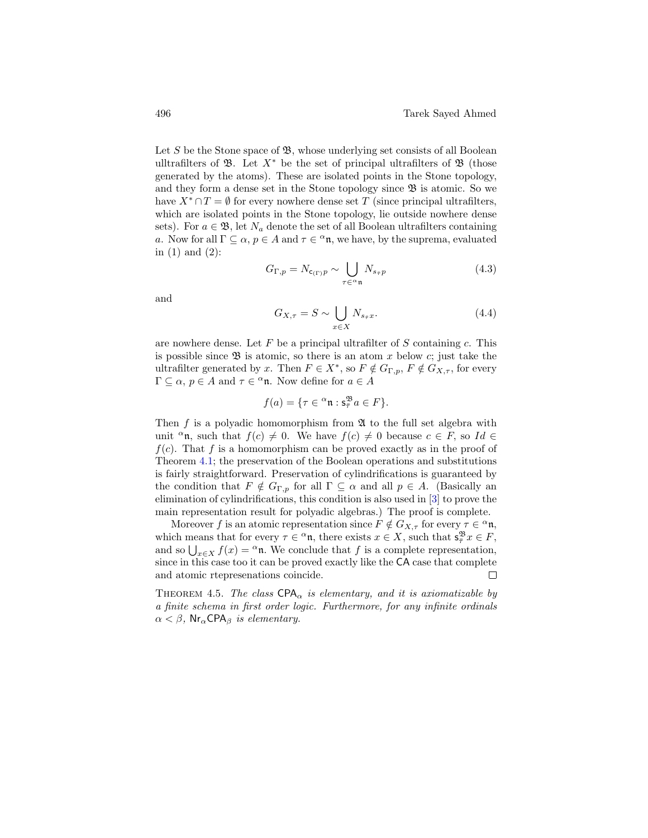Let  $S$  be the Stone space of  $\mathfrak{B}$ , whose underlying set consists of all Boolean ulltrafilters of  $\mathfrak{B}$ . Let  $X^*$  be the set of principal ultrafilters of  $\mathfrak{B}$  (those generated by the atoms). These are isolated points in the Stone topology, and they form a dense set in the Stone topology since  $\mathfrak{B}$  is atomic. So we have  $X^* \cap T = \emptyset$  for every nowhere dense set T (since principal ultrafilters, which are isolated points in the Stone topology, lie outside nowhere dense sets). For  $a \in \mathfrak{B}$ , let  $N_a$  denote the set of all Boolean ultrafilters containing a. Now for all  $\Gamma \subseteq \alpha$ ,  $p \in A$  and  $\tau \in \alpha$ , we have, by the suprema, evaluated in (1) and (2):

$$
G_{\Gamma,p} = N_{\mathbf{c}_{(\Gamma)}p} \sim \bigcup_{\tau \in \alpha \mathfrak{n}} N_{s_{\bar{\tau}}p} \tag{4.3}
$$

and

$$
G_{X,\tau} = S \sim \bigcup_{x \in X} N_{s_{\bar{\tau}}x}.
$$
\n(4.4)

are nowhere dense. Let  $F$  be a principal ultrafilter of  $S$  containing  $c$ . This is possible since  $\mathfrak B$  is atomic, so there is an atom x below c; just take the ultrafilter generated by x. Then  $F \in X^*$ , so  $F \notin G_{\Gamma,p}$ ,  $F \notin G_{X,\tau}$ , for every  $\Gamma \subseteq \alpha$ ,  $p \in A$  and  $\tau \in \alpha$ <sup>a</sup>n. Now define for  $a \in A$ 

$$
f(a) = \{ \tau \in \alpha^n \mathfrak{n} : \mathbf{s}_{\overline{\tau}}^{\mathfrak{B}} a \in F \}.
$$

Then f is a polyadic homomorphism from  $\mathfrak A$  to the full set algebra with unit <sup>α</sup>n, such that  $f(c) \neq 0$ . We have  $f(c) \neq 0$  because  $c \in F$ , so Id  $\in$  $f(c)$ . That f is a homomorphism can be proved exactly as in the proof of Theorem [4.1;](#page-25-0) the preservation of the Boolean operations and substitutions is fairly straightforward. Preservation of cylindrifications is guaranteed by the condition that  $F \notin G_{\Gamma,p}$  for all  $\Gamma \subseteq \alpha$  and all  $p \in A$ . (Basically an elimination of cylindrifications, this condition is also used in [\[3\]](#page-43-4) to prove the main representation result for polyadic algebras.) The proof is complete.

Moreover f is an atomic representation since  $F \notin G_{X,\tau}$  for every  $\tau \in \alpha$ **n**, which means that for every  $\tau \in \alpha$ **n**, there exists  $x \in X$ , such that  $\mathbf{s}_{\overline{\tau}}^{\mathfrak{B}} x \in F$ , and so  $\bigcup_{x \in X} f(x) = \alpha \mathfrak{n}$ . We conclude that f is a complete representation, since in this case too it can be proved exactly like the CA case that complete and atomic rtepresenations coincide.  $\Box$ 

THEOREM 4.5. The class  $CPA_{\alpha}$  is elementary, and it is axiomatizable by a finite schema in first order logic. Furthermore, for any infinite ordinals  $\alpha < \beta$ , Nr<sub>α</sub>CPA<sub>β</sub> is elementary.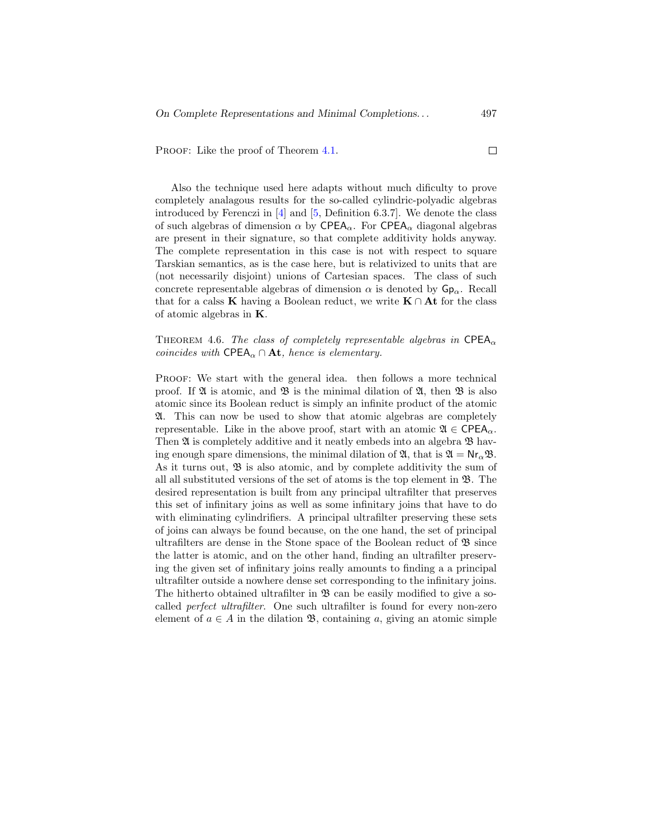PROOF: Like the proof of Theorem [4.1.](#page-25-0)

Also the technique used here adapts without much dificulty to prove completely analagous results for the so-called cylindric-polyadic algebras introduced by Ferenczi in [\[4\]](#page-43-0) and [\[5,](#page-43-1) Definition 6.3.7]. We denote the class of such algebras of dimension  $\alpha$  by CPEA<sub> $\alpha$ </sub>. For CPEA<sub> $\alpha$ </sub> diagonal algebras are present in their signature, so that complete additivity holds anyway. The complete representation in this case is not with respect to square Tarskian semantics, as is the case here, but is relativized to units that are (not necessarily disjoint) unions of Cartesian spaces. The class of such concrete representable algebras of dimension  $\alpha$  is denoted by  $\mathsf{Gp}_{\alpha}$ . Recall that for a calss K having a Boolean reduct, we write  $K \cap At$  for the class of atomic algebras in K.

THEOREM 4.6. The class of completely representable algebras in CPEA<sub> $\alpha$ </sub> coincides with CPEA<sub> $\alpha$ </sub> ∩ At, hence is elementary.

PROOF: We start with the general idea. then follows a more technical proof. If  $\mathfrak A$  is atomic, and  $\mathfrak B$  is the minimal dilation of  $\mathfrak A$ , then  $\mathfrak B$  is also atomic since its Boolean reduct is simply an infinite product of the atomic A. This can now be used to show that atomic algebras are completely representable. Like in the above proof, start with an atomic  $\mathfrak{A} \in \mathsf{CPEA}_{\alpha}$ . Then  $\mathfrak A$  is completely additive and it neatly embeds into an algebra  $\mathfrak B$  having enough spare dimensions, the minimal dilation of  $\mathfrak{A}$ , that is  $\mathfrak{A} = \mathsf{Nr}_{\alpha} \mathfrak{B}$ . As it turns out,  $\mathfrak{B}$  is also atomic, and by complete additivity the sum of all all substituted versions of the set of atoms is the top element in  $\mathfrak{B}$ . The desired representation is built from any principal ultrafilter that preserves this set of infinitary joins as well as some infinitary joins that have to do with eliminating cylindrifiers. A principal ultrafilter preserving these sets of joins can always be found because, on the one hand, the set of principal ultrafilters are dense in the Stone space of the Boolean reduct of  $\mathfrak{B}$  since the latter is atomic, and on the other hand, finding an ultrafilter preserving the given set of infinitary joins really amounts to finding a a principal ultrafilter outside a nowhere dense set corresponding to the infinitary joins. The hitherto obtained ultrafilter in  $\mathfrak{B}$  can be easily modified to give a socalled perfect ultrafilter. One such ultrafilter is found for every non-zero element of  $a \in A$  in the dilation  $\mathfrak{B}$ , containing a, giving an atomic simple

 $\Box$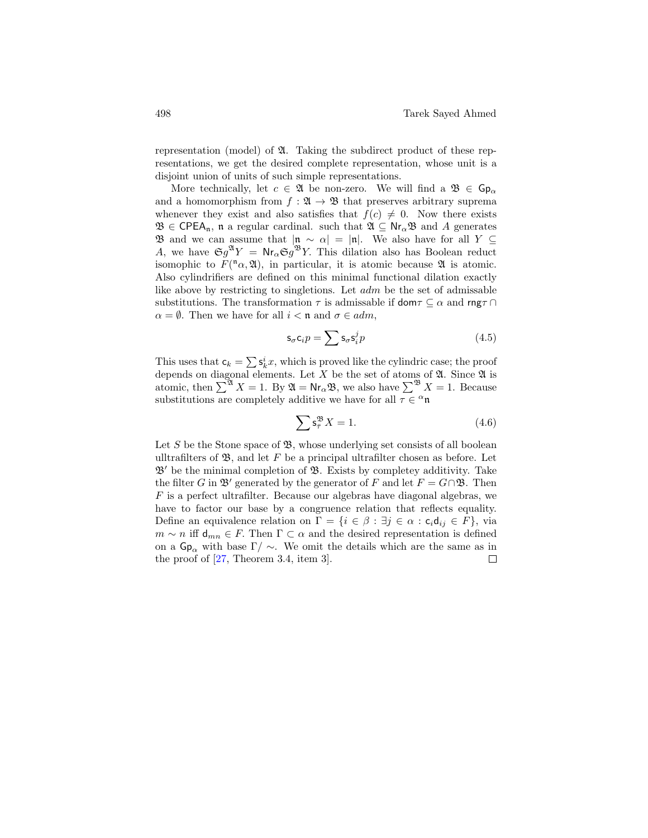representation (model) of A. Taking the subdirect product of these representations, we get the desired complete representation, whose unit is a disjoint union of units of such simple representations.

More technically, let  $c \in \mathfrak{A}$  be non-zero. We will find a  $\mathfrak{B} \in \mathsf{Gp}_{\alpha}$ and a homomorphism from  $f : \mathfrak{A} \to \mathfrak{B}$  that preserves arbitrary suprema whenever they exist and also satisfies that  $f(c) \neq 0$ . Now there exists  $\mathfrak{B} \in \mathsf{CPEA}_n$ , n a regular cardinal. such that  $\mathfrak{A} \subseteq \mathsf{Nr}_\alpha \mathfrak{B}$  and A generates **B** and we can assume that  $|\mathbf{n} \sim \alpha| = |\mathbf{n}|$ . We also have for all Y ⊆ A, we have  $\mathfrak{S}g^{\mathfrak{A}}Y = \mathsf{Nr}_{\alpha} \mathfrak{S}g^{\mathfrak{B}}Y$ . This dilation also has Boolean reduct isomophic to  $F({}^n\alpha,\mathfrak{A})$ , in particular, it is atomic because  $\mathfrak A$  is atomic. Also cylindrifiers are defined on this minimal functional dilation exactly like above by restricting to singletions. Let adm be the set of admissable substitutions. The transformation  $\tau$  is admissable if  $\mathsf{dom}\tau \subseteq \alpha$  and  $\mathsf{rng}\tau \cap$  $\alpha = \emptyset$ . Then we have for all  $i < \mathfrak{n}$  and  $\sigma \in \alpha dm$ ,

$$
\mathsf{s}_{\sigma}\mathsf{c}_{i}p = \sum \mathsf{s}_{\sigma}\mathsf{s}_{i}^{j}p \tag{4.5}
$$

This uses that  $\mathsf{c}_k = \sum \mathsf{s}_k^i x$ , which is proved like the cylindric case; the proof depends on diagonal elements. Let  $X$  be the set of atoms of  $\mathfrak A$ . Since  $\mathfrak A$  is atomic, then  $\sum^{\mathfrak{A}} X = 1$ . By  $\mathfrak{A} = \mathsf{Nr}_{\alpha} \mathfrak{B}$ , we also have  $\sum^{\mathfrak{B}} X = 1$ . Because substitutions are completely additive we have for all  $\tau \in \alpha$ n

$$
\sum \mathbf{s}_{\bar{\tau}}^{\mathfrak{B}} X = 1. \tag{4.6}
$$

Let S be the Stone space of  $\mathfrak{B}$ , whose underlying set consists of all boolean ulltrafilters of  $\mathfrak{B}$ , and let F be a principal ultrafilter chosen as before. Let  $\mathfrak{B}'$  be the minimal completion of  $\mathfrak{B}$ . Exists by completey additivity. Take the filter G in  $\mathfrak{B}'$  generated by the generator of F and let  $F = G \cap \mathfrak{B}$ . Then F is a perfect ultrafilter. Because our algebras have diagonal algebras, we have to factor our base by a congruence relation that reflects equality. Define an equivalence relation on  $\Gamma = \{i \in \beta : \exists j \in \alpha : c_i d_{ij} \in F\}$ , via  $m \sim n$  iff  $d_{mn} \in F$ . Then  $\Gamma \subset \alpha$  and the desired representation is defined on a  $\mathsf{Gp}_{\alpha}$  with base  $\Gamma/\sim$ . We omit the details which are the same as in the proof of [\[27,](#page-45-8) Theorem 3.4, item 3]. $\Box$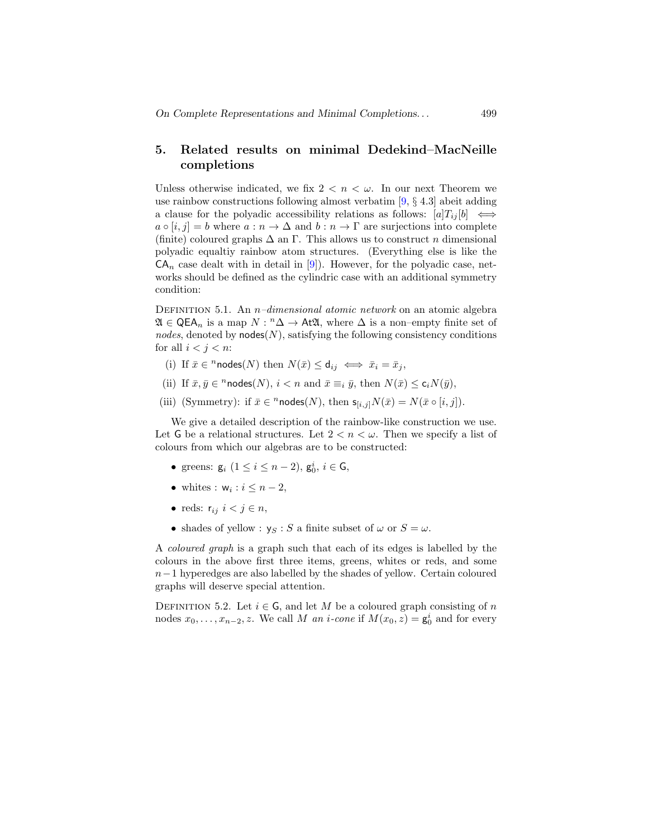# 5. Related results on minimal Dedekind–MacNeille completions

Unless otherwise indicated, we fix  $2 < n < \omega$ . In our next Theorem we use rainbow constructions following almost verbatim  $[9, § 4.3]$  abeit adding a clause for the polyadic accessibility relations as follows:  $[a]T_{ij}[b] \iff$  $a \circ [i, j] = b$  where  $a : n \to \Delta$  and  $b : n \to \Gamma$  are surjections into complete (finite) coloured graphs  $\Delta$  an  $\Gamma$ . This allows us to construct n dimensional polyadic equaltiy rainbow atom structures. (Everything else is like the  $CA_n$  case dealt with in detail in [\[9\]](#page-44-0)). However, for the polyadic case, networks should be defined as the cylindric case with an additional symmetry condition:

DEFINITION 5.1. An *n*–dimensional atomic network on an atomic algebra  $\mathfrak{A} \in \mathsf{QEA}_n$  is a map  $N: \mathbb{A}^n \to \mathsf{At}\mathfrak{A}$ , where  $\Delta$  is a non–empty finite set of nodes, denoted by nodes $(N)$ , satisfying the following consistency conditions for all  $i < j < n$ :

- (i) If  $\bar{x} \in \infty^n$  nodes  $(N)$  then  $N(\bar{x}) \le d_{ij} \iff \bar{x}_i = \bar{x}_j$ ,
- (ii) If  $\bar{x}, \bar{y} \in \pi$  nodes(N),  $i < n$  and  $\bar{x} \equiv_i \bar{y}$ , then  $N(\bar{x}) \leq \mathsf{c}_i N(\bar{y})$ ,
- (iii) (Symmetry): if  $\bar{x} \in \text{``nodes}(N)$ , then  $\mathsf{s}_{[i,j]}N(\bar{x}) = N(\bar{x} \circ [i,j]).$

We give a detailed description of the rainbow-like construction we use. Let G be a relational structures. Let  $2 < n < \omega$ . Then we specify a list of colours from which our algebras are to be constructed:

- greens:  $g_i$   $(1 \le i \le n-2)$ ,  $g_0^i$ ,  $i \in G$ ,
- whites :  $w_i : i \leq n-2$ ,
- reds:  $r_{ij}$   $i < j \in n$ ,
- shades of yellow :  $y_S : S$  a finite subset of  $\omega$  or  $S = \omega$ .

A coloured graph is a graph such that each of its edges is labelled by the colours in the above first three items, greens, whites or reds, and some n−1 hyperedges are also labelled by the shades of yellow. Certain coloured graphs will deserve special attention.

DEFINITION 5.2. Let  $i \in \mathsf{G}$ , and let M be a coloured graph consisting of n nodes  $x_0, \ldots, x_{n-2}, z$ . We call M an i-cone if  $M(x_0, z) = \mathbf{g}_0^i$  and for every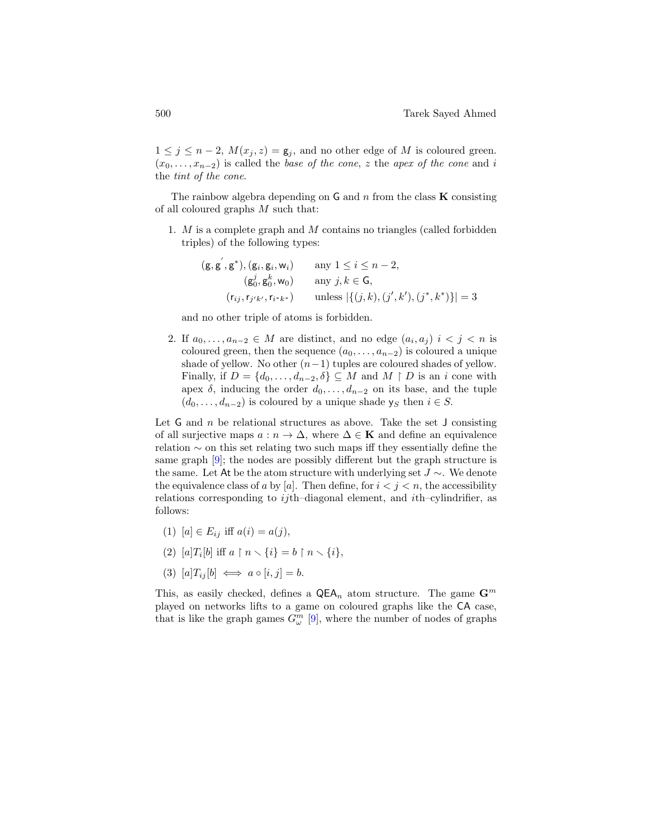$1 \leq j \leq n-2$ ,  $M(x_j, z) = \mathsf{g}_j$ , and no other edge of M is coloured green.  $(x_0, \ldots, x_{n-2})$  is called the base of the cone, z the apex of the cone and i the tint of the cone.

The rainbow algebra depending on  $G$  and  $n$  from the class  $K$  consisting of all coloured graphs M such that:

1.  $M$  is a complete graph and  $M$  contains no triangles (called forbidden triples) of the following types:

$$
\begin{aligned} \left(\mathsf{g}, \mathsf{g}', \mathsf{g}^*, \mathsf{g}\right), & \left(\mathsf{g}_i, \mathsf{g}_i, \mathsf{w}_i\right) & \text{any } 1 \le i \le n-2, \\ & \left(\mathsf{g}_0^j, \mathsf{g}_0^k, \mathsf{w}_0\right) & \text{any } j, k \in \mathsf{G}, \\ & \left(\mathsf{r}_{ij}, \mathsf{r}_{j'k'}, \mathsf{r}_{i^*k^*}\right) & \text{unless } \left|\left\{\left(j, k\right), \left(j', k'\right), \left(j^*, k^*\right)\right\}\right| = 3 \end{aligned}
$$

and no other triple of atoms is forbidden.

2. If  $a_0, \ldots, a_{n-2} \in M$  are distinct, and no edge  $(a_i, a_j)$   $i < j < n$  is coloured green, then the sequence  $(a_0, \ldots, a_{n-2})$  is coloured a unique shade of yellow. No other  $(n-1)$  tuples are coloured shades of yellow. Finally, if  $D = \{d_0, \ldots, d_{n-2}, \delta\} \subseteq M$  and  $M \upharpoonright D$  is an i cone with apex  $\delta$ , inducing the order  $d_0, \ldots, d_{n-2}$  on its base, and the tuple  $(d_0, \ldots, d_{n-2})$  is coloured by a unique shade ys then  $i \in S$ .

Let G and n be relational structures as above. Take the set  $J$  consisting of all surjective maps  $a : n \to \Delta$ , where  $\Delta \in \mathbf{K}$  and define an equivalence relation ∼ on this set relating two such maps iff they essentially define the same graph [\[9\]](#page-44-0); the nodes are possibly different but the graph structure is the same. Let At be the atom structure with underlying set  $J \sim$ . We denote the equivalence class of a by [a]. Then define, for  $i < j < n$ , the accessibility relations corresponding to  $ij$ th-diagonal element, and  $i$ th-cylindrifier, as follows:

- (1)  $[a] \in E_{ij}$  iff  $a(i) = a(j)$ ,
- (2)  $[a]T_i[b]$  iff  $a \upharpoonright n \smallsetminus \{i\} = b \upharpoonright n \smallsetminus \{i\},$

$$
(3) [a]T_{ij}[b] \iff a \circ [i, j] = b.
$$

This, as easily checked, defines a  $\mathsf{QEA}_n$  atom structure. The game  $\mathbf{G}^m$ played on networks lifts to a game on coloured graphs like the CA case, that is like the graph games  $G^m_\omega$  [\[9\]](#page-44-0), where the number of nodes of graphs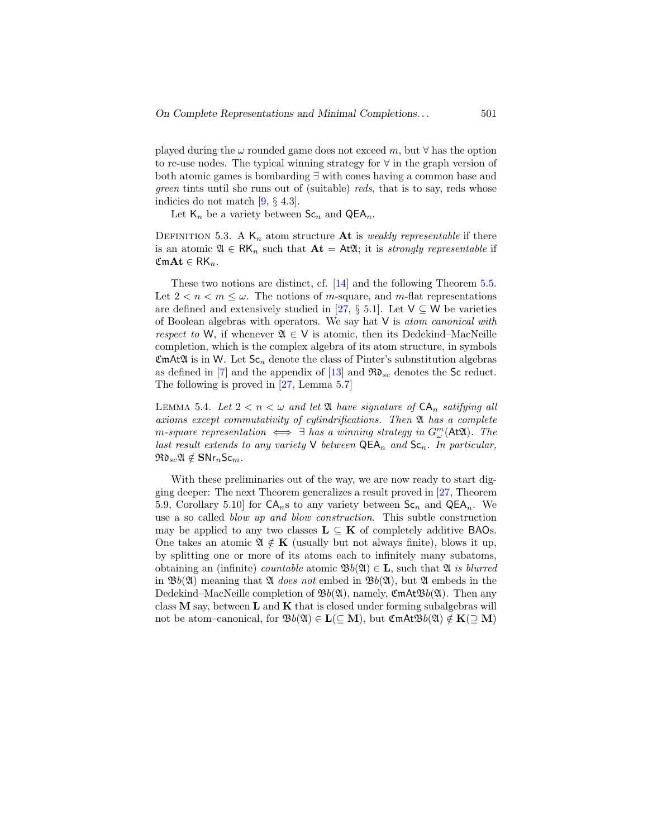played during the  $\omega$  rounded game does not exceed m, but  $\forall$  has the option to re-use nodes. The typical winning strategy for ∀ in the graph version of both atomic games is bombarding ∃ with cones having a common base and green tints until she runs out of (suitable) reds, that is to say, reds whose indicies do not match [\[9,](#page-44-0) § 4.3].

Let  $\mathsf{K}_n$  be a variety between  $\mathsf{Sc}_n$  and  $\mathsf{QEA}_n$ .

DEFINITION 5.3. A  $\mathsf{K}_n$  atom structure **At** is *weakly representable* if there is an atomic  $\mathfrak{A} \in \mathsf{RK}_n$  such that  $\mathbf{At} = \mathsf{At}\mathfrak{A}$ ; it is strongly representable if  $\mathfrak{CmAt} \in \mathsf{RK}_n$ .

These two notions are distinct, cf. [\[14\]](#page-44-10) and the following Theorem [5.5.](#page-37-0) Let  $2 < n < m \leq \omega$ . The notions of *m*-square, and *m*-flat representations are defined and extensively studied in [\[27,](#page-45-8) § 5.1]. Let  $V \subseteq W$  be varieties of Boolean algebras with operators. We say hat  $V$  is *atom canonical with* respect to W, if whenever  $\mathfrak{A} \in V$  is atomic, then its Dedekind–MacNeille completion, which is the complex algebra of its atom structure, in symbols  $\mathfrak{CmAt}\mathfrak{A}$  is in W. Let  $\mathsf{Sc}_n$  denote the class of Pinter's subnstitution algebras as defined in [\[7\]](#page-44-1) and the appendix of [\[13\]](#page-44-7) and  $\Re\mathfrak{d}_{sc}$  denotes the Sc reduct. The following is proved in [\[27,](#page-45-8) Lemma 5.7]

<span id="page-36-0"></span>LEMMA 5.4. Let  $2 < n < \omega$  and let  $\mathfrak A$  have signature of  $\mathsf{CA}_n$  satifying all axioms except commutativity of cylindrifications. Then A has a complete m-square representation  $\iff \exists$  has a winning strategy in  $G_{\omega}^{m}(\mathsf{At}\mathfrak{A})$ . The last result extends to any variety  $\vee$  between  $\mathsf{QEA}_n$  and  $\mathsf{Sc}_n$ . In particular,  $\mathfrak{R}_{sc} \mathfrak{A} \notin \mathbf{SNr}_n\mathsf{Sc}_m$ .

With these preliminaries out of the way, we are now ready to start digging deeper: The next Theorem generalizes a result proved in [\[27,](#page-45-8) Theorem 5.9, Corollary 5.10 for  $CA<sub>n</sub>$  s to any variety between  $Sc<sub>n</sub>$  and  $QEA<sub>n</sub>$ . We use a so called blow up and blow construction. This subtle construction may be applied to any two classes  $\mathbf{L} \subseteq \mathbf{K}$  of completely additive BAOs. One takes an atomic  $\mathfrak{A} \notin K$  (usually but not always finite), blows it up, by splitting one or more of its atoms each to infinitely many subatoms, obtaining an (infinite) *countable* atomic  $\mathfrak{B}b(\mathfrak{A}) \in \mathbf{L}$ , such that  $\mathfrak{A}$  is blurred in  $\mathfrak{B}_b(\mathfrak{A})$  meaning that  $\mathfrak{A}$  does not embed in  $\mathfrak{B}_b(\mathfrak{A})$ , but  $\mathfrak{A}$  embeds in the Dedekind–MacNeille completion of  $\mathfrak{B}_b(\mathfrak{A})$ , namely,  $\mathfrak{C}_b(\mathfrak{A})$ . Then any class  $M$  say, between  $L$  and  $K$  that is closed under forming subalgebras will not be atom–canonical, for  $\mathfrak{B}_b(\mathfrak{A}) \in L(\subseteq \mathbf{M})$ , but  $\mathfrak{C}$ m $\mathrm{At} \mathfrak{B}_b(\mathfrak{A}) \notin K(\supset \mathbf{M})$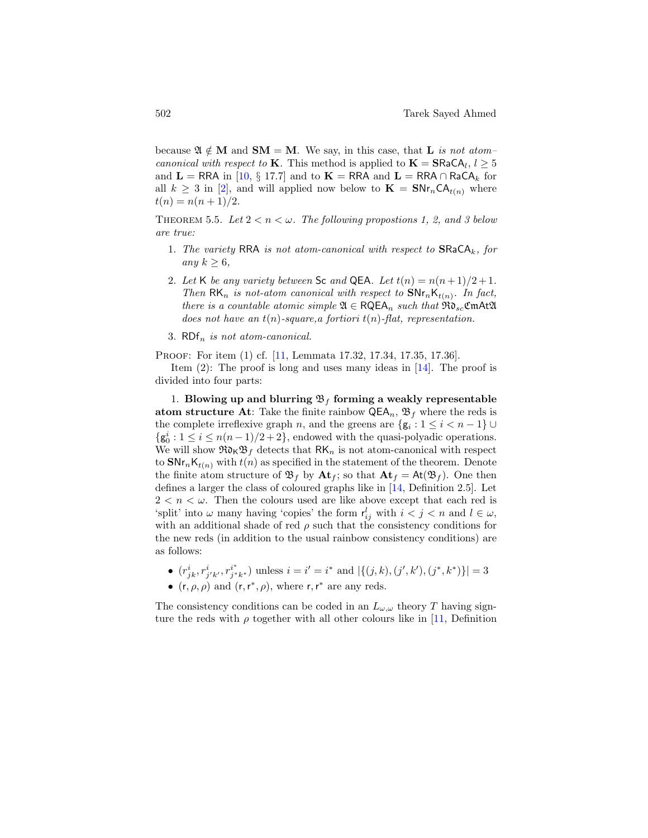because  $\mathfrak{A} \notin M$  and  $SM = M$ . We say, in this case, that L is not atom*canonical with respect to* **K**. This method is applied to  $\mathbf{K} = \mathbf{S} \mathbf{R} \mathbf{a} \mathbf{C} \mathbf{A}_l, l \geq 5$ and  $\mathbf{L} = \mathsf{RRA}$  in [\[10,](#page-44-6) § 17.7] and to  $\mathbf{K} = \mathsf{RRA}$  and  $\mathbf{L} = \mathsf{RRA} \cap \mathsf{RaCA}_k$  for all  $k \geq 3$  in [\[2\]](#page-43-5), and will applied now below to  $\mathbf{K} = \mathbf{S} \mathbf{N} \mathbf{r}_n \mathbf{C} \mathbf{A}_{t(n)}$  where  $t(n) = n(n+1)/2.$ 

<span id="page-37-0"></span>THEOREM 5.5. Let  $2 < n < \omega$ . The following propostions 1, 2, and 3 below are true:

- 1. The variety RRA is not atom-canonical with respect to  $\text{SRACA}_k$ , for any  $k \geq 6$ ,
- 2. Let K be any variety between Sc and QEA. Let  $t(n) = n(n+1)/2 + 1$ . Then  $\mathsf{RK}_n$  is not-atom canonical with respect to  $\mathsf{SNr}_n\mathsf{K}_{t(n)}$ . In fact, there is a countable atomic simple  $\mathfrak{A} \in \mathsf{RQEA}_n$  such that  $\mathfrak{Rd}_{sc}$ **CmAt** $\mathfrak{A}$ does not have an  $t(n)$ -square, a fortiori  $t(n)$ -flat, representation.
- 3.  $RDF_n$  is not atom-canonical.

Proof: For item (1) cf. [\[11,](#page-44-5) Lemmata 17.32, 17.34, 17.35, 17.36].

Item  $(2)$ : The proof is long and uses many ideas in [\[14\]](#page-44-10). The proof is divided into four parts:

1. Blowing up and blurring  $\mathfrak{B}_f$  forming a weakly representable atom structure At: Take the finite rainbow  $\mathsf{QEA}_n$ ,  $\mathfrak{B}_f$  where the reds is the complete irreflexive graph n, and the greens are  $\{g_i: 1 \leq i < n-1\}$  $\{g_0^i : 1 \leq i \leq n(n-1)/2+2\}$ , endowed with the quasi-polyadic operations. We will show  $\Re\delta_K\mathfrak{B}_f$  detects that  $\mathsf{RK}_n$  is not atom-canonical with respect to  $\text{SNr}_n\mathsf{K}_{t(n)}$  with  $t(n)$  as specified in the statement of the theorem. Denote the finite atom structure of  $\mathfrak{B}_f$  by  $\mathbf{At}_f$ ; so that  $\mathbf{At}_f = \mathsf{At}(\mathfrak{B}_f)$ . One then defines a larger the class of coloured graphs like in [\[14,](#page-44-10) Definition 2.5]. Let  $2 < n < \omega$ . Then the colours used are like above except that each red is 'split' into  $\omega$  many having 'copies' the form  $r_{ij}^l$  with  $i < j < n$  and  $l \in \omega$ , with an additional shade of red  $\rho$  such that the consistency conditions for the new reds (in addition to the usual rainbow consistency conditions) are as follows:

• 
$$
(r_{jk}^i, r_{j'k'}^i, r_{j*k^*}^{i^*})
$$
 unless  $i = i' = i^*$  and  $|\{(j,k),(j',k'),(j^*,k^*)\}| = 3$ 

•  $(r, \rho, \rho)$  and  $(r, r^*, \rho)$ , where r, r<sup>\*</sup> are any reds.

The consistency conditions can be coded in an  $L_{\omega,\omega}$  theory T having signture the reds with  $\rho$  together with all other colours like in [\[11,](#page-44-5) Definition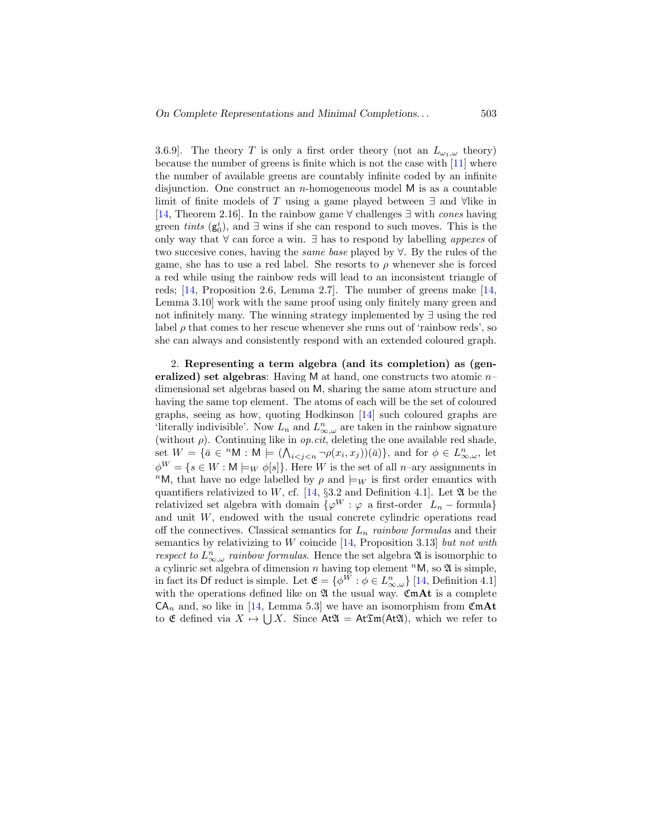3.6.9]. The theory T is only a first order theory (not an  $L_{\omega_1,\omega}$  theory) because the number of greens is finite which is not the case with [\[11\]](#page-44-5) where the number of available greens are countably infinite coded by an infinite disjunction. One construct an *n*-homogeneous model  $M$  is as a countable limit of finite models of T using a game played between  $\exists$  and  $\forall$ like in [\[14,](#page-44-10) Theorem 2.16]. In the rainbow game ∀ challenges ∃ with cones having green *tints*  $(g_0^i)$ , and  $\exists$  wins if she can respond to such moves. This is the only way that  $\forall$  can force a win.  $\exists$  has to respond by labelling appexes of two succesive cones, having the same base played by ∀. By the rules of the game, she has to use a red label. She resorts to  $\rho$  whenever she is forced a red while using the rainbow reds will lead to an inconsistent triangle of reds; [\[14,](#page-44-10) Proposition 2.6, Lemma 2.7]. The number of greens make [\[14,](#page-44-10) Lemma 3.10] work with the same proof using only finitely many green and not infinitely many. The winning strategy implemented by ∃ using the red label  $\rho$  that comes to her rescue whenever she runs out of 'rainbow reds', so she can always and consistently respond with an extended coloured graph.

2. Representing a term algebra (and its completion) as (generalized) set algebras: Having M at hand, one constructs two atomic  $n$ dimensional set algebras based on M, sharing the same atom structure and having the same top element. The atoms of each will be the set of coloured graphs, seeing as how, quoting Hodkinson [\[14\]](#page-44-10) such coloured graphs are 'literally indivisible'. Now  $L_n$  and  $L_{\infty,\omega}^n$  are taken in the rainbow signature (without  $\rho$ ). Continuing like in *op.cit*, deleting the one available red shade, set  $W = \{\bar{a} \in {}^{n}M : M \models (\bigwedge_{i < j < n} \neg \rho(x_i, x_j))(\bar{a})\}\$ , and for  $\phi \in L^n_{\infty, \omega}$ , let  $\phi^W = \{ s \in W : \mathsf{M} \models_W \phi[s] \}.$  Here W is the set of all n–ary assignments in <sup>n</sup>M, that have no edge labelled by  $\rho$  and  $\models_W$  is first order emantics with quantifiers relativized to W, cf. [\[14,](#page-44-10)  $\S 3.2$  and Definition 4.1]. Let  $\mathfrak A$  be the relativized set algebra with domain  $\{\varphi^W : \varphi$  a first-order  $L_n$  – formula} and unit  $W$ , endowed with the usual concrete cylindric operations read off the connectives. Classical semantics for  $L_n$  rainbow formulas and their semantics by relativizing to  $W$  coincide [\[14,](#page-44-10) Proposition 3.13] but not with respect to  $L_{\infty,\omega}^n$  rainbow formulas. Hence the set algebra  $\mathfrak A$  is isomorphic to a cylinric set algebra of dimension  $n$  having top element  ${}^n{\mathsf M},$  so  ${\mathfrak A}$  is simple, in fact its Df reduct is simple. Let  $\mathfrak{E} = \{ \phi^W : \phi \in L^n_{\infty, \omega} \}$  [\[14,](#page-44-10) Definition 4.1] with the operations defined like on  $\mathfrak A$  the usual way. CmAt is a complete  $CA_n$  and, so like in [\[14,](#page-44-10) Lemma 5.3] we have an isomorphism from  $\mathfrak{CmAt}$ to  $\mathfrak E$  defined via  $X \mapsto \bigcup X$ . Since  $\mathsf{At}\mathfrak A = \mathsf{At}\mathfrak Im(\mathsf{At}\mathfrak A)$ , which we refer to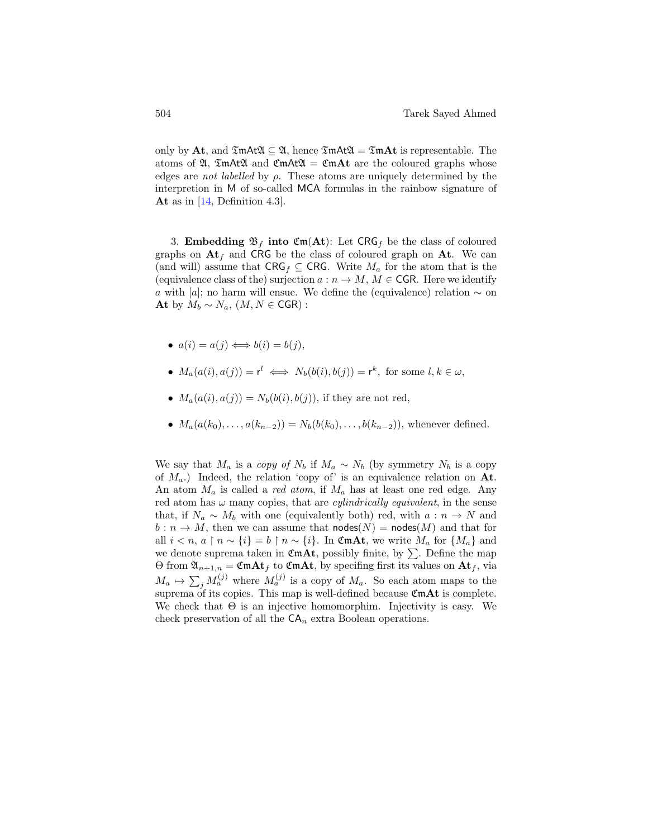only by At, and  $\mathfrak{Im}A\mathfrak{t}\mathfrak{A}\subseteq \mathfrak{A}$ , hence  $\mathfrak{Im}A\mathfrak{t}\mathfrak{A}=\mathfrak{Im}A\mathfrak{t}$  is representable. The atoms of  $\mathfrak{A}, \mathfrak{Z}\mathfrak{m}$ At $\mathfrak{A}$  and  $\mathfrak{C}\mathfrak{m}$ At $\mathfrak{A}$  =  $\mathfrak{C}\mathfrak{m}$ At are the coloured graphs whose edges are *not labelled* by  $\rho$ . These atoms are uniquely determined by the interpretion in M of so-called MCA formulas in the rainbow signature of At as in [\[14,](#page-44-10) Definition 4.3].

3. Embedding  $\mathfrak{B}_f$  into  $\mathfrak{Cm}(At)$ : Let CRG<sub>f</sub> be the class of coloured graphs on  $At<sub>f</sub>$  and CRG be the class of coloured graph on At. We can (and will) assume that  $CRG_f \subseteq CRG$ . Write  $M_a$  for the atom that is the (equivalence class of the) surjection  $a : n \to M$ ,  $M \in \mathsf{CGR}$ . Here we identify a with [a]; no harm will ensue. We define the (equivalence) relation  $\sim$  on At by  $M_b \sim N_a$ ,  $(M, N \in \text{CGR})$ :

• 
$$
a(i) = a(j) \Longleftrightarrow b(i) = b(j),
$$

• 
$$
M_a(a(i), a(j)) = r^l \iff N_b(b(i), b(j)) = r^k
$$
, for some  $l, k \in \omega$ ,

• 
$$
M_a(a(i), a(j)) = N_b(b(i), b(j))
$$
, if they are not red,

•  $M_a(a(k_0), \ldots, a(k_{n-2})) = N_b(b(k_0), \ldots, b(k_{n-2}))$ , whenever defined.

We say that  $M_a$  is a copy of  $N_b$  if  $M_a \sim N_b$  (by symmetry  $N_b$  is a copy of  $M_a$ .) Indeed, the relation 'copy of' is an equivalence relation on At. An atom  $M_a$  is called a *red atom*, if  $M_a$  has at least one red edge. Any red atom has  $\omega$  many copies, that are *cylindrically equivalent*, in the sense that, if  $N_a \sim M_b$  with one (equivalently both) red, with  $a : n \to N$  and  $b: n \to M$ , then we can assume that nodes(N) = nodes(M) and that for all  $i < n, a \restriction n \sim \{i\} = b \restriction n \sim \{i\}$ . In CmAt, we write  $M_a$  for  $\{M_a\}$  and we denote suprema taken in  $\mathfrak{CmAt}$ , possibly finite, by  $\Sigma$ . Define the map  $\Theta$  from  $\mathfrak{A}_{n+1,n} = \mathfrak{C} \mathfrak{m} \mathbf{A} \mathbf{t}_f$  to  $\mathfrak{C} \mathfrak{m} \mathbf{A} \mathfrak{t}$ , by specifing first its values on  $\mathbf{A} \mathbf{t}_f$ , via  $M_a \mapsto \sum_j M_a^{(j)}$  where  $M_a^{(j)}$  is a copy of  $M_a$ . So each atom maps to the suprema of its copies. This map is well-defined because  $\mathfrak{CmAt}$  is complete. We check that  $\Theta$  is an injective homomorphim. Injectivity is easy. We check preservation of all the  $CA_n$  extra Boolean operations.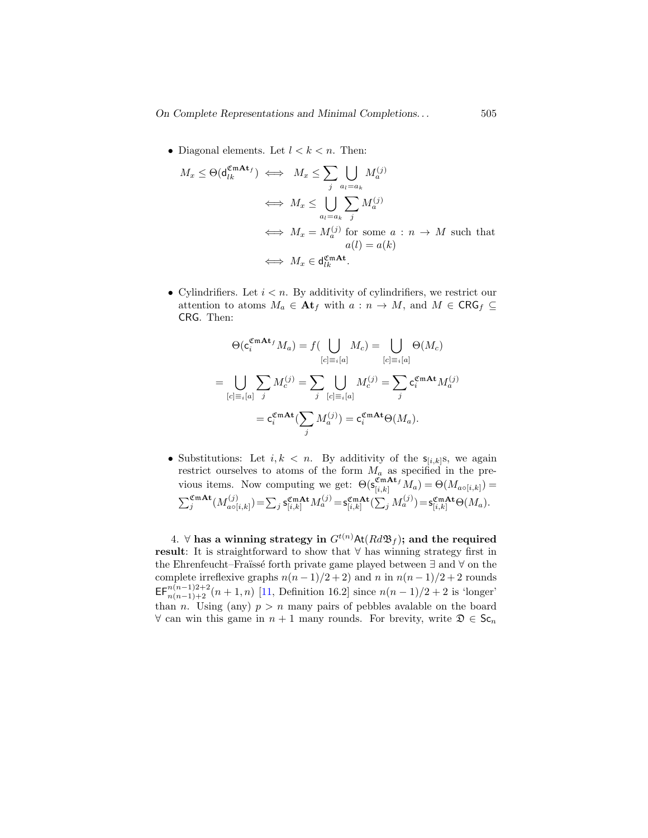• Diagonal elements. Let  $l < k < n$ . Then:

$$
M_x \leq \Theta(\mathbf{d}_{lk}^{\mathfrak{CmAt}}) \iff M_x \leq \sum_{j} \bigcup_{a_l=a_k} M_a^{(j)}
$$
  
\n
$$
\iff M_x \leq \bigcup_{a_l=a_k} \sum_{j} M_a^{(j)}
$$
  
\n
$$
\iff M_x = M_a^{(j)} \text{ for some } a: n \to M \text{ such that}
$$
  
\n
$$
a(l) = a(k)
$$
  
\n
$$
\iff M_x \in \mathbf{d}_{lk}^{\mathfrak{CmAt}}.
$$

• Cylindrifiers. Let  $i < n$ . By additivity of cylindrifiers, we restrict our attention to atoms  $M_a \in \mathbf{At}_f$  with  $a : n \to M$ , and  $M \in \mathsf{CRG}_f \subseteq$ CRG. Then:

$$
\Theta(\mathbf{c}_{i}^{\mathfrak{CmAt}_{f}}M_{a}) = f(\bigcup_{[c]\equiv_{i}[a]}M_{c}) = \bigcup_{[c]\equiv_{i}[a]} \Theta(M_{c})
$$

$$
= \bigcup_{[c]\equiv_{i}[a]} \sum_{j} M_{c}^{(j)} = \sum_{j} \bigcup_{[c]\equiv_{i}[a]} M_{c}^{(j)} = \sum_{j} \mathbf{c}_{i}^{\mathfrak{CmAt}} M_{a}^{(j)}
$$

$$
= \mathbf{c}_{i}^{\mathfrak{CmAt}} (\sum_{j} M_{a}^{(j)}) = \mathbf{c}_{i}^{\mathfrak{CmAt}} \Theta(M_{a}).
$$

• Substitutions: Let  $i, k < n$ . By additivity of the  $s_{[i,k]}s$ , we again restrict ourselves to atoms of the form  $M_a$  as specified in the previous items. Now computing we get:  $\Theta(\mathbf{s}_{[i,k]}^{\mathfrak{CmAt}_f} M_a) = \Theta(M_{a \circ [i,k]}) =$  $\sum_j^{\mathfrak{CmAt}} (M_{a\circ\lbrack}^{(j)}$  $\mathcal{L}^{(j)}_{a\circ[i,k]})\!=\!\sum_j\mathsf{s}^{\mathfrak{CmAt}}_{[i,k]}M^{(j)}_a\!=\!\mathsf{s}^{\mathfrak{CmAt}}_{[i,k]}(\sum_jM^{(j)}_a)\!=\!\mathsf{s}^{\mathfrak{CmAt}}_{[i,k]}\Theta(M_a).$ 

4. ∀ has a winning strategy in  $G^{t(n)}$ At $(Rd\mathfrak{B}_f)$ ; and the required result: It is straightforward to show that  $\forall$  has winning strategy first in the Ehrenfeucht–Fra¨ıss´e forth private game played between ∃ and ∀ on the complete irreflexive graphs  $n(n-1)/2+2$  and n in  $n(n-1)/2+2$  rounds  $\mathsf{EF}_{n(n-1)+2}^{n(n-1)+2+2}(n+1,n)$  [\[11,](#page-44-5) Definition 16.2] since  $n(n-1)/2+2$  is 'longer' than n. Using (any)  $p > n$  many pairs of pebbles avalable on the board  $\forall$  can win this game in  $n + 1$  many rounds. For brevity, write  $\mathfrak{D} \in \mathsf{Sc}_n$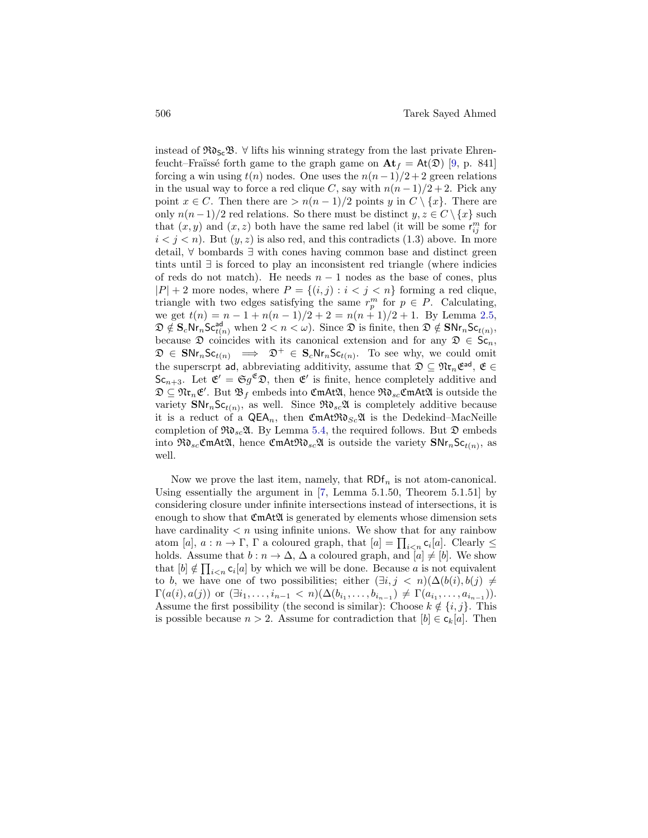instead of  $\Re\mathfrak{d}_{\mathsf{Sc}}\mathfrak{B}$ .  $\forall$  lifts his winning strategy from the last private Ehrenfeucht–Fraüssé forth game to the graph game on  $\mathbf{At}_f = \mathbf{At}(\mathfrak{D})$  [\[9,](#page-44-0) p. 841] forcing a win using  $t(n)$  nodes. One uses the  $n(n-1)/2+2$  green relations in the usual way to force a red clique C, say with  $n(n-1)/2+2$ . Pick any point  $x \in C$ . Then there are  $> n(n-1)/2$  points y in  $C \setminus \{x\}$ . There are only  $n(n-1)/2$  red relations. So there must be distinct  $y, z \in C \setminus \{x\}$  such that  $(x, y)$  and  $(x, z)$  both have the same red label (it will be some  $r_{ij}^m$  for  $i < j < n$ ). But  $(y, z)$  is also red, and this contradicts  $(1.3)$  above. In more detail, ∀ bombards ∃ with cones having common base and distinct green tints until ∃ is forced to play an inconsistent red triangle (where indicies of reds do not match). He needs  $n-1$  nodes as the base of cones, plus  $|P| + 2$  more nodes, where  $P = \{(i, j) : i < j < n\}$  forming a red clique, triangle with two edges satisfying the same  $r_p^m$  for  $p \in P$ . Calculating, we get  $t(n) = n - 1 + n(n - 1)/2 + 2 = n(n + 1)/2 + 1$ . By Lemma [2.5,](#page-7-0)  $\mathfrak{D} \notin \mathbf{S}_c \mathsf{Nr}_n \mathsf{Sc}_{t(n)}^{\mathsf{ad}}$  when  $2 < n < \omega$ ). Since  $\mathfrak{D}$  is finite, then  $\mathfrak{D} \notin \mathbf{SNr}_n \mathsf{Sc}_{t(n)}$ , because  $\mathfrak D$  coincides with its canonical extension and for any  $\mathfrak D \in \mathsf{Sc}_n$ ,  $\mathfrak{D} \in \mathbf{SNr}_n\mathsf{Sc}_{t(n)} \implies \mathfrak{D}^+ \in \mathbf{S}_c\mathsf{Nr}_n\mathsf{Sc}_{t(n)}$ . To see why, we could omit the superscrpt ad, abbreviating additivity, assume that  $\mathfrak{D} \subseteq \mathfrak{N}$ **r**<sub>n</sub> $\mathfrak{E}$ <sup>ad</sup>,  $\mathfrak{E} \in$  $\mathsf{Sc}_{n+3}$ . Let  $\mathfrak{E}' = \mathfrak{S}g^{\mathfrak{E}}\mathfrak{D}$ , then  $\mathfrak{E}'$  is finite, hence completely additive and  $\mathfrak{D}\subseteq\mathfrak{N}\mathfrak{r}_n\mathfrak{E}'$ . But  $\mathfrak{B}_f$  embeds into  $\mathfrak{CmAt}\mathfrak{A}$ , hence  $\mathfrak{Rd}_{sc}\mathfrak{CmAt}\mathfrak{A}$  is outside the variety  $\text{SNr}_n\text{Sc}_{t(n)}$ , as well. Since  $\Re\mathfrak{d}_{sc}\mathfrak{A}$  is completely additive because it is a reduct of a  $\mathsf{QEA}_n$ , then  $\mathfrak{CmAtRd}_{Sc}\mathfrak{A}$  is the Dedekind–MacNeille completion of  $\mathfrak{R}_{s} \mathfrak{A}$ . By Lemma [5.4,](#page-36-0) the required follows. But  $\mathfrak{D}$  embeds into  $\mathfrak{RO}_{sc} \mathfrak{C} \mathfrak{m}$ At $\mathfrak{A}$ , hence  $\mathfrak{C} \mathfrak{m}$ At $\mathfrak{RO}_{sc} \mathfrak{A}$  is outside the variety  $\mathsf{SNr}_n \mathsf{Sc}_{t(n)},$  as well.

Now we prove the last item, namely, that  $RDF_n$  is not atom-canonical. Using essentially the argument in  $[7, \text{ Lemma } 5.1.50, \text{ Theorem } 5.1.51]$  by considering closure under infinite intersections instead of intersections, it is enough to show that  $\mathfrak{CmAt2I}$  is generated by elements whose dimension sets have cardinality  $\langle n \rangle$  using infinite unions. We show that for any rainbow atom [a],  $a: n \to \Gamma$ ,  $\Gamma$  a coloured graph, that  $[a] = \prod_{i \leq n} c_i[a]$ . Clearly  $\leq$ holds. Assume that  $b : n \to \Delta$ ,  $\Delta$  a coloured graph, and  $[a] \neq [b]$ . We show that  $[b] \notin \prod_{i \leq n} c_i[a]$  by which we will be done. Because a is not equivalent to b, we have one of two possibilities; either  $(\exists i, j \langle n \rangle) (\Delta(b(i), b(j)) \neq$  $\Gamma(a(i),a(j))$  or  $(\exists i_1,\ldots,i_{n-1} < n)(\Delta(b_{i_1},\ldots,b_{i_{n-1}}) \neq \Gamma(a_{i_1},\ldots,a_{i_{n-1}})).$ Assume the first possibility (the second is similar): Choose  $k \notin \{i, j\}$ . This is possible because  $n > 2$ . Assume for contradiction that  $[b] \in c_k[a]$ . Then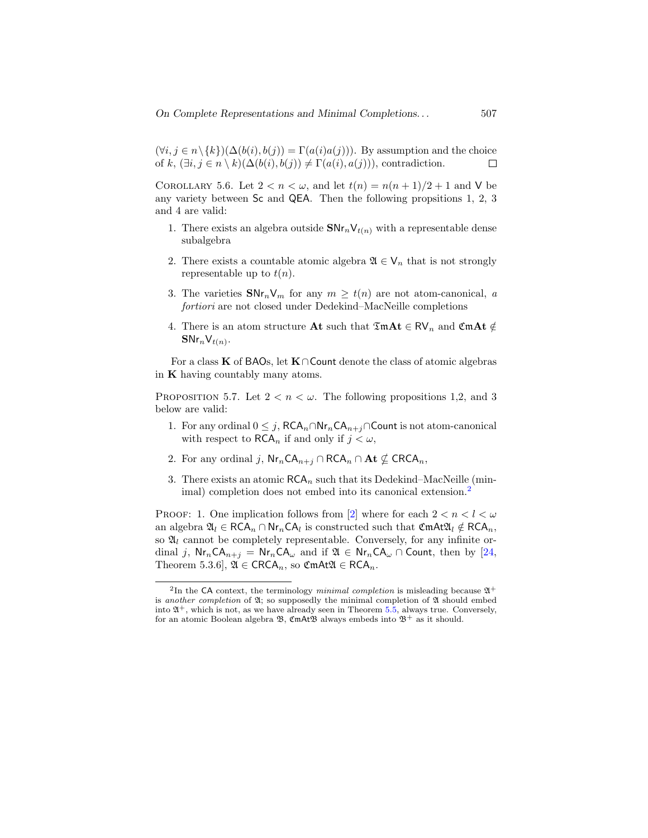$(\forall i, j \in n \setminus \{k\}) (\Delta(b(i), b(j)) = \Gamma(a(i)a(j))$ . By assumption and the choice of k,  $(\exists i, j \in n \setminus k)(\Delta(b(i), b(j)) \neq \Gamma(a(i), a(j))$ , contradiction. П

<span id="page-42-0"></span>COROLLARY 5.6. Let  $2 < n < \omega$ , and let  $t(n) = n(n+1)/2 + 1$  and V be any variety between Sc and QEA. Then the following propsitions 1, 2, 3 and 4 are valid:

- 1. There exists an algebra outside  $\text{SNr}_n\mathsf{V}_{t(n)}$  with a representable dense subalgebra
- 2. There exists a countable atomic algebra  $\mathfrak{A} \in \mathsf{V}_n$  that is not strongly representable up to  $t(n)$ .
- 3. The varieties  $\text{SNr}_n V_m$  for any  $m \geq t(n)$  are not atom-canonical, a fortiori are not closed under Dedekind–MacNeille completions
- 4. There is an atom structure At such that  $\mathfrak{Im} \mathbf{At} \in \mathsf{RV}_n$  and  $\mathfrak{CmAt} \notin$  $\textsf{SNr}_n\textsf{V}_{t(n)}.$

For a class K of BAOs, let K∩Count denote the class of atomic algebras in  $K$  having countably many atoms.

PROPOSITION 5.7. Let  $2 < n < \omega$ . The following propositions 1.2, and 3 below are valid:

- 1. For any ordinal  $0 \leq j$ ,  $RCA_n \cap Nr_nCA_{n+j} \cap Count$  is not atom-canonical with respect to  $\mathsf{RCA}_n$  if and only if  $j < \omega$ ,
- 2. For any ordinal j,  $\mathsf{Nr}_n\mathsf{CA}_{n+j}\cap\mathsf{RCA}_n\cap\mathbf{At}\nsubseteq\mathsf{CRCA}_n$ ,
- 3. There exists an atomic  $RCA_n$  such that its Dedekind–MacNeille (min-imal) completion does not embed into its canonical extension.<sup>[2](#page-0-1)</sup>

PROOF: 1. One implication follows from [\[2\]](#page-43-5) where for each  $2 < n < l < \omega$ an algebra  $\mathfrak{A}_l \in \mathsf{RCA}_n \cap \mathsf{Nr}_n\mathsf{CA}_l$  is constructed such that  $\mathfrak{CmAt}\mathfrak{A}_l \notin \mathsf{RCA}_n$ , so  $\mathfrak{A}_l$  cannot be completely representable. Conversely, for any infinite ordinal j,  $\text{Nr}_n\text{CA}_{n+j} = \text{Nr}_n\text{CA}_{\omega}$  and if  $\mathfrak{A} \in \text{Nr}_n\text{CA}_{\omega} \cap \text{Count}$ , then by [\[24,](#page-45-0) Theorem 5.3.6],  $\mathfrak{A} \in \mathsf{CRCA}_n$ , so  $\mathfrak{CmAt}\mathfrak{A} \in \mathsf{RCA}_n$ .

<sup>&</sup>lt;sup>2</sup>In the CA context, the terminology minimal completion is misleading because  $\mathfrak{A}^+$ is another completion of  $\mathfrak{A}$ ; so supposedly the minimal completion of  $\mathfrak{A}$  should embed into  $\mathfrak{A}^+$ , which is not, as we have already seen in Theorem [5.5,](#page-37-0) always true. Conversely, for an atomic Boolean algebra  $\mathfrak{B}$ , CmAt $\mathfrak{B}$  always embeds into  $\mathfrak{B}^+$  as it should.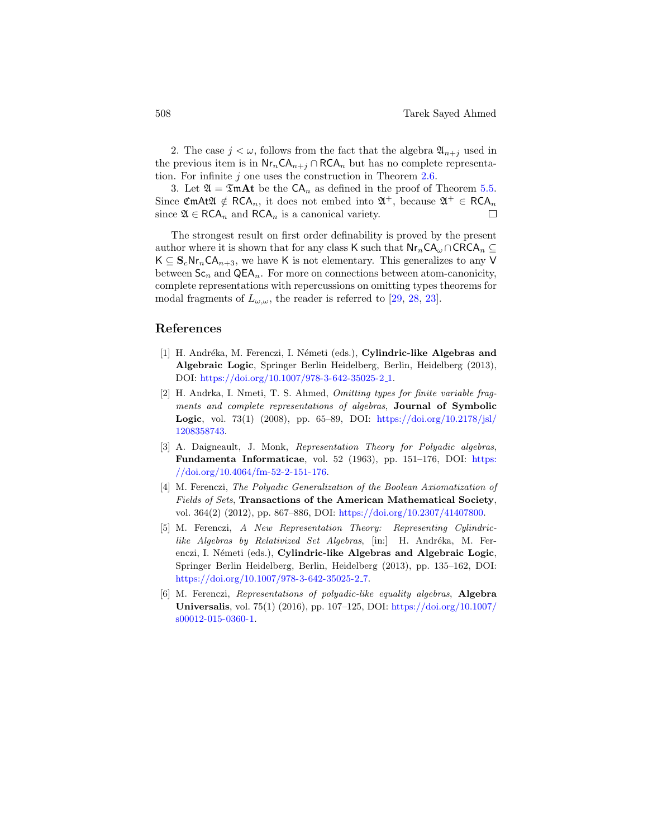2. The case  $j < \omega$ , follows from the fact that the algebra  $\mathfrak{A}_{n+j}$  used in the previous item is in  $\mathsf{Nr}_n\mathsf{CA}_{n+j}\cap\mathsf{RCA}_n$  but has no complete representation. For infinite  $j$  one uses the construction in Theorem [2.6.](#page-9-0)

3. Let  $\mathfrak{A} = \mathfrak{Im} \mathbf{A}$ t be the  $CA_n$  as defined in the proof of Theorem [5.5.](#page-37-0) Since CmAt $\mathfrak{A} \notin \mathsf{RCA}_n$ , it does not embed into  $\mathfrak{A}^+$ , because  $\mathfrak{A}^+ \in \mathsf{RCA}_n$ since  $\mathfrak{A} \in \mathsf{RCA}_n$  and  $\mathsf{RCA}_n$  is a canonical variety.  $\Box$ 

The strongest result on first order definability is proved by the present author where it is shown that for any class K such that  $\mathsf{Nr}_n\mathsf{CA}_{\omega}\cap \mathsf{CRCA}_n\subseteq$  $K \subseteq S_c N r_n C A_{n+3}$ , we have K is not elementary. This generalizes to any V between  $Sc_n$  and  $QEA_n$ . For more on connections between atom-canonicity, complete representations with repercussions on omitting types theorems for modal fragments of  $L_{\omega,\omega}$ , the reader is referred to [\[29,](#page-46-1) [28,](#page-45-9) [23\]](#page-45-10).

# References

- <span id="page-43-3"></span>[1] H. Andréka, M. Ferenczi, I. Németi (eds.), Cylindric-like Algebras and Algebraic Logic, Springer Berlin Heidelberg, Berlin, Heidelberg (2013), DOI: [https://doi.org/10.1007/978-3-642-35025-2](https://doi.org/10.1007/978-3-642-35025-2_1) 1.
- <span id="page-43-5"></span>[2] H. Andrka, I. Nmeti, T. S. Ahmed, Omitting types for finite variable fragments and complete representations of algebras, Journal of Symbolic **Logic**, vol. 73(1) (2008), pp. 65–89, DOI:  $\frac{https://doi.org/10.2178/jsl/}{https://doi.org/10.2178/jsl/}{$  $\frac{https://doi.org/10.2178/jsl/}{https://doi.org/10.2178/jsl/}{$  $\frac{https://doi.org/10.2178/jsl/}{https://doi.org/10.2178/jsl/}{$ [1208358743.](https://doi.org/10.2178/jsl/1208358743)
- <span id="page-43-4"></span>[3] A. Daigneault, J. Monk, Representation Theory for Polyadic algebras, Fundamenta Informaticae, vol. 52 (1963), pp. 151–176, DOI: [https:](https://doi.org/10.4064/fm-52-2-151-176)  $// doi.org/10.4064/fm-52-2-151-176.$
- <span id="page-43-0"></span>[4] M. Ferenczi, The Polyadic Generalization of the Boolean Axiomatization of Fields of Sets, Transactions of the American Mathematical Society, vol. 364(2) (2012), pp. 867–886, DOI: [https://doi.org/10.2307/41407800.](https://doi.org/10.2307/41407800)
- <span id="page-43-1"></span>[5] M. Ferenczi, A New Representation Theory: Representing Cylindriclike Algebras by Relativized Set Algebras, [in:] H. Andréka, M. Ferenczi, I. Németi (eds.), Cylindric-like Algebras and Algebraic Logic, Springer Berlin Heidelberg, Berlin, Heidelberg (2013), pp. 135–162, DOI: [https://doi.org/10.1007/978-3-642-35025-2](https://doi.org/10.1007/978-3-642-35025-2_7)<sub>-7</sub>.
- <span id="page-43-2"></span>[6] M. Ferenczi, Representations of polyadic-like equality algebras, Algebra Universalis, vol. 75(1) (2016), pp. 107–125, DOI: [https://doi.org/10.1007/](https://doi.org/10.1007/s00012-015-0360-1) [s00012-015-0360-1.](https://doi.org/10.1007/s00012-015-0360-1)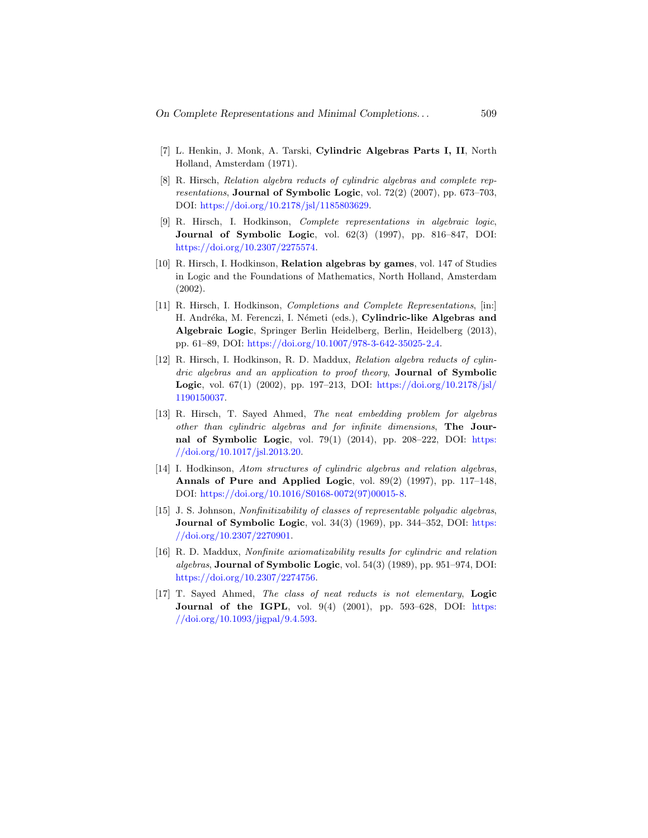- <span id="page-44-1"></span>[7] L. Henkin, J. Monk, A. Tarski, Cylindric Algebras Parts I, II, North Holland, Amsterdam (1971).
- <span id="page-44-2"></span>[8] R. Hirsch, Relation algebra reducts of cylindric algebras and complete representations, **Journal of Symbolic Logic**, vol. 72(2) (2007), pp. 673–703, DOI: [https://doi.org/10.2178/jsl/1185803629.](https://doi.org/10.2178/jsl/1185803629)
- <span id="page-44-0"></span>[9] R. Hirsch, I. Hodkinson, Complete representations in algebraic logic, Journal of Symbolic Logic, vol. 62(3) (1997), pp. 816–847, DOI: [https://doi.org/10.2307/2275574.](https://doi.org/10.2307/2275574)
- <span id="page-44-6"></span>[10] R. Hirsch, I. Hodkinson, Relation algebras by games, vol. 147 of Studies in Logic and the Foundations of Mathematics, North Holland, Amsterdam (2002).
- <span id="page-44-5"></span>[11] R. Hirsch, I. Hodkinson, Completions and Complete Representations, [in:] H. Andréka, M. Ferenczi, I. Németi (eds.), Cylindric-like Algebras and Algebraic Logic, Springer Berlin Heidelberg, Berlin, Heidelberg (2013), pp. 61–89, DOI: [https://doi.org/10.1007/978-3-642-35025-2](https://doi.org/10.1007/978-3-642-35025-2_4) 4.
- <span id="page-44-8"></span>[12] R. Hirsch, I. Hodkinson, R. D. Maddux, Relation algebra reducts of cylindric algebras and an application to proof theory, **Journal of Symbolic Logic**, vol. 67(1) (2002), pp. 197–213, DOI:  $\frac{https://doi.org/10.2178/jsl/}{https://doi.org/10.2178/jsl/}{$  $\frac{https://doi.org/10.2178/jsl/}{https://doi.org/10.2178/jsl/}{$  $\frac{https://doi.org/10.2178/jsl/}{https://doi.org/10.2178/jsl/}{$ [1190150037.](https://doi.org/10.2178/jsl/1190150037)
- <span id="page-44-7"></span>[13] R. Hirsch, T. Sayed Ahmed, The neat embedding problem for algebras other than cylindric algebras and for infinite dimensions, The Journal of Symbolic Logic, vol.  $79(1)$   $(2014)$ , pp.  $208-222$ , DOI: [https:](https://doi.org/10.1017/jsl.2013.20) [//doi.org/10.1017/jsl.2013.20.](https://doi.org/10.1017/jsl.2013.20)
- <span id="page-44-10"></span>[14] I. Hodkinson, Atom structures of cylindric algebras and relation algebras, Annals of Pure and Applied Logic, vol. 89(2) (1997), pp. 117–148, DOI: [https://doi.org/10.1016/S0168-0072\(97\)00015-8.](https://doi.org/10.1016/S0168-0072(97)00015-8)
- <span id="page-44-9"></span>[15] J. S. Johnson, Nonfinitizability of classes of representable polyadic algebras, Journal of Symbolic Logic, vol. 34(3) (1969), pp. 344-352, DOI: [https:](https://doi.org/10.2307/2270901) [//doi.org/10.2307/2270901.](https://doi.org/10.2307/2270901)
- <span id="page-44-4"></span>[16] R. D. Maddux, Nonfinite axiomatizability results for cylindric and relation algebras, Journal of Symbolic Logic, vol.  $54(3)$  (1989), pp.  $951-974$ , DOI: [https://doi.org/10.2307/2274756.](https://doi.org/10.2307/2274756)
- <span id="page-44-3"></span>[17] T. Sayed Ahmed, The class of neat reducts is not elementary, Logic Journal of the IGPL, vol.  $9(4)$   $(2001)$ , pp.  $593-628$ , DOI: [https:](https://doi.org/10.1093/jigpal/9.4.593) [//doi.org/10.1093/jigpal/9.4.593.](https://doi.org/10.1093/jigpal/9.4.593)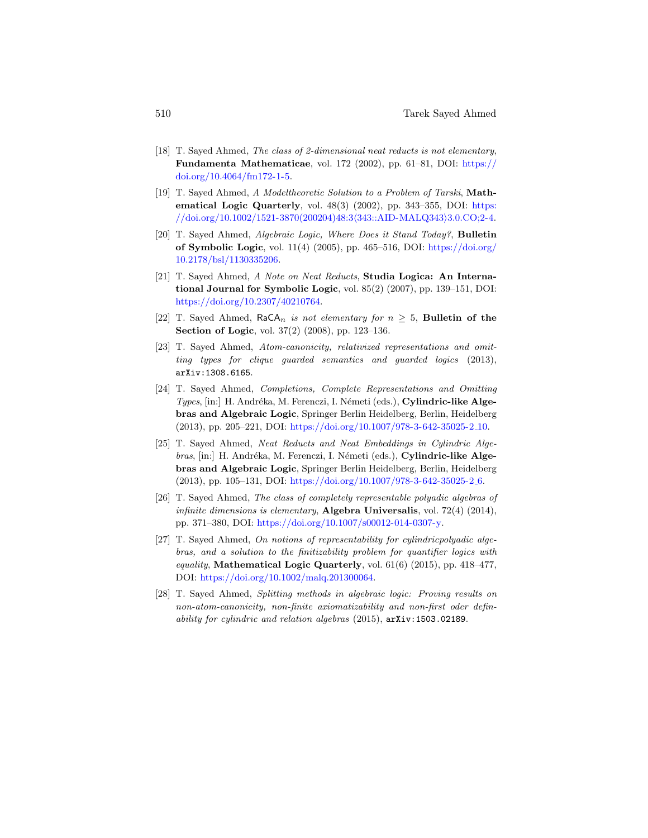- <span id="page-45-3"></span>[18] T. Sayed Ahmed, The class of 2-dimensional neat reducts is not elementary, Fundamenta Mathematicae, vol. 172 (2002), pp. 61–81, DOI: [https://](https://doi.org/10.4064/fm172-1-5) [doi.org/10.4064/fm172-1-5.](https://doi.org/10.4064/fm172-1-5)
- <span id="page-45-5"></span>[19] T. Sayed Ahmed, A Modeltheoretic Solution to a Problem of Tarski, Mathematical Logic Quarterly, vol. 48(3) (2002), pp. 343–355, DOI: [https:](https://doi.org/10.1002/1521-3870(200204)48:3<343::AID-MALQ343>3.0.CO;2-4)  $\frac{1}{\sqrt{doi.org/10.1002/1521-3870(200204)48:3\langle 343::AID-MALQ343\rangle 3.0.CO;2-4.0022}}$
- <span id="page-45-6"></span>[20] T. Sayed Ahmed, Algebraic Logic, Where Does it Stand Today?, Bulletin of Symbolic Logic, vol.  $11(4)$  (2005), pp. 465–516, DOI: [https://doi.org/](https://doi.org/10.2178/bsl/1130335206) [10.2178/bsl/1130335206.](https://doi.org/10.2178/bsl/1130335206)
- <span id="page-45-4"></span>[21] T. Sayed Ahmed, A Note on Neat Reducts, Studia Logica: An International Journal for Symbolic Logic, vol. 85(2) (2007), pp. 139–151, DOI: [https://doi.org/10.2307/40210764.](https://doi.org/10.2307/40210764)
- <span id="page-45-7"></span>[22] T. Sayed Ahmed, RaCA<sub>n</sub> is not elementary for  $n \geq 5$ , Bulletin of the Section of Logic, vol. 37(2) (2008), pp. 123–136.
- <span id="page-45-10"></span>[23] T. Sayed Ahmed, Atom-canonicity, relativized representations and omitting types for clique guarded semantics and guarded logics (2013), arXiv:1308.6165.
- <span id="page-45-0"></span>[24] T. Sayed Ahmed, Completions, Complete Representations and Omitting  $Types$ , [in:] H. Andréka, M. Ferenczi, I. Németi (eds.), **Cylindric-like Alge**bras and Algebraic Logic, Springer Berlin Heidelberg, Berlin, Heidelberg  $(2013)$ , pp. 205–221, DOI: [https://doi.org/10.1007/978-3-642-35025-2](https://doi.org/10.1007/978-3-642-35025-2_10)<sub>-10</sub>.
- <span id="page-45-2"></span>[25] T. Sayed Ahmed, Neat Reducts and Neat Embeddings in Cylindric Alge $bras,$  [in:] H. Andréka, M. Ferenczi, I. Németi (eds.), **Cylindric-like Alge**bras and Algebraic Logic, Springer Berlin Heidelberg, Berlin, Heidelberg (2013), pp. 105–131, DOI: [https://doi.org/10.1007/978-3-642-35025-2](https://doi.org/10.1007/978-3-642-35025-2_6) 6.
- <span id="page-45-1"></span>[26] T. Sayed Ahmed, The class of completely representable polyadic algebras of infinite dimensions is elementary, **Algebra Universalis**, vol. 72(4) (2014), pp. 371–380, DOI: [https://doi.org/10.1007/s00012-014-0307-y.](https://doi.org/10.1007/s00012-014-0307-y)
- <span id="page-45-8"></span>[27] T. Sayed Ahmed, On notions of representability for cylindricpolyadic algebras, and a solution to the finitizability problem for quantifier logics with equality, Mathematical Logic Quarterly, vol.  $61(6)$  (2015), pp. 418–477, DOI: [https://doi.org/10.1002/malq.201300064.](https://doi.org/10.1002/malq.201300064)
- <span id="page-45-9"></span>[28] T. Sayed Ahmed, Splitting methods in algebraic logic: Proving results on non-atom-canonicity, non-finite axiomatizability and non-first oder definability for cylindric and relation algebras (2015), arXiv:1503.02189.